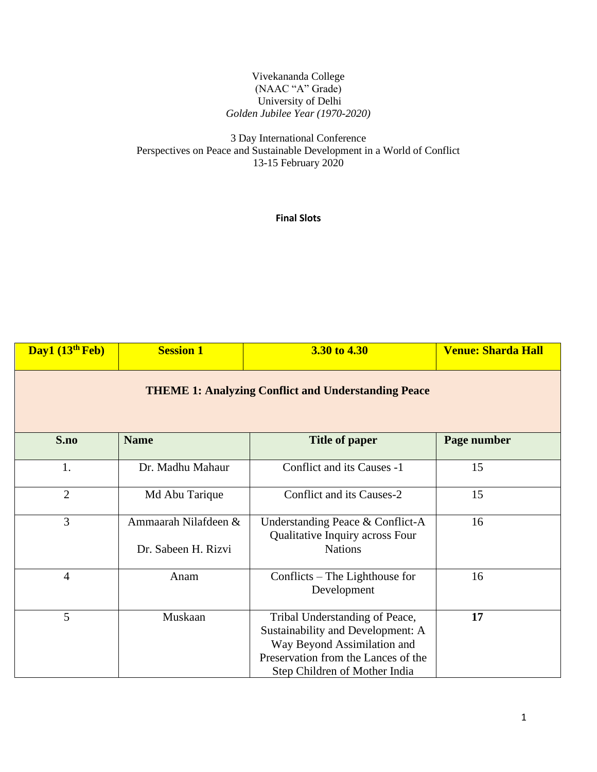### Vivekananda College (NAAC "A" Grade) University of Delhi *Golden Jubilee Year (1970-2020)*

## 3 Day International Conference Perspectives on Peace and Sustainable Development in a World of Conflict 13-15 February 2020

### **Final Slots**

| Day1 (13 <sup>th</sup> Feb)                                | <b>Session 1</b>                            | 3.30 to 4.30                                                                                                                                                               | <b>Venue: Sharda Hall</b> |  |  |  |
|------------------------------------------------------------|---------------------------------------------|----------------------------------------------------------------------------------------------------------------------------------------------------------------------------|---------------------------|--|--|--|
| <b>THEME 1: Analyzing Conflict and Understanding Peace</b> |                                             |                                                                                                                                                                            |                           |  |  |  |
| S.no                                                       | <b>Name</b>                                 | <b>Title of paper</b>                                                                                                                                                      | Page number               |  |  |  |
| 1.                                                         | Dr. Madhu Mahaur                            | Conflict and its Causes -1                                                                                                                                                 | 15                        |  |  |  |
| $\overline{2}$                                             | Md Abu Tarique                              | Conflict and its Causes-2                                                                                                                                                  | 15                        |  |  |  |
| $\overline{3}$                                             | Ammaarah Nilafdeen &<br>Dr. Sabeen H. Rizvi | Understanding Peace & Conflict-A<br>Qualitative Inquiry across Four<br><b>Nations</b>                                                                                      | 16                        |  |  |  |
| $\overline{4}$                                             | Anam                                        | Conflicts $-$ The Lighthouse for<br>Development                                                                                                                            | 16                        |  |  |  |
| 5                                                          | Muskaan                                     | Tribal Understanding of Peace,<br>Sustainability and Development: A<br>Way Beyond Assimilation and<br>Preservation from the Lances of the<br>Step Children of Mother India | 17                        |  |  |  |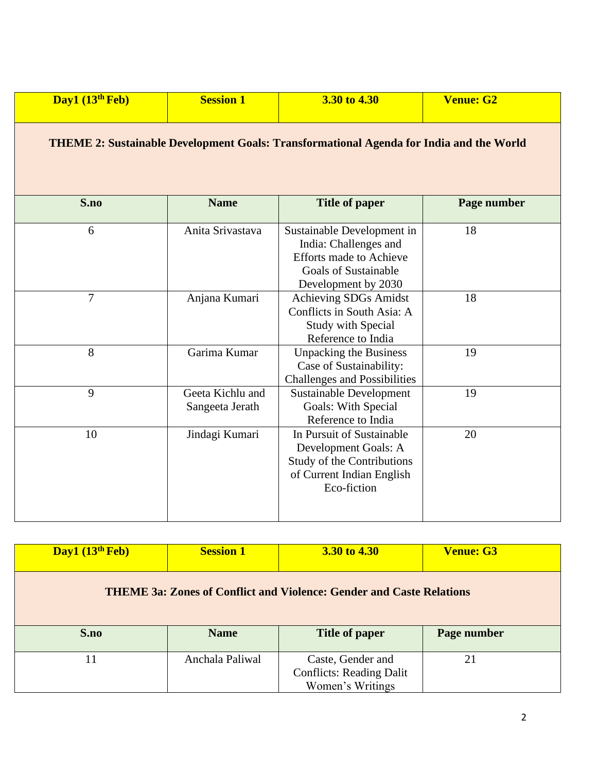| Day1 $(13th$ Feb)                                                                              | <b>Session 1</b>                    | 3.30 to 4.30                                                                                                                                | <b>Venue: G2</b> |  |
|------------------------------------------------------------------------------------------------|-------------------------------------|---------------------------------------------------------------------------------------------------------------------------------------------|------------------|--|
| <b>THEME 2: Sustainable Development Goals: Transformational Agenda for India and the World</b> |                                     |                                                                                                                                             |                  |  |
| S.no                                                                                           | <b>Name</b>                         | <b>Title of paper</b>                                                                                                                       | Page number      |  |
| 6                                                                                              | Anita Srivastava                    | Sustainable Development in<br>India: Challenges and<br><b>Efforts made to Achieve</b><br><b>Goals of Sustainable</b><br>Development by 2030 | 18               |  |
| 7                                                                                              | Anjana Kumari                       | Achieving SDGs Amidst<br>Conflicts in South Asia: A<br><b>Study with Special</b><br>Reference to India                                      | 18               |  |
| 8                                                                                              | Garima Kumar                        | <b>Unpacking the Business</b><br>Case of Sustainability:<br><b>Challenges and Possibilities</b>                                             | 19               |  |
| 9                                                                                              | Geeta Kichlu and<br>Sangeeta Jerath | <b>Sustainable Development</b><br>Goals: With Special<br>Reference to India                                                                 | 19               |  |
| 10                                                                                             | Jindagi Kumari                      | In Pursuit of Sustainable<br>Development Goals: A<br><b>Study of the Contributions</b><br>of Current Indian English<br>Eco-fiction          | 20               |  |

| Day1 $(13th$ Feb)                                                           | <b>Session 1</b> | 3.30 to 4.30                                                             | <b>Venue: G3</b> |  |
|-----------------------------------------------------------------------------|------------------|--------------------------------------------------------------------------|------------------|--|
| <b>THEME 3a: Zones of Conflict and Violence: Gender and Caste Relations</b> |                  |                                                                          |                  |  |
| S.no                                                                        | <b>Name</b>      | <b>Title of paper</b>                                                    | Page number      |  |
| 11                                                                          | Anchala Paliwal  | Caste, Gender and<br><b>Conflicts: Reading Dalit</b><br>Women's Writings | 21               |  |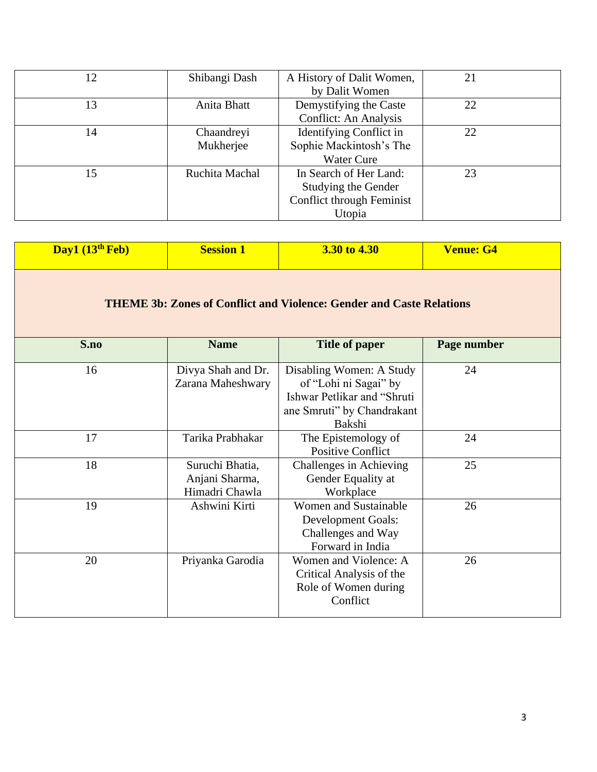| 12 | Shibangi Dash  | A History of Dalit Women, | 21 |
|----|----------------|---------------------------|----|
|    |                | by Dalit Women            |    |
| 13 | Anita Bhatt    | Demystifying the Caste    | 22 |
|    |                | Conflict: An Analysis     |    |
| 14 | Chaandreyi     | Identifying Conflict in   | 22 |
|    | Mukherjee      | Sophie Mackintosh's The   |    |
|    |                | <b>Water Cure</b>         |    |
| 15 | Ruchita Machal | In Search of Her Land:    | 23 |
|    |                | Studying the Gender       |    |
|    |                | Conflict through Feminist |    |
|    |                | Utopia                    |    |

| Day1 (13 <sup>th</sup> Feb)                                                 | <b>Session 1</b>                                    | 3.30 to 4.30                                                                                                             | <b>Venue: G4</b> |  |  |
|-----------------------------------------------------------------------------|-----------------------------------------------------|--------------------------------------------------------------------------------------------------------------------------|------------------|--|--|
| <b>THEME 3b: Zones of Conflict and Violence: Gender and Caste Relations</b> |                                                     |                                                                                                                          |                  |  |  |
| S.no                                                                        | <b>Name</b>                                         | <b>Title of paper</b>                                                                                                    | Page number      |  |  |
| 16                                                                          | Divya Shah and Dr.<br>Zarana Maheshwary             | Disabling Women: A Study<br>of "Lohi ni Sagai" by<br>Ishwar Petlikar and "Shruti<br>ane Smruti" by Chandrakant<br>Bakshi | 24               |  |  |
| 17                                                                          | Tarika Prabhakar                                    | The Epistemology of<br><b>Positive Conflict</b>                                                                          | 24               |  |  |
| 18                                                                          | Suruchi Bhatia,<br>Anjani Sharma,<br>Himadri Chawla | Challenges in Achieving<br>Gender Equality at<br>Workplace                                                               | 25               |  |  |
| 19                                                                          | Ashwini Kirti                                       | <b>Women and Sustainable</b><br>Development Goals:<br>Challenges and Way<br>Forward in India                             | 26               |  |  |
| 20                                                                          | Priyanka Garodia                                    | Women and Violence: A<br>Critical Analysis of the<br>Role of Women during<br>Conflict                                    | 26               |  |  |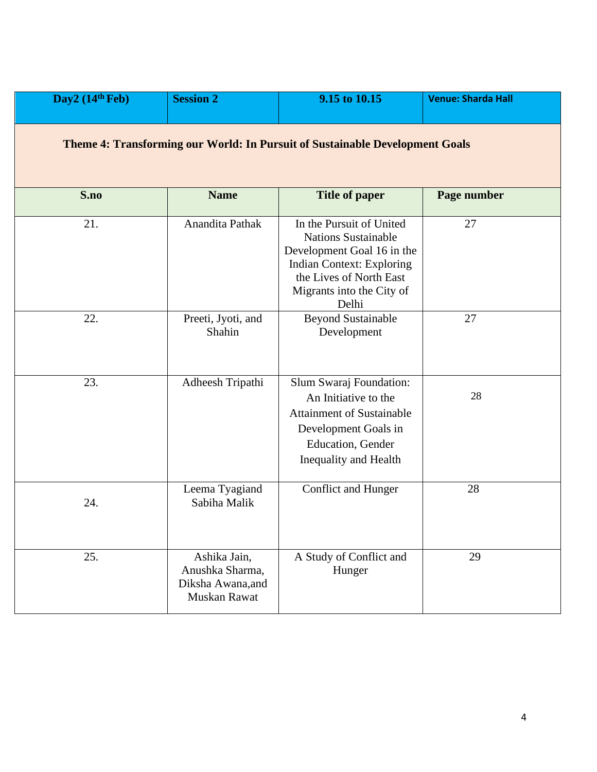| Day2 $(14th Feb)$                                                            | <b>Session 2</b>                                                     | 9.15 to 10.15                                                                                                                                                                             | <b>Venue: Sharda Hall</b> |  |
|------------------------------------------------------------------------------|----------------------------------------------------------------------|-------------------------------------------------------------------------------------------------------------------------------------------------------------------------------------------|---------------------------|--|
| Theme 4: Transforming our World: In Pursuit of Sustainable Development Goals |                                                                      |                                                                                                                                                                                           |                           |  |
| S.no                                                                         | <b>Name</b>                                                          | <b>Title of paper</b>                                                                                                                                                                     | Page number               |  |
| 21.                                                                          | Anandita Pathak                                                      | In the Pursuit of United<br><b>Nations Sustainable</b><br>Development Goal 16 in the<br><b>Indian Context: Exploring</b><br>the Lives of North East<br>Migrants into the City of<br>Delhi | 27                        |  |
| 22.                                                                          | Preeti, Jyoti, and<br>Shahin                                         | <b>Beyond Sustainable</b><br>Development                                                                                                                                                  | 27                        |  |
| 23.                                                                          | Adheesh Tripathi                                                     | Slum Swaraj Foundation:<br>An Initiative to the<br><b>Attainment of Sustainable</b><br>Development Goals in<br>Education, Gender<br>Inequality and Health                                 | 28                        |  |
| 24.                                                                          | Leema Tyagiand<br>Sabiha Malik                                       | Conflict and Hunger                                                                                                                                                                       | 28                        |  |
| 25.                                                                          | Ashika Jain,<br>Anushka Sharma,<br>Diksha Awana, and<br>Muskan Rawat | A Study of Conflict and<br>Hunger                                                                                                                                                         | 29                        |  |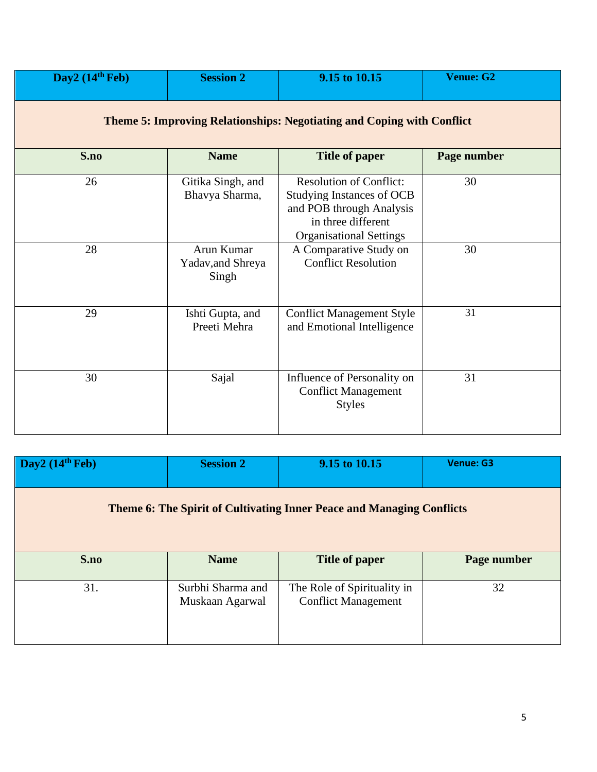| Day2 $(14th Feb)$                                                             | <b>Session 2</b>                         | 9.15 to 10.15                                                                                                                                   | <b>Venue: G2</b> |  |
|-------------------------------------------------------------------------------|------------------------------------------|-------------------------------------------------------------------------------------------------------------------------------------------------|------------------|--|
| <b>Theme 5: Improving Relationships: Negotiating and Coping with Conflict</b> |                                          |                                                                                                                                                 |                  |  |
| S.no                                                                          | <b>Name</b>                              | <b>Title of paper</b>                                                                                                                           | Page number      |  |
| 26                                                                            | Gitika Singh, and<br>Bhavya Sharma,      | <b>Resolution of Conflict:</b><br>Studying Instances of OCB<br>and POB through Analysis<br>in three different<br><b>Organisational Settings</b> | 30               |  |
| 28                                                                            | Arun Kumar<br>Yadav, and Shreya<br>Singh | A Comparative Study on<br><b>Conflict Resolution</b>                                                                                            | 30               |  |
| 29                                                                            | Ishti Gupta, and<br>Preeti Mehra         | <b>Conflict Management Style</b><br>and Emotional Intelligence                                                                                  | 31               |  |
| 30                                                                            | Sajal                                    | Influence of Personality on<br><b>Conflict Management</b><br><b>Styles</b>                                                                      | 31               |  |

| Day2 $(14th Feb)$                                                     | <b>Session 2</b>                     | 9.15 to 10.15                                             | <b>Venue: G3</b> |  |  |
|-----------------------------------------------------------------------|--------------------------------------|-----------------------------------------------------------|------------------|--|--|
| Theme 6: The Spirit of Cultivating Inner Peace and Managing Conflicts |                                      |                                                           |                  |  |  |
|                                                                       |                                      |                                                           |                  |  |  |
| S.no                                                                  | <b>Name</b>                          | <b>Title of paper</b>                                     | Page number      |  |  |
| 31.                                                                   | Surbhi Sharma and<br>Muskaan Agarwal | The Role of Spirituality in<br><b>Conflict Management</b> | 32               |  |  |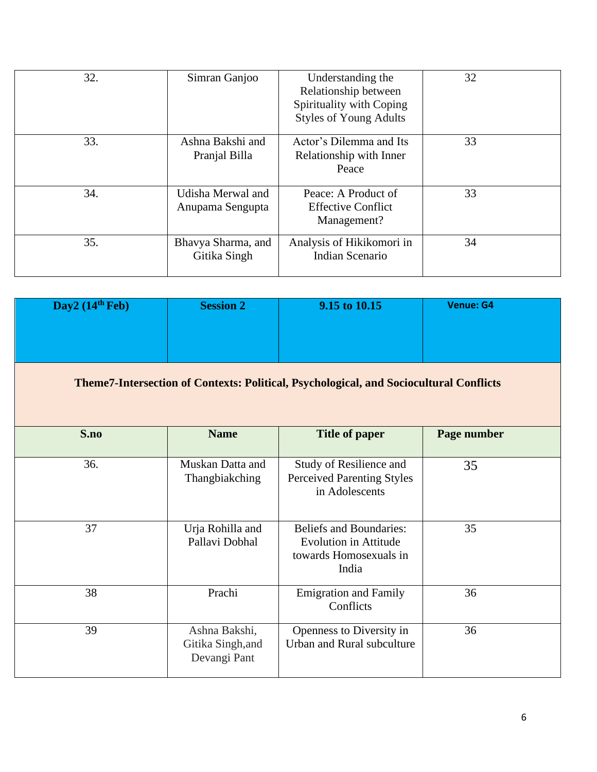| 32. | Simran Ganjoo                         | Understanding the<br>Relationship between<br>Spirituality with Coping<br><b>Styles of Young Adults</b> | 32 |
|-----|---------------------------------------|--------------------------------------------------------------------------------------------------------|----|
| 33. | Ashna Bakshi and<br>Pranjal Billa     | Actor's Dilemma and Its<br>Relationship with Inner<br>Peace                                            | 33 |
| 34. | Udisha Merwal and<br>Anupama Sengupta | Peace: A Product of<br><b>Effective Conflict</b><br>Management?                                        | 33 |
| 35. | Bhavya Sharma, and<br>Gitika Singh    | Analysis of Hikikomori in<br>Indian Scenario                                                           | 34 |

| Day2 $(14th Feb)$ | <b>Session 2</b>                                                                              | 9.15 to 10.15                                                                                     | <b>Venue: G4</b> |  |  |
|-------------------|-----------------------------------------------------------------------------------------------|---------------------------------------------------------------------------------------------------|------------------|--|--|
|                   | <b>Theme7-Intersection of Contexts: Political, Psychological, and Sociocultural Conflicts</b> |                                                                                                   |                  |  |  |
| S.no              | <b>Name</b>                                                                                   | <b>Title of paper</b>                                                                             | Page number      |  |  |
| 36.               | Muskan Datta and<br>Thangbiakching                                                            | Study of Resilience and<br><b>Perceived Parenting Styles</b><br>in Adolescents                    | 35               |  |  |
| 37                | Urja Rohilla and<br>Pallavi Dobhal                                                            | <b>Beliefs and Boundaries:</b><br><b>Evolution in Attitude</b><br>towards Homosexuals in<br>India | 35               |  |  |
| 38                | Prachi                                                                                        | <b>Emigration and Family</b><br>Conflicts                                                         | 36               |  |  |
| 39                | Ashna Bakshi,<br>Gitika Singh, and<br>Devangi Pant                                            | Openness to Diversity in<br>Urban and Rural subculture                                            | 36               |  |  |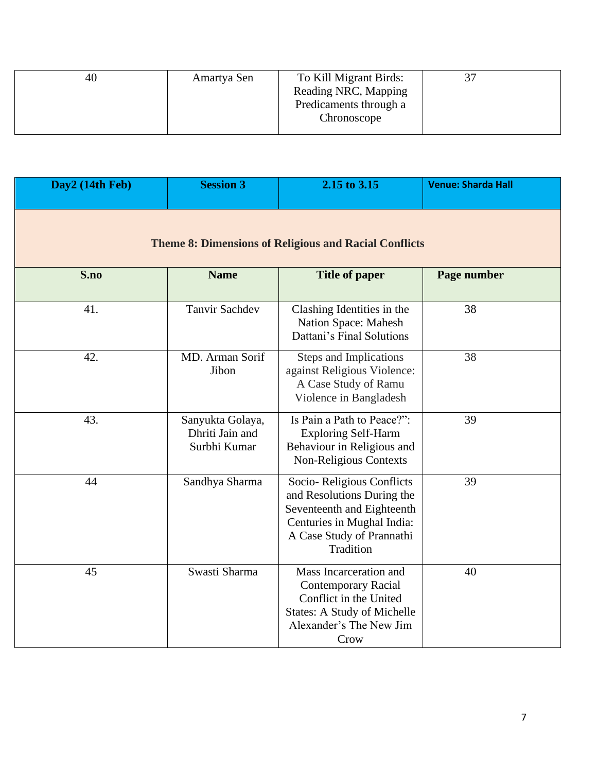| 40 | Amartya Sen | To Kill Migrant Birds: | 37 |
|----|-------------|------------------------|----|
|    |             | Reading NRC, Mapping   |    |
|    |             | Predicaments through a |    |
|    |             | Chronoscope            |    |
|    |             |                        |    |

| Day2 (14th Feb)                                              | <b>Session 3</b>                                    | 2.15 to 3.15                                                                                                                                                  | <b>Venue: Sharda Hall</b> |  |  |
|--------------------------------------------------------------|-----------------------------------------------------|---------------------------------------------------------------------------------------------------------------------------------------------------------------|---------------------------|--|--|
| <b>Theme 8: Dimensions of Religious and Racial Conflicts</b> |                                                     |                                                                                                                                                               |                           |  |  |
| S.no                                                         | <b>Name</b>                                         | <b>Title of paper</b>                                                                                                                                         | Page number               |  |  |
| 41.                                                          | <b>Tanvir Sachdev</b>                               | Clashing Identities in the<br>Nation Space: Mahesh<br>Dattani's Final Solutions                                                                               | 38                        |  |  |
| 42.                                                          | MD. Arman Sorif<br>Jibon                            | Steps and Implications<br>against Religious Violence:<br>A Case Study of Ramu<br>Violence in Bangladesh                                                       | 38                        |  |  |
| 43.                                                          | Sanyukta Golaya,<br>Dhriti Jain and<br>Surbhi Kumar | Is Pain a Path to Peace?":<br><b>Exploring Self-Harm</b><br>Behaviour in Religious and<br>Non-Religious Contexts                                              | 39                        |  |  |
| 44                                                           | Sandhya Sharma                                      | Socio-Religious Conflicts<br>and Resolutions During the<br>Seventeenth and Eighteenth<br>Centuries in Mughal India:<br>A Case Study of Prannathi<br>Tradition | 39                        |  |  |
| 45                                                           | Swasti Sharma                                       | Mass Incarceration and<br><b>Contemporary Racial</b><br>Conflict in the United<br><b>States: A Study of Michelle</b><br>Alexander's The New Jim<br>Crow       | 40                        |  |  |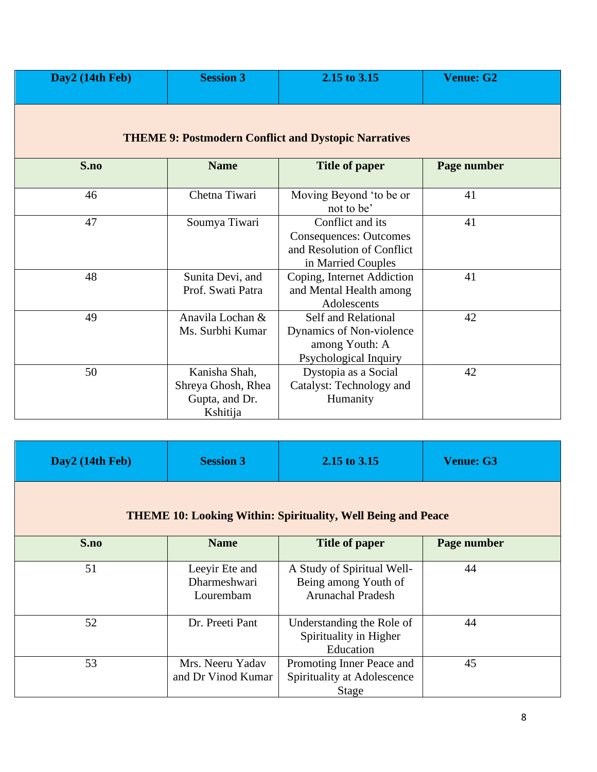| Day2 (14th Feb) | <b>Session 3</b>                                                  | 2.15 to 3.15                                                                                          | <b>Venue: G2</b> |
|-----------------|-------------------------------------------------------------------|-------------------------------------------------------------------------------------------------------|------------------|
|                 |                                                                   | <b>THEME 9: Postmodern Conflict and Dystopic Narratives</b>                                           |                  |
| S.no            | <b>Name</b>                                                       | <b>Title of paper</b>                                                                                 | Page number      |
| 46              | Chetna Tiwari                                                     | Moving Beyond 'to be or<br>not to be'                                                                 | 41               |
| 47              | Soumya Tiwari                                                     | Conflict and its<br><b>Consequences: Outcomes</b><br>and Resolution of Conflict<br>in Married Couples | 41               |
| 48              | Sunita Devi, and<br>Prof. Swati Patra                             | Coping, Internet Addiction<br>and Mental Health among<br>Adolescents                                  | 41               |
| 49              | Anavila Lochan &<br>Ms. Surbhi Kumar                              | Self and Relational<br>Dynamics of Non-violence<br>among Youth: A<br>Psychological Inquiry            | 42               |
| 50              | Kanisha Shah,<br>Shreya Ghosh, Rhea<br>Gupta, and Dr.<br>Kshitija | Dystopia as a Social<br>Catalyst: Technology and<br>Humanity                                          | 42               |

| Day2 (14th Feb)                                                     | <b>Session 3</b>                            | 2.15 to 3.15                                                                   | <b>Venue: G3</b> |  |
|---------------------------------------------------------------------|---------------------------------------------|--------------------------------------------------------------------------------|------------------|--|
| <b>THEME 10: Looking Within: Spirituality, Well Being and Peace</b> |                                             |                                                                                |                  |  |
| S.no                                                                | <b>Name</b>                                 | <b>Title of paper</b>                                                          | Page number      |  |
| 51                                                                  | Leeyir Ete and<br>Dharmeshwari<br>Lourembam | A Study of Spiritual Well-<br>Being among Youth of<br><b>Arunachal Pradesh</b> | 44               |  |
| 52                                                                  | Dr. Preeti Pant                             | Understanding the Role of<br>Spirituality in Higher<br>Education               | 44               |  |
| 53                                                                  | Mrs. Neeru Yadav<br>and Dr Vinod Kumar      | Promoting Inner Peace and<br>Spirituality at Adolescence<br>Stage              | 45               |  |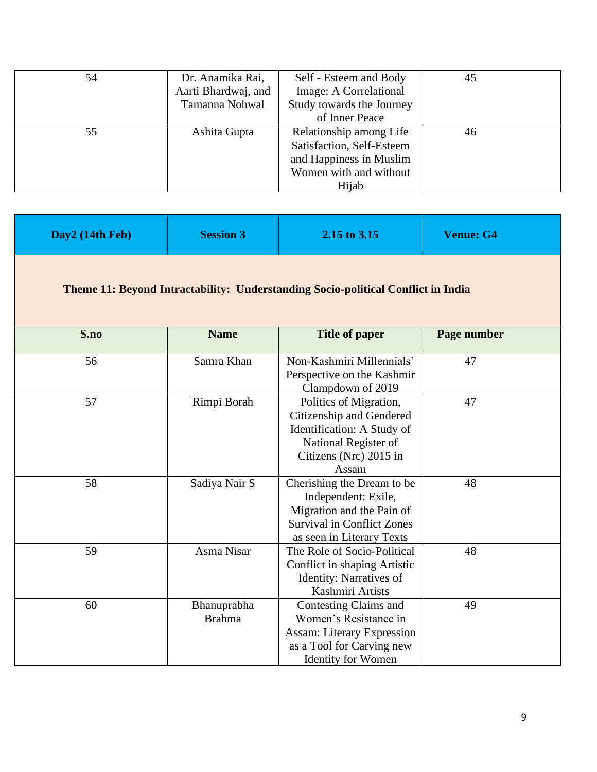| 54 | Dr. Anamika Rai,<br>Aarti Bhardwaj, and<br>Tamanna Nohwal | Self - Esteem and Body<br>Image: A Correlational<br>Study towards the Journey                                      | 45 |
|----|-----------------------------------------------------------|--------------------------------------------------------------------------------------------------------------------|----|
|    |                                                           | of Inner Peace                                                                                                     |    |
| 55 | Ashita Gupta                                              | Relationship among Life<br>Satisfaction, Self-Esteem<br>and Happiness in Muslim<br>Women with and without<br>Hijab | 46 |

| Day2 (14th Feb) | <b>Session 3</b>             | 2.15 to 3.15                                                                                                                                     | <b>Venue: G4</b> |
|-----------------|------------------------------|--------------------------------------------------------------------------------------------------------------------------------------------------|------------------|
|                 |                              | <b>Theme 11: Beyond Intractability: Understanding Socio-political Conflict in India</b>                                                          |                  |
| S.no            | <b>Name</b>                  | <b>Title of paper</b>                                                                                                                            | Page number      |
| 56              | Samra Khan                   | Non-Kashmiri Millennials'<br>Perspective on the Kashmir<br>Clampdown of 2019                                                                     | 47               |
| 57              | Rimpi Borah                  | Politics of Migration,<br>Citizenship and Gendered<br>Identification: A Study of<br>National Register of<br>Citizens (Nrc) 2015 in<br>Assam      | 47               |
| 58              | Sadiya Nair S                | Cherishing the Dream to be<br>Independent: Exile,<br>Migration and the Pain of<br><b>Survival in Conflict Zones</b><br>as seen in Literary Texts | 48               |
| 59              | Asma Nisar                   | The Role of Socio-Political<br>Conflict in shaping Artistic<br><b>Identity: Narratives of</b><br>Kashmiri Artists                                | 48               |
| 60              | Bhanuprabha<br><b>Brahma</b> | Contesting Claims and<br>Women's Resistance in<br><b>Assam: Literary Expression</b><br>as a Tool for Carving new<br><b>Identity for Women</b>    | 49               |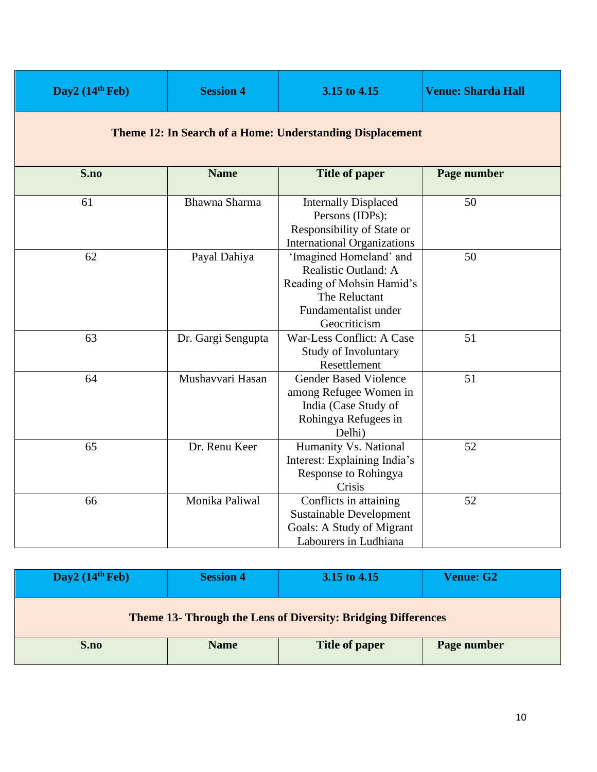| Day2 $(14th Feb)$                                                | <b>Session 4</b>   | 3.15 to 4.15                                                                                                                          | <b>Venue: Sharda Hall</b> |  |
|------------------------------------------------------------------|--------------------|---------------------------------------------------------------------------------------------------------------------------------------|---------------------------|--|
| <b>Theme 12: In Search of a Home: Understanding Displacement</b> |                    |                                                                                                                                       |                           |  |
| S.no                                                             | <b>Name</b>        | <b>Title of paper</b>                                                                                                                 | Page number               |  |
| 61                                                               | Bhawna Sharma      | <b>Internally Displaced</b><br>Persons (IDPs):<br>Responsibility of State or<br><b>International Organizations</b>                    | 50                        |  |
| 62                                                               | Payal Dahiya       | 'Imagined Homeland' and<br>Realistic Outland: A<br>Reading of Mohsin Hamid's<br>The Reluctant<br>Fundamentalist under<br>Geocriticism | 50                        |  |
| 63                                                               | Dr. Gargi Sengupta | War-Less Conflict: A Case<br>Study of Involuntary<br>Resettlement                                                                     | 51                        |  |
| 64                                                               | Mushavvari Hasan   | <b>Gender Based Violence</b><br>among Refugee Women in<br>India (Case Study of<br>Rohingya Refugees in<br>Delhi)                      | 51                        |  |
| 65                                                               | Dr. Renu Keer      | Humanity Vs. National<br>Interest: Explaining India's<br>Response to Rohingya<br>Crisis                                               | 52                        |  |
| 66                                                               | Monika Paliwal     | Conflicts in attaining<br><b>Sustainable Development</b><br>Goals: A Study of Migrant<br>Labourers in Ludhiana                        | 52                        |  |

| Day2 $(14th Feb)$                                                    | <b>Session 4</b> | 3.15 to 4.15   | <b>Venue: G2</b> |  |
|----------------------------------------------------------------------|------------------|----------------|------------------|--|
| <b>Theme 13- Through the Lens of Diversity: Bridging Differences</b> |                  |                |                  |  |
| S.no                                                                 | <b>Name</b>      | Title of paper | Page number      |  |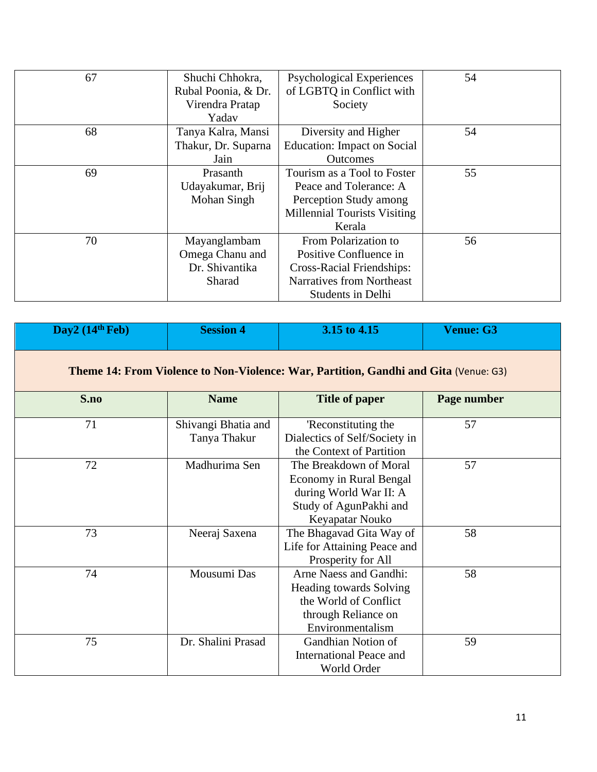| 67 | Shuchi Chhokra,<br>Rubal Poonia, & Dr.<br>Virendra Pratap   | <b>Psychological Experiences</b><br>of LGBTQ in Conflict with<br>Society                                                                    | 54 |
|----|-------------------------------------------------------------|---------------------------------------------------------------------------------------------------------------------------------------------|----|
|    | Yadav                                                       |                                                                                                                                             |    |
| 68 | Tanya Kalra, Mansi<br>Thakur, Dr. Suparna<br>Jain           | Diversity and Higher<br><b>Education:</b> Impact on Social<br><b>Outcomes</b>                                                               | 54 |
| 69 | Prasanth<br>Udayakumar, Brij<br>Mohan Singh                 | Tourism as a Tool to Foster<br>Peace and Tolerance: A<br>Perception Study among<br><b>Millennial Tourists Visiting</b><br>Kerala            | 55 |
| 70 | Mayanglambam<br>Omega Chanu and<br>Dr. Shivantika<br>Sharad | From Polarization to<br>Positive Confluence in<br><b>Cross-Racial Friendships:</b><br>Narratives from Northeast<br><b>Students in Delhi</b> | 56 |

| Day2 $(14th Feb)$ | <b>Session 4</b>                                                                            | 3.15 to 4.15                                                                                                                 | <b>Venue: G3</b> |  |  |
|-------------------|---------------------------------------------------------------------------------------------|------------------------------------------------------------------------------------------------------------------------------|------------------|--|--|
|                   | <b>Theme 14: From Violence to Non-Violence: War, Partition, Gandhi and Gita (Venue: G3)</b> |                                                                                                                              |                  |  |  |
| S.no              | <b>Name</b>                                                                                 | <b>Title of paper</b>                                                                                                        | Page number      |  |  |
| 71                | Shivangi Bhatia and<br>Tanya Thakur                                                         | 'Reconstituting the<br>Dialectics of Self/Society in<br>the Context of Partition                                             | 57               |  |  |
| 72                | Madhurima Sen                                                                               | The Breakdown of Moral<br>Economy in Rural Bengal<br>during World War II: A<br>Study of AgunPakhi and<br>Keyapatar Nouko     | 57               |  |  |
| 73                | Neeraj Saxena                                                                               | The Bhagavad Gita Way of<br>Life for Attaining Peace and<br>Prosperity for All                                               | 58               |  |  |
| 74                | Mousumi Das                                                                                 | Arne Naess and Gandhi:<br><b>Heading towards Solving</b><br>the World of Conflict<br>through Reliance on<br>Environmentalism | 58               |  |  |
| 75                | Dr. Shalini Prasad                                                                          | Gandhian Notion of<br><b>International Peace and</b><br>World Order                                                          | 59               |  |  |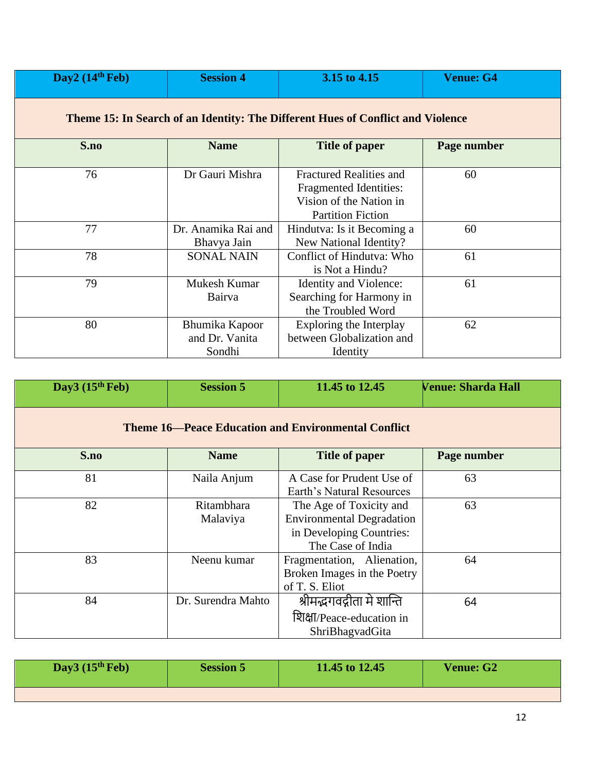| Day2 $(14th Feb)$                                                               | <b>Session 4</b>                           | 3.15 to 4.15                                                                                                           | <b>Venue: G4</b> |  |  |
|---------------------------------------------------------------------------------|--------------------------------------------|------------------------------------------------------------------------------------------------------------------------|------------------|--|--|
| Theme 15: In Search of an Identity: The Different Hues of Conflict and Violence |                                            |                                                                                                                        |                  |  |  |
| S.no                                                                            | <b>Name</b>                                | Title of paper                                                                                                         | Page number      |  |  |
| 76                                                                              | Dr Gauri Mishra                            | <b>Fractured Realities and</b><br><b>Fragmented Identities:</b><br>Vision of the Nation in<br><b>Partition Fiction</b> | 60               |  |  |
| 77                                                                              | Dr. Anamika Rai and<br>Bhavya Jain         | Hindutva: Is it Becoming a<br>New National Identity?                                                                   | 60               |  |  |
| 78                                                                              | <b>SONAL NAIN</b>                          | Conflict of Hindutva: Who<br>is Not a Hindu?                                                                           | 61               |  |  |
| 79                                                                              | Mukesh Kumar<br>Bairva                     | Identity and Violence:<br>Searching for Harmony in<br>the Troubled Word                                                | 61               |  |  |
| 80                                                                              | Bhumika Kapoor<br>and Dr. Vanita<br>Sondhi | Exploring the Interplay<br>between Globalization and<br>Identity                                                       | 62               |  |  |

| Day3 $(15th$ Feb)                                          | <b>Session 5</b>              | 11.45 to 12.45                                                                                               | <b>Venue: Sharda Hall</b> |  |  |
|------------------------------------------------------------|-------------------------------|--------------------------------------------------------------------------------------------------------------|---------------------------|--|--|
| <b>Theme 16—Peace Education and Environmental Conflict</b> |                               |                                                                                                              |                           |  |  |
| S.no                                                       | <b>Name</b>                   | Title of paper                                                                                               | Page number               |  |  |
| 81                                                         | Naila Anjum                   | A Case for Prudent Use of<br>Earth's Natural Resources                                                       | 63                        |  |  |
| 82                                                         | <b>Ritambhara</b><br>Malaviya | The Age of Toxicity and<br><b>Environmental Degradation</b><br>in Developing Countries:<br>The Case of India | 63                        |  |  |
| 83                                                         | Neenu kumar                   | Fragmentation, Alienation,<br>Broken Images in the Poetry<br>of T. S. Eliot                                  | 64                        |  |  |
| 84                                                         | Dr. Surendra Mahto            | श्रीमद्भगवद्गीता मे शान्ति<br>शिक्षा/Peace-education in<br>ShriBhagvadGita                                   | 64                        |  |  |

| Day3 $(15th Feb)$ | <b>Session 5</b> | 11.45 to 12.45 | <b>Venue: G2</b> |
|-------------------|------------------|----------------|------------------|
|                   |                  |                |                  |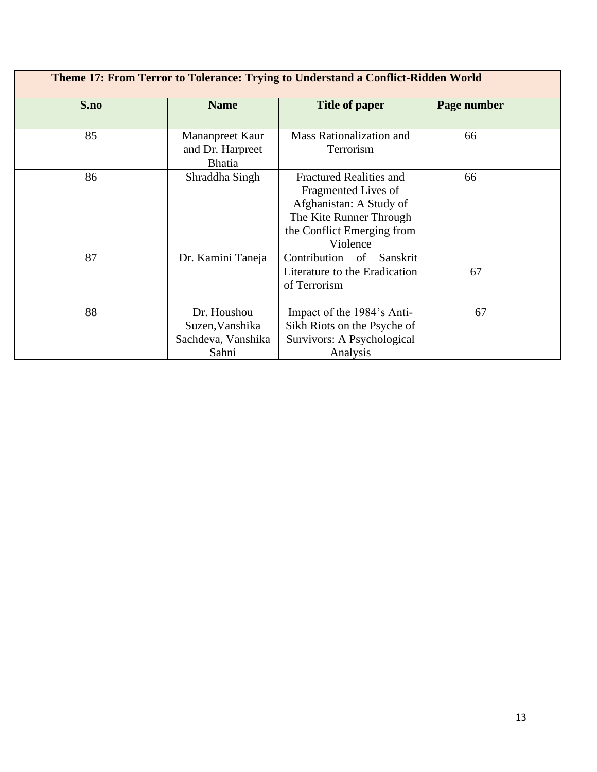| Theme 17: From Terror to Tolerance: Trying to Understand a Conflict-Ridden World |                                                               |                                                                                                                                                       |             |
|----------------------------------------------------------------------------------|---------------------------------------------------------------|-------------------------------------------------------------------------------------------------------------------------------------------------------|-------------|
| S.no                                                                             | <b>Name</b>                                                   | <b>Title of paper</b>                                                                                                                                 | Page number |
| 85                                                                               | Mananpreet Kaur<br>and Dr. Harpreet<br><b>Bhatia</b>          | Mass Rationalization and<br>Terrorism                                                                                                                 | 66          |
| 86                                                                               | Shraddha Singh                                                | <b>Fractured Realities and</b><br>Fragmented Lives of<br>Afghanistan: A Study of<br>The Kite Runner Through<br>the Conflict Emerging from<br>Violence | 66          |
| 87                                                                               | Dr. Kamini Taneja                                             | Contribution of Sanskrit<br>Literature to the Eradication<br>of Terrorism                                                                             | 67          |
| 88                                                                               | Dr. Houshou<br>Suzen, Vanshika<br>Sachdeva, Vanshika<br>Sahni | Impact of the 1984's Anti-<br>Sikh Riots on the Psyche of<br>Survivors: A Psychological<br>Analysis                                                   | 67          |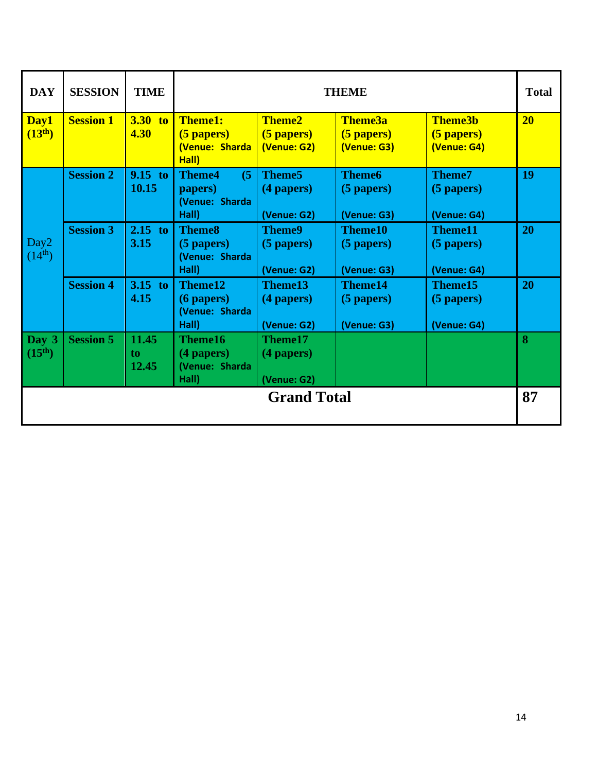| <b>DAY</b>                                    | <b>SESSION</b>   | <b>TIME</b>            | <b>THEME</b>                                               |                                                 |                                               |                                               | <b>Total</b>    |
|-----------------------------------------------|------------------|------------------------|------------------------------------------------------------|-------------------------------------------------|-----------------------------------------------|-----------------------------------------------|-----------------|
| Day1<br>$(13^{th})$                           | <b>Session 1</b> | <b>3.30 to</b><br>4.30 | <b>Theme1:</b><br>$(5$ papers)<br>(Venue: Sharda<br>Hall)  | <b>Theme2</b><br>(5 papers)<br>(Venue: G2)      | Theme3a<br>(5 papers)<br>(Venue: G3)          | <b>Theme3b</b><br>(5 papers)<br>(Venue: G4)   | 20 <sup>°</sup> |
|                                               | <b>Session 2</b> | $9.15$ to<br>10.15     | (5)<br><b>Theme4</b><br>papers)<br>(Venue: Sharda<br>Hall) | Theme <sub>5</sub><br>(4 papers)<br>(Venue: G2) | <b>Theme6</b><br>$(5$ papers)<br>(Venue: G3)  | <b>Theme7</b><br>$(5$ papers)<br>(Venue: G4)  | 19              |
| Day2<br>$(14^{th})$                           | <b>Session 3</b> | $2.15$ to<br>3.15      | <b>Theme8</b><br>$(5$ papers)<br>(Venue: Sharda<br>Hall)   | <b>Theme9</b><br>$(5$ papers)<br>(Venue: G2)    | <b>Theme10</b><br>$(5$ papers)<br>(Venue: G3) | <b>Theme11</b><br>$(5$ papers)<br>(Venue: G4) | 20              |
|                                               | <b>Session 4</b> | $3.15$ to<br>4.15      | Theme12<br>$(6$ papers $)$<br>(Venue: Sharda<br>Hall)      | Theme13<br>(4 papers)<br>(Venue: G2)            | <b>Theme14</b><br>$(5$ papers)<br>(Venue: G3) | Theme15<br>(5 papers)<br>(Venue: G4)          | 20              |
| $\sqrt{\text{Day } 3}$<br>(15 <sup>th</sup> ) | <b>Session 5</b> | 11.45<br>to.<br>12.45  | Theme16<br>$(4$ papers $)$<br>(Venue: Sharda<br>Hall)      | Theme17<br>(4 papers)<br>(Venue: G2)            |                                               |                                               | 8               |
| <b>Grand Total</b>                            |                  |                        |                                                            |                                                 |                                               |                                               | 87              |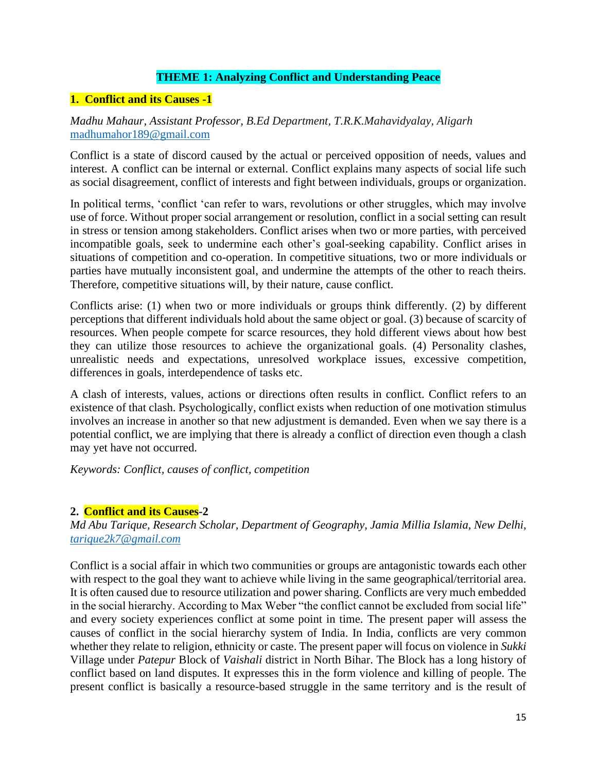# **THEME 1: Analyzing Conflict and Understanding Peace**

# **1. Conflict and its Causes -1**

# *Madhu Mahaur, Assistant Professor, B.Ed Department, T.R.K.Mahavidyalay, Aligarh* [madhumahor189@gmail.com](mailto:madhumahor189@gmail.com)

Conflict is a state of discord caused by the actual or perceived opposition of needs, values and interest. A conflict can be internal or external. Conflict explains many aspects of social life such as social disagreement, conflict of interests and fight between individuals, groups or organization.

In political terms, 'conflict 'can refer to wars, revolutions or other struggles, which may involve use of force. Without proper social arrangement or resolution, conflict in a social setting can result in stress or tension among stakeholders. Conflict arises when two or more parties, with perceived incompatible goals, seek to undermine each other's goal-seeking capability. Conflict arises in situations of competition and co-operation. In competitive situations, two or more individuals or parties have mutually inconsistent goal, and undermine the attempts of the other to reach theirs. Therefore, competitive situations will, by their nature, cause conflict.

Conflicts arise: (1) when two or more individuals or groups think differently. (2) by different perceptions that different individuals hold about the same object or goal. (3) because of scarcity of resources. When people compete for scarce resources, they hold different views about how best they can utilize those resources to achieve the organizational goals. (4) Personality clashes, unrealistic needs and expectations, unresolved workplace issues, excessive competition, differences in goals, interdependence of tasks etc.

A clash of interests, values, actions or directions often results in conflict. Conflict refers to an existence of that clash. Psychologically, conflict exists when reduction of one motivation stimulus involves an increase in another so that new adjustment is demanded. Even when we say there is a potential conflict, we are implying that there is already a conflict of direction even though a clash may yet have not occurred.

*Keywords: Conflict, causes of conflict, competition*

## **2. Conflict and its Causes-2**

*Md Abu Tarique, Research Scholar, Department of Geography, Jamia Millia Islamia, New Delhi, [tarique2k7@gmail.com](mailto:tarique2k7@gmail.com)*

Conflict is a social affair in which two communities or groups are antagonistic towards each other with respect to the goal they want to achieve while living in the same geographical/territorial area. It is often caused due to resource utilization and power sharing. Conflicts are very much embedded in the social hierarchy. According to Max Weber "the conflict cannot be excluded from social life" and every society experiences conflict at some point in time. The present paper will assess the causes of conflict in the social hierarchy system of India. In India, conflicts are very common whether they relate to religion, ethnicity or caste. The present paper will focus on violence in *Sukki* Village under *Patepur* Block of *Vaishali* district in North Bihar. The Block has a long history of conflict based on land disputes. It expresses this in the form violence and killing of people. The present conflict is basically a resource-based struggle in the same territory and is the result of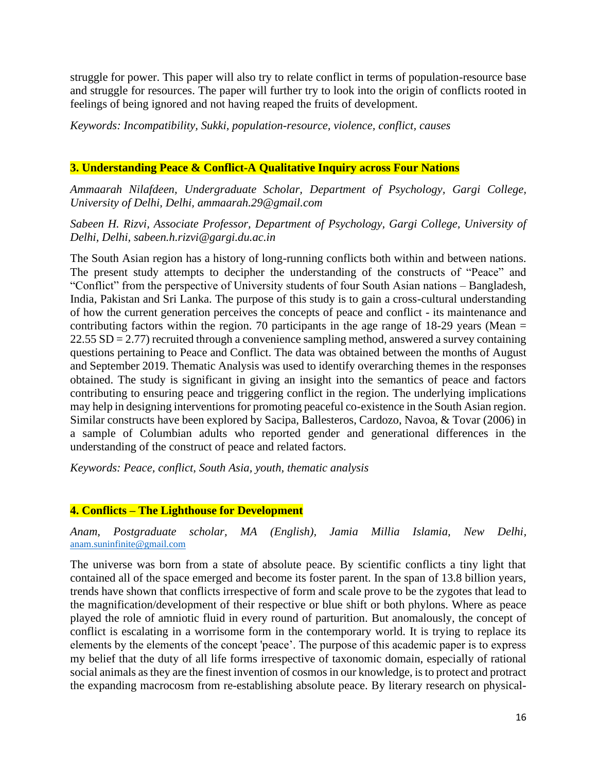struggle for power. This paper will also try to relate conflict in terms of population-resource base and struggle for resources. The paper will further try to look into the origin of conflicts rooted in feelings of being ignored and not having reaped the fruits of development.

*Keywords: Incompatibility, Sukki, population-resource, violence, conflict, causes*

# **3. Understanding Peace & Conflict-A Qualitative Inquiry across Four Nations**

*Ammaarah Nilafdeen, Undergraduate Scholar, Department of Psychology, Gargi College, University of Delhi, Delhi, ammaarah.29@gmail.com*

*Sabeen H. Rizvi, Associate Professor, Department of Psychology, Gargi College, University of Delhi, Delhi, sabeen.h.rizvi@gargi.du.ac.in*

The South Asian region has a history of long-running conflicts both within and between nations. The present study attempts to decipher the understanding of the constructs of "Peace" and "Conflict" from the perspective of University students of four South Asian nations – Bangladesh, India, Pakistan and Sri Lanka. The purpose of this study is to gain a cross-cultural understanding of how the current generation perceives the concepts of peace and conflict - its maintenance and contributing factors within the region. 70 participants in the age range of  $18-29$  years (Mean  $=$ 22.55 SD = 2.77) recruited through a convenience sampling method, answered a survey containing questions pertaining to Peace and Conflict. The data was obtained between the months of August and September 2019. Thematic Analysis was used to identify overarching themes in the responses obtained. The study is significant in giving an insight into the semantics of peace and factors contributing to ensuring peace and triggering conflict in the region. The underlying implications may help in designing interventions for promoting peaceful co-existence in the South Asian region. Similar constructs have been explored by Sacipa, Ballesteros, Cardozo, Navoa, & Tovar (2006) in a sample of Columbian adults who reported gender and generational differences in the understanding of the construct of peace and related factors.

*Keywords: Peace, conflict, South Asia, youth, thematic analysis*

## **4. Conflicts – The Lighthouse for Development**

*Anam, Postgraduate scholar, MA (English), Jamia Millia Islamia, New Delhi,*  [anam.suninfinite@gmail.com](mailto:anam.suninfinite@gmail.com)

The universe was born from a state of absolute peace. By scientific conflicts a tiny light that contained all of the space emerged and become its foster parent. In the span of 13.8 billion years, trends have shown that conflicts irrespective of form and scale prove to be the zygotes that lead to the magnification/development of their respective or blue shift or both phylons. Where as peace played the role of amniotic fluid in every round of parturition. But anomalously, the concept of conflict is escalating in a worrisome form in the contemporary world. It is trying to replace its elements by the elements of the concept 'peace'. The purpose of this academic paper is to express my belief that the duty of all life forms irrespective of taxonomic domain, especially of rational social animals as they are the finest invention of cosmos in our knowledge, is to protect and protract the expanding macrocosm from re-establishing absolute peace. By literary research on physical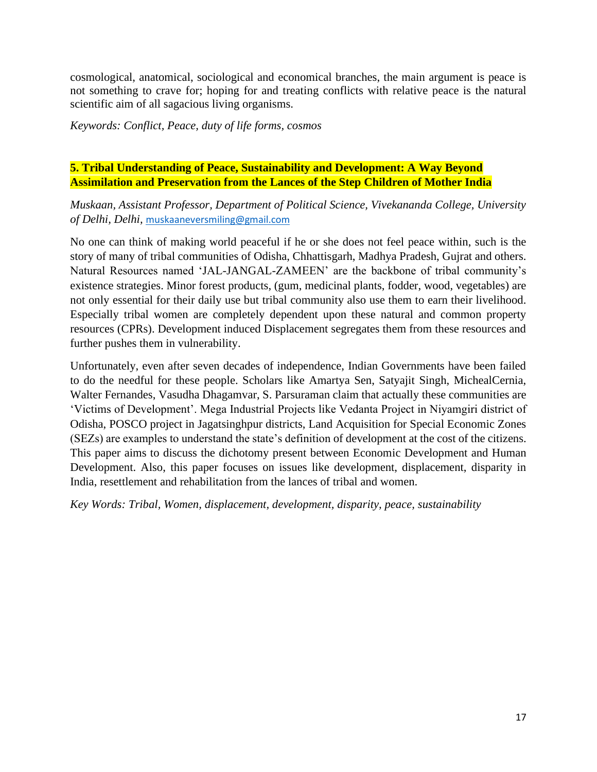cosmological, anatomical, sociological and economical branches, the main argument is peace is not something to crave for; hoping for and treating conflicts with relative peace is the natural scientific aim of all sagacious living organisms.

*Keywords: Conflict, Peace, duty of life forms, cosmos*

# **5. Tribal Understanding of Peace, Sustainability and Development: A Way Beyond Assimilation and Preservation from the Lances of the Step Children of Mother India**

*Muskaan, Assistant Professor, Department of Political Science, Vivekananda College, University of Delhi, Delhi,* [muskaaneversmiling@gmail.com](mailto:muskaaneversmiling@gmail.com)

No one can think of making world peaceful if he or she does not feel peace within, such is the story of many of tribal communities of Odisha, Chhattisgarh, Madhya Pradesh, Gujrat and others. Natural Resources named 'JAL-JANGAL-ZAMEEN' are the backbone of tribal community's existence strategies. Minor forest products, (gum, medicinal plants, fodder, wood, vegetables) are not only essential for their daily use but tribal community also use them to earn their livelihood. Especially tribal women are completely dependent upon these natural and common property resources (CPRs). Development induced Displacement segregates them from these resources and further pushes them in vulnerability.

Unfortunately, even after seven decades of independence, Indian Governments have been failed to do the needful for these people. Scholars like Amartya Sen, Satyajit Singh, MichealCernia, Walter Fernandes, Vasudha Dhagamvar, S. Parsuraman claim that actually these communities are 'Victims of Development'. Mega Industrial Projects like Vedanta Project in Niyamgiri district of Odisha, POSCO project in Jagatsinghpur districts, Land Acquisition for Special Economic Zones (SEZs) are examples to understand the state's definition of development at the cost of the citizens. This paper aims to discuss the dichotomy present between Economic Development and Human Development. Also, this paper focuses on issues like development, displacement, disparity in India, resettlement and rehabilitation from the lances of tribal and women.

*Key Words: Tribal, Women, displacement, development, disparity, peace, sustainability*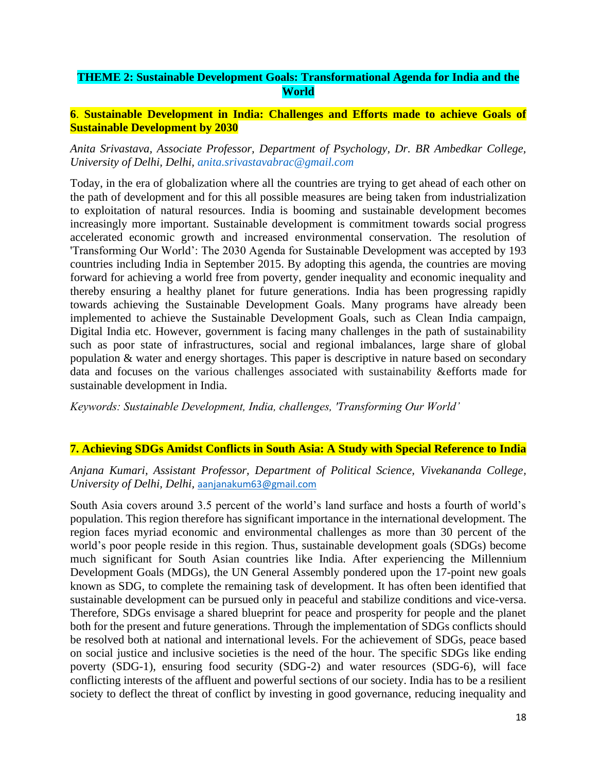# **THEME 2: Sustainable Development Goals: Transformational Agenda for India and the World**

## **6**. **Sustainable Development in India: Challenges and Efforts made to achieve Goals of Sustainable Development by 2030**

### *Anita Srivastava, Associate Professor, Department of Psychology, Dr. BR Ambedkar College, University of Delhi, Delhi, [anita.srivastavabrac@gmail.com](mailto:anita.srivastavabrac@gmail.com)*

Today, in the era of globalization where all the countries are trying to get ahead of each other on the path of development and for this all possible measures are being taken from industrialization to exploitation of natural resources. India is booming and sustainable development becomes increasingly more important. Sustainable development is commitment towards social progress accelerated economic growth and increased environmental conservation. The resolution of 'Transforming Our World': The 2030 Agenda for Sustainable Development was accepted by 193 countries including India in September 2015. By adopting this agenda, the countries are moving forward for achieving a world free from poverty, gender inequality and economic inequality and thereby ensuring a healthy planet for future generations. India has been progressing rapidly towards achieving the Sustainable Development Goals. Many programs have already been implemented to achieve the Sustainable Development Goals, such as Clean India campaign, Digital India etc. However, government is facing many challenges in the path of sustainability such as poor state of infrastructures, social and regional imbalances, large share of global population & water and energy shortages. This paper is descriptive in nature based on secondary data and focuses on the various challenges associated with sustainability &efforts made for sustainable development in India.

*Keywords: Sustainable Development, India, challenges, 'Transforming Our World'*

## **7. Achieving SDGs Amidst Conflicts in South Asia: A Study with Special Reference to India**

## *Anjana Kumari, Assistant Professor, Department of Political Science, Vivekananda College, University of Delhi, Delhi,* [aanjanakum63@gmail.com](mailto:aanjanakum63@gmail.com)

South Asia covers around 3.5 percent of the world's land surface and hosts a fourth of world's population. This region therefore has significant importance in the international development. The region faces myriad economic and environmental challenges as more than 30 percent of the world's poor people reside in this region. Thus, sustainable development goals (SDGs) become much significant for South Asian countries like India. After experiencing the Millennium Development Goals (MDGs), the UN General Assembly pondered upon the 17-point new goals known as SDG, to complete the remaining task of development. It has often been identified that sustainable development can be pursued only in peaceful and stabilize conditions and vice-versa. Therefore, SDGs envisage a shared blueprint for peace and prosperity for people and the planet both for the present and future generations. Through the implementation of SDGs conflicts should be resolved both at national and international levels. For the achievement of SDGs, peace based on social justice and inclusive societies is the need of the hour. The specific SDGs like ending poverty (SDG-1), ensuring food security (SDG-2) and water resources (SDG-6), will face conflicting interests of the affluent and powerful sections of our society. India has to be a resilient society to deflect the threat of conflict by investing in good governance, reducing inequality and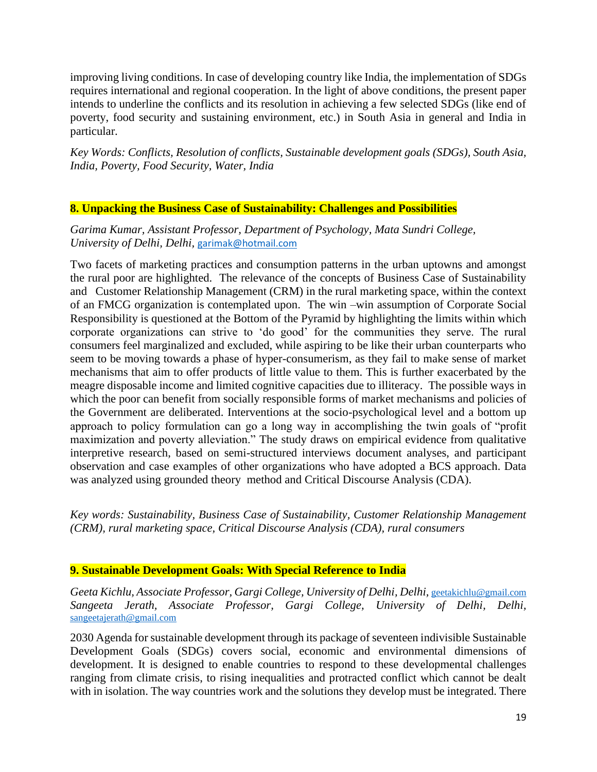improving living conditions. In case of developing country like India, the implementation of SDGs requires international and regional cooperation. In the light of above conditions, the present paper intends to underline the conflicts and its resolution in achieving a few selected SDGs (like end of poverty, food security and sustaining environment, etc.) in South Asia in general and India in particular.

*Key Words: Conflicts, Resolution of conflicts, Sustainable development goals (SDGs), South Asia, India, Poverty, Food Security, Water, India*

## **8. Unpacking the Business Case of Sustainability: Challenges and Possibilities**

*Garima Kumar, Assistant Professor, Department of Psychology, Mata Sundri College, University of Delhi, Delhi,* [garimak@hotmail.com](mailto:garimak@hotmail.com)

Two facets of marketing practices and consumption patterns in the urban uptowns and amongst the rural poor are highlighted. The relevance of the concepts of Business Case of Sustainability and Customer Relationship Management (CRM) in the rural marketing space, within the context of an FMCG organization is contemplated upon. The win –win assumption of Corporate Social Responsibility is questioned at the Bottom of the Pyramid by highlighting the limits within which corporate organizations can strive to 'do good' for the communities they serve. The rural consumers feel marginalized and excluded, while aspiring to be like their urban counterparts who seem to be moving towards a phase of hyper-consumerism, as they fail to make sense of market mechanisms that aim to offer products of little value to them. This is further exacerbated by the meagre disposable income and limited cognitive capacities due to illiteracy. The possible ways in which the poor can benefit from socially responsible forms of market mechanisms and policies of the Government are deliberated. Interventions at the socio-psychological level and a bottom up approach to policy formulation can go a long way in accomplishing the twin goals of "profit maximization and poverty alleviation." The study draws on empirical evidence from qualitative interpretive research, based on semi-structured interviews document analyses, and participant observation and case examples of other organizations who have adopted a BCS approach. Data was analyzed using grounded theory method and Critical Discourse Analysis (CDA).

*Key words: Sustainability, Business Case of Sustainability, Customer Relationship Management (CRM), rural marketing space, Critical Discourse Analysis (CDA), rural consumers*

## **9. Sustainable Development Goals: With Special Reference to India**

Geeta Kichlu, Associate Professor, Gargi College, University of Delhi, Delhi, [geetakichlu@gmail.com](mailto:geetakichlu@gmail.com) *Sangeeta Jerath, Associate Professor, Gargi College, University of Delhi, Delhi,*  [sangeetajerath@gmail.com](mailto:sangeetajerath@gmail.com)

2030 Agenda for sustainable development through its package of seventeen indivisible Sustainable Development Goals (SDGs) covers social, economic and environmental dimensions of development. It is designed to enable countries to respond to these developmental challenges ranging from climate crisis, to rising inequalities and protracted conflict which cannot be dealt with in isolation. The way countries work and the solutions they develop must be integrated. There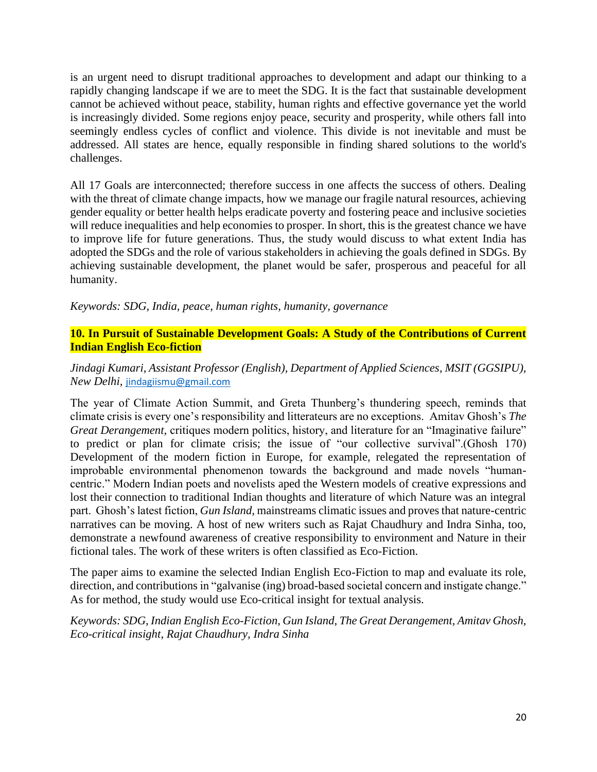is an urgent need to disrupt traditional approaches to development and adapt our thinking to a rapidly changing landscape if we are to meet the SDG. It is the fact that sustainable development cannot be achieved without peace, stability, human rights and effective governance yet the world is increasingly divided. Some regions enjoy peace, security and prosperity, while others fall into seemingly endless cycles of conflict and violence. This divide is not inevitable and must be addressed. All states are hence, equally responsible in finding shared solutions to the world's challenges.

All 17 Goals are interconnected; therefore success in one affects the success of others. Dealing with the threat of climate change impacts, how we manage our fragile natural resources, achieving gender equality or better health helps eradicate poverty and fostering peace and inclusive societies will reduce inequalities and help economies to prosper. In short, this is the greatest chance we have to improve life for future generations. Thus, the study would discuss to what extent India has adopted the SDGs and the role of various stakeholders in achieving the goals defined in SDGs. By achieving sustainable development, the planet would be safer, prosperous and peaceful for all humanity.

*Keywords: SDG, India, peace, human rights, humanity, governance*

# **10. In Pursuit of Sustainable Development Goals: A Study of the Contributions of Current Indian English Eco-fiction**

# *Jindagi Kumari, Assistant Professor (English), Department of Applied Sciences, MSIT (GGSIPU), New Delhi,* [jindagiismu@gmail.com](mailto:jindagiismu@gmail.com)

The year of Climate Action Summit, and Greta Thunberg's thundering speech, reminds that climate crisis is every one's responsibility and litterateurs are no exceptions. Amitav Ghosh's *The Great Derangement, critiques modern politics, history, and literature for an "Imaginative failure"* to predict or plan for climate crisis; the issue of "our collective survival".(Ghosh 170) Development of the modern fiction in Europe, for example, relegated the representation of improbable environmental phenomenon towards the background and made novels "humancentric." Modern Indian poets and novelists aped the Western models of creative expressions and lost their connection to traditional Indian thoughts and literature of which Nature was an integral part. Ghosh's latest fiction, *Gun Island,* mainstreams climatic issues and proves that nature-centric narratives can be moving. A host of new writers such as Rajat Chaudhury and Indra Sinha, too, demonstrate a newfound awareness of creative responsibility to environment and Nature in their fictional tales. The work of these writers is often classified as Eco-Fiction.

The paper aims to examine the selected Indian English Eco-Fiction to map and evaluate its role, direction, and contributions in "galvanise (ing) broad-based societal concern and instigate change." As for method, the study would use Eco-critical insight for textual analysis.

*Keywords: SDG, Indian English Eco-Fiction, Gun Island, The Great Derangement, Amitav Ghosh, Eco-critical insight, Rajat Chaudhury, Indra Sinha*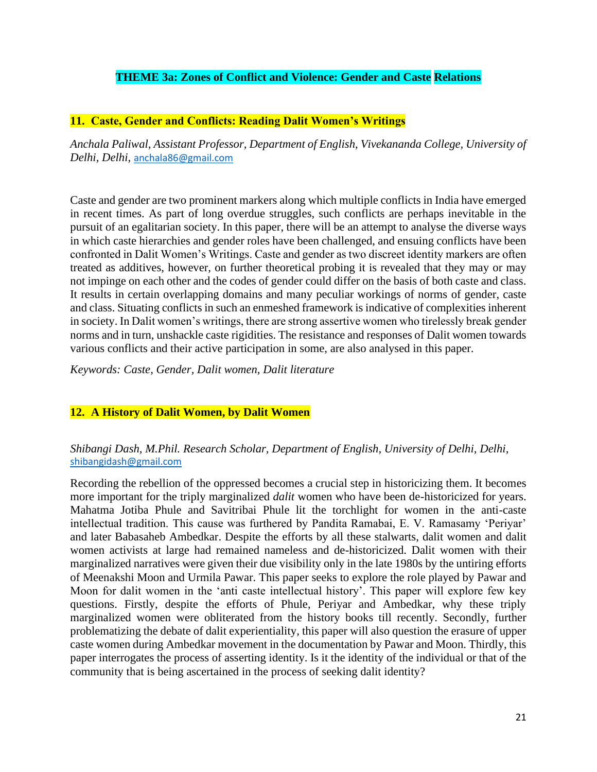# **THEME 3a: Zones of Conflict and Violence: Gender and Caste Relations**

### **11. Caste, Gender and Conflicts: Reading Dalit Women's Writings**

*Anchala Paliwal, Assistant Professor, Department of English, Vivekananda College, University of Delhi, Delhi,* [anchala86@gmail.com](mailto:anchala86@gmail.com)

Caste and gender are two prominent markers along which multiple conflicts in India have emerged in recent times. As part of long overdue struggles, such conflicts are perhaps inevitable in the pursuit of an egalitarian society. In this paper, there will be an attempt to analyse the diverse ways in which caste hierarchies and gender roles have been challenged, and ensuing conflicts have been confronted in Dalit Women's Writings. Caste and gender as two discreet identity markers are often treated as additives, however, on further theoretical probing it is revealed that they may or may not impinge on each other and the codes of gender could differ on the basis of both caste and class. It results in certain overlapping domains and many peculiar workings of norms of gender, caste and class. Situating conflicts in such an enmeshed framework is indicative of complexities inherent in society. In Dalit women's writings, there are strong assertive women who tirelessly break gender norms and in turn, unshackle caste rigidities. The resistance and responses of Dalit women towards various conflicts and their active participation in some, are also analysed in this paper.

*Keywords: Caste, Gender, Dalit women, Dalit literature*

### **12. A History of Dalit Women, by Dalit Women**

## *Shibangi Dash, M.Phil. Research Scholar, Department of English, University of Delhi, Delhi,* [shibangidash@gmail.com](mailto:shibangidash@gmail.com)

Recording the rebellion of the oppressed becomes a crucial step in historicizing them. It becomes more important for the triply marginalized *dalit* women who have been de-historicized for years. Mahatma Jotiba Phule and Savitribai Phule lit the torchlight for women in the anti-caste intellectual tradition. This cause was furthered by Pandita Ramabai, E. V. Ramasamy 'Periyar' and later Babasaheb Ambedkar. Despite the efforts by all these stalwarts, dalit women and dalit women activists at large had remained nameless and de-historicized. Dalit women with their marginalized narratives were given their due visibility only in the late 1980s by the untiring efforts of Meenakshi Moon and Urmila Pawar. This paper seeks to explore the role played by Pawar and Moon for dalit women in the 'anti caste intellectual history'. This paper will explore few key questions. Firstly, despite the efforts of Phule, Periyar and Ambedkar, why these triply marginalized women were obliterated from the history books till recently. Secondly, further problematizing the debate of dalit experientiality, this paper will also question the erasure of upper caste women during Ambedkar movement in the documentation by Pawar and Moon. Thirdly, this paper interrogates the process of asserting identity. Is it the identity of the individual or that of the community that is being ascertained in the process of seeking dalit identity?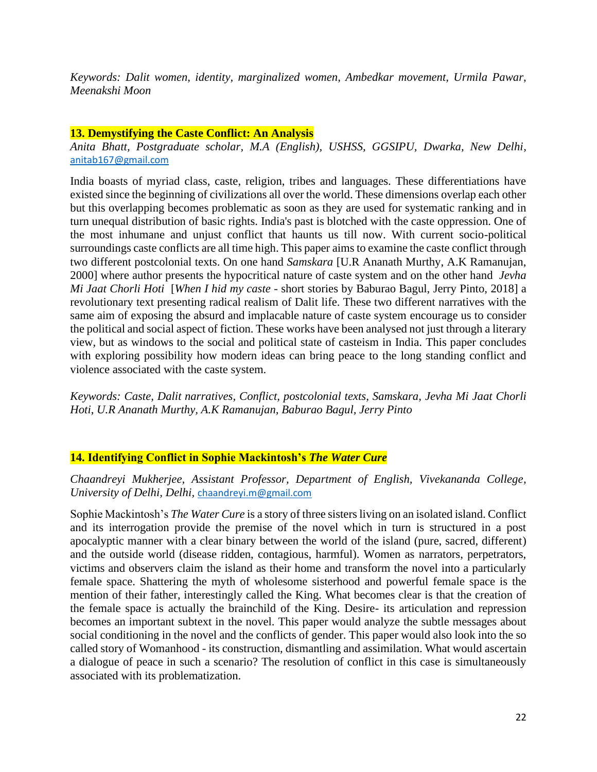*Keywords: Dalit women, identity, marginalized women, Ambedkar movement, Urmila Pawar, Meenakshi Moon*

## **13. Demystifying the Caste Conflict: An Analysis**

*Anita Bhatt, Postgraduate scholar, M.A (English), USHSS, GGSIPU, Dwarka, New Delhi,*  [anitab167@gmail.com](mailto:anitab167@gmail.com)

India boasts of myriad class, caste, religion, tribes and languages. These differentiations have existed since the beginning of civilizations all over the world. These dimensions overlap each other but this overlapping becomes problematic as soon as they are used for systematic ranking and in turn unequal distribution of basic rights. India's past is blotched with the caste oppression. One of the most inhumane and unjust conflict that haunts us till now. With current socio-political surroundings caste conflicts are all time high. This paper aims to examine the caste conflict through two different postcolonial texts. On one hand *Samskara* [U.R Ananath Murthy, A.K Ramanujan, 2000] where author presents the hypocritical nature of caste system and on the other hand *Jevha Mi Jaat Chorli Hoti* [*When I hid my caste* - short stories by Baburao Bagul, Jerry Pinto, 2018] a revolutionary text presenting radical realism of Dalit life. These two different narratives with the same aim of exposing the absurd and implacable nature of caste system encourage us to consider the political and social aspect of fiction. These works have been analysed not just through a literary view, but as windows to the social and political state of casteism in India. This paper concludes with exploring possibility how modern ideas can bring peace to the long standing conflict and violence associated with the caste system.

*Keywords: Caste, Dalit narratives, Conflict, postcolonial texts, Samskara, Jevha Mi Jaat Chorli Hoti*, *U.R Ananath Murthy, A.K Ramanujan, Baburao Bagul, Jerry Pinto*

## **14. Identifying Conflict in Sophie Mackintosh's** *The Water Cure*

*Chaandreyi Mukherjee, Assistant Professor, Department of English, Vivekananda College, University of Delhi, Delhi,* [chaandreyi.m@gmail.com](mailto:chaandreyi.m@gmail.com)

Sophie Mackintosh's *The Water Cure* is a story of three sisters living on an isolated island. Conflict and its interrogation provide the premise of the novel which in turn is structured in a post apocalyptic manner with a clear binary between the world of the island (pure, sacred, different) and the outside world (disease ridden, contagious, harmful). Women as narrators, perpetrators, victims and observers claim the island as their home and transform the novel into a particularly female space. Shattering the myth of wholesome sisterhood and powerful female space is the mention of their father, interestingly called the King. What becomes clear is that the creation of the female space is actually the brainchild of the King. Desire- its articulation and repression becomes an important subtext in the novel. This paper would analyze the subtle messages about social conditioning in the novel and the conflicts of gender. This paper would also look into the so called story of Womanhood - its construction, dismantling and assimilation. What would ascertain a dialogue of peace in such a scenario? The resolution of conflict in this case is simultaneously associated with its problematization.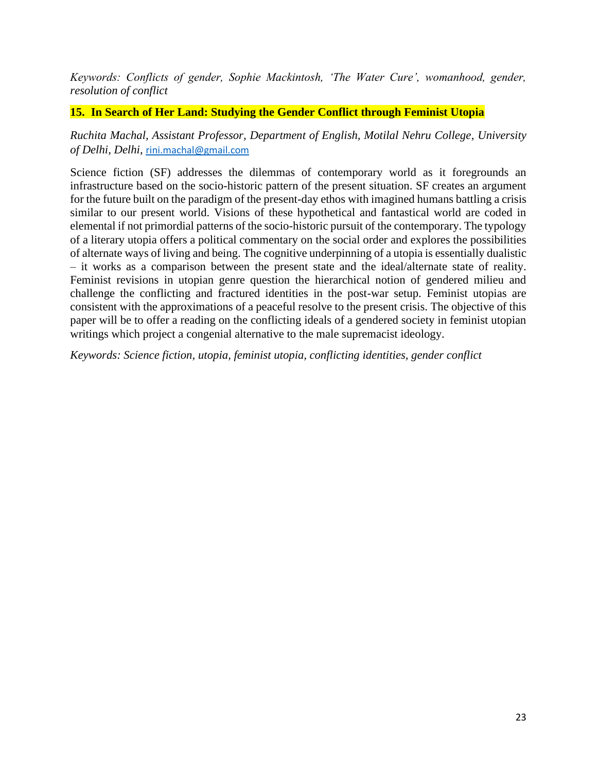*Keywords: Conflicts of gender, Sophie Mackintosh, 'The Water Cure', womanhood, gender, resolution of conflict*

# **15. In Search of Her Land: Studying the Gender Conflict through Feminist Utopia**

*Ruchita Machal, Assistant Professor, Department of English, Motilal Nehru College, University of Delhi, Delhi,* [rini.machal@gmail.com](mailto:rini.machal@gmail.com)

Science fiction (SF) addresses the dilemmas of contemporary world as it foregrounds an infrastructure based on the socio-historic pattern of the present situation. SF creates an argument for the future built on the paradigm of the present-day ethos with imagined humans battling a crisis similar to our present world. Visions of these hypothetical and fantastical world are coded in elemental if not primordial patterns of the socio-historic pursuit of the contemporary. The typology of a literary utopia offers a political commentary on the social order and explores the possibilities of alternate ways of living and being. The cognitive underpinning of a utopia is essentially dualistic – it works as a comparison between the present state and the ideal/alternate state of reality. Feminist revisions in utopian genre question the hierarchical notion of gendered milieu and challenge the conflicting and fractured identities in the post-war setup. Feminist utopias are consistent with the approximations of a peaceful resolve to the present crisis. The objective of this paper will be to offer a reading on the conflicting ideals of a gendered society in feminist utopian writings which project a congenial alternative to the male supremacist ideology.

*Keywords: Science fiction, utopia, feminist utopia, conflicting identities, gender conflict*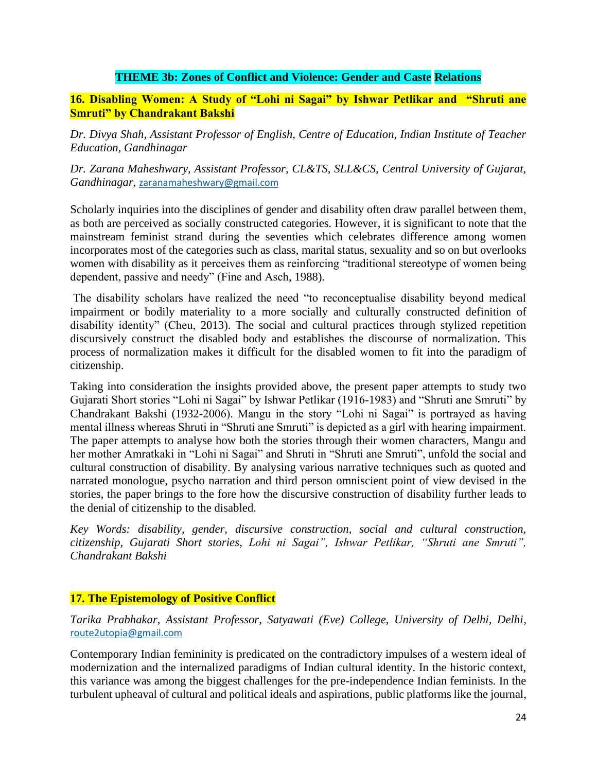## **THEME 3b: Zones of Conflict and Violence: Gender and Caste Relations**

## **16. Disabling Women: A Study of "Lohi ni Sagai" by Ishwar Petlikar and "Shruti ane Smruti" by Chandrakant Bakshi**

*Dr. Divya Shah, Assistant Professor of English, Centre of Education, Indian Institute of Teacher Education, Gandhinagar*

*Dr. Zarana Maheshwary, Assistant Professor, CL&TS, SLL&CS, Central University of Gujarat, Gandhinagar,* [zaranamaheshwary@gmail.com](mailto:zaranamaheshwary@gmail.com)

Scholarly inquiries into the disciplines of gender and disability often draw parallel between them, as both are perceived as socially constructed categories. However, it is significant to note that the mainstream feminist strand during the seventies which celebrates difference among women incorporates most of the categories such as class, marital status, sexuality and so on but overlooks women with disability as it perceives them as reinforcing "traditional stereotype of women being dependent, passive and needy" (Fine and Asch, 1988).

The disability scholars have realized the need "to reconceptualise disability beyond medical impairment or bodily materiality to a more socially and culturally constructed definition of disability identity" (Cheu, 2013). The social and cultural practices through stylized repetition discursively construct the disabled body and establishes the discourse of normalization. This process of normalization makes it difficult for the disabled women to fit into the paradigm of citizenship.

Taking into consideration the insights provided above, the present paper attempts to study two Gujarati Short stories "Lohi ni Sagai" by Ishwar Petlikar (1916-1983) and "Shruti ane Smruti" by Chandrakant Bakshi (1932-2006). Mangu in the story "Lohi ni Sagai" is portrayed as having mental illness whereas Shruti in "Shruti ane Smruti" is depicted as a girl with hearing impairment. The paper attempts to analyse how both the stories through their women characters, Mangu and her mother Amratkaki in "Lohi ni Sagai" and Shruti in "Shruti ane Smruti", unfold the social and cultural construction of disability. By analysing various narrative techniques such as quoted and narrated monologue, psycho narration and third person omniscient point of view devised in the stories, the paper brings to the fore how the discursive construction of disability further leads to the denial of citizenship to the disabled.

*Key Words: disability, gender, discursive construction, social and cultural construction, citizenship, Gujarati Short stories*, *Lohi ni Sagai", Ishwar Petlikar, "Shruti ane Smruti", Chandrakant Bakshi*

# **17. The Epistemology of Positive Conflict**

*Tarika Prabhakar, Assistant Professor, Satyawati (Eve) College, University of Delhi, Delhi,*  [route2utopia@gmail.com](mailto:route2utopia@gmail.com)

Contemporary Indian femininity is predicated on the contradictory impulses of a western ideal of modernization and the internalized paradigms of Indian cultural identity. In the historic context, this variance was among the biggest challenges for the pre-independence Indian feminists. In the turbulent upheaval of cultural and political ideals and aspirations, public platforms like the journal,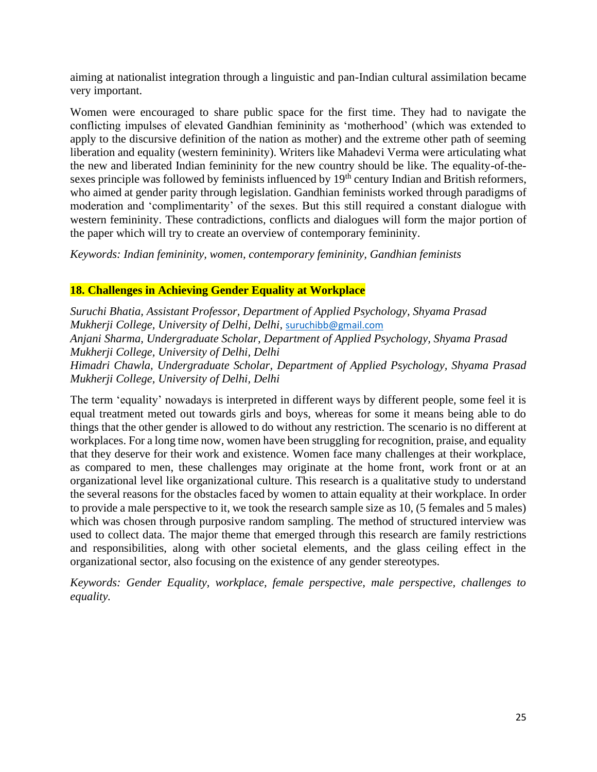aiming at nationalist integration through a linguistic and pan-Indian cultural assimilation became very important.

Women were encouraged to share public space for the first time. They had to navigate the conflicting impulses of elevated Gandhian femininity as 'motherhood' (which was extended to apply to the discursive definition of the nation as mother) and the extreme other path of seeming liberation and equality (western femininity). Writers like Mahadevi Verma were articulating what the new and liberated Indian femininity for the new country should be like. The equality-of-thesexes principle was followed by feminists influenced by 19<sup>th</sup> century Indian and British reformers, who aimed at gender parity through legislation. Gandhian feminists worked through paradigms of moderation and 'complimentarity' of the sexes. But this still required a constant dialogue with western femininity. These contradictions, conflicts and dialogues will form the major portion of the paper which will try to create an overview of contemporary femininity.

*Keywords: Indian femininity, women, contemporary femininity, Gandhian feminists*

# **18. Challenges in Achieving Gender Equality at Workplace**

*Suruchi Bhatia, Assistant Professor, Department of Applied Psychology, Shyama Prasad Mukherji College, University of Delhi, Delhi,* [suruchibb@gmail.com](mailto:suruchibb@gmail.com) *Anjani Sharma, Undergraduate Scholar, Department of Applied Psychology, Shyama Prasad Mukherji College, University of Delhi, Delhi Himadri Chawla, Undergraduate Scholar, Department of Applied Psychology, Shyama Prasad Mukherji College, University of Delhi, Delhi*

The term 'equality' nowadays is interpreted in different ways by different people, some feel it is equal treatment meted out towards girls and boys, whereas for some it means being able to do things that the other gender is allowed to do without any restriction. The scenario is no different at workplaces. For a long time now, women have been struggling for recognition, praise, and equality that they deserve for their work and existence. Women face many challenges at their workplace, as compared to men, these challenges may originate at the home front, work front or at an organizational level like organizational culture. This research is a qualitative study to understand the several reasons for the obstacles faced by women to attain equality at their workplace. In order to provide a male perspective to it, we took the research sample size as 10, (5 females and 5 males) which was chosen through purposive random sampling. The method of structured interview was used to collect data. The major theme that emerged through this research are family restrictions and responsibilities, along with other societal elements, and the glass ceiling effect in the organizational sector, also focusing on the existence of any gender stereotypes.

*Keywords: Gender Equality, workplace, female perspective, male perspective, challenges to equality.*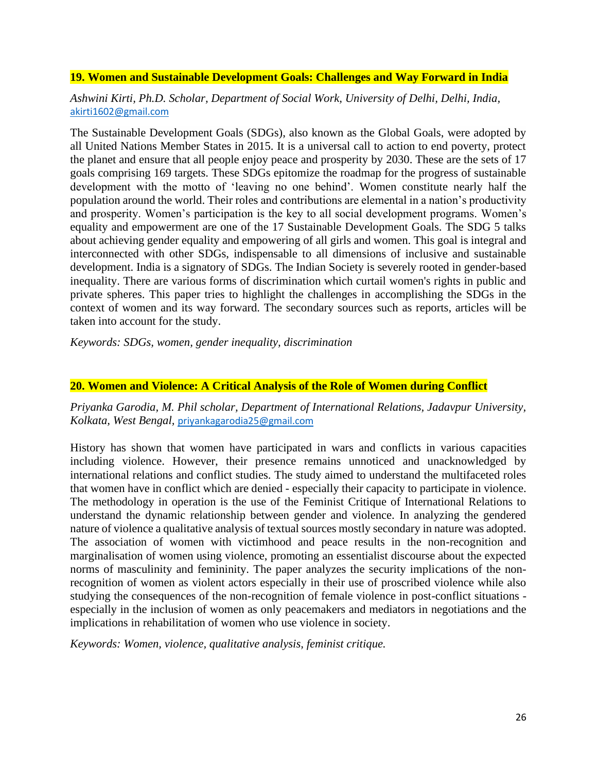### **19. Women and Sustainable Development Goals: Challenges and Way Forward in India**

*Ashwini Kirti, Ph.D. Scholar, Department of Social Work, University of Delhi, Delhi, India,*  [akirti1602@gmail.com](mailto:akirti1602@gmail.com)

The Sustainable Development Goals (SDGs), also known as the Global Goals, were adopted by all United Nations Member States in 2015. It is a universal call to action to end poverty, protect the planet and ensure that all people enjoy peace and prosperity by 2030. These are the sets of 17 goals comprising 169 targets. These SDGs epitomize the roadmap for the progress of sustainable development with the motto of 'leaving no one behind'. Women constitute nearly half the population around the world. Their roles and contributions are elemental in a nation's productivity and prosperity. Women's participation is the key to all social development programs. Women's equality and empowerment are one of the 17 Sustainable Development Goals. The SDG 5 talks about achieving gender equality and empowering of all girls and women. This goal is integral and interconnected with other SDGs, indispensable to all dimensions of inclusive and sustainable development. India is a signatory of SDGs. The Indian Society is severely rooted in gender-based inequality. There are various forms of discrimination which curtail women's rights in public and private spheres. This paper tries to highlight the challenges in accomplishing the SDGs in the context of women and its way forward. The secondary sources such as reports, articles will be taken into account for the study.

*Keywords: SDGs, women, gender inequality, discrimination*

### **20. Women and Violence: A Critical Analysis of the Role of Women during Conflict**

*Priyanka Garodia, M. Phil scholar, Department of International Relations, Jadavpur University, Kolkata, West Bengal,* [priyankagarodia25@gmail.com](mailto:priyankagarodia25@gmail.com)

History has shown that women have participated in wars and conflicts in various capacities including violence. However, their presence remains unnoticed and unacknowledged by international relations and conflict studies. The study aimed to understand the multifaceted roles that women have in conflict which are denied - especially their capacity to participate in violence. The methodology in operation is the use of the Feminist Critique of International Relations to understand the dynamic relationship between gender and violence. In analyzing the gendered nature of violence a qualitative analysis of textual sources mostly secondary in nature was adopted. The association of women with victimhood and peace results in the non-recognition and marginalisation of women using violence, promoting an essentialist discourse about the expected norms of masculinity and femininity. The paper analyzes the security implications of the nonrecognition of women as violent actors especially in their use of proscribed violence while also studying the consequences of the non-recognition of female violence in post-conflict situations especially in the inclusion of women as only peacemakers and mediators in negotiations and the implications in rehabilitation of women who use violence in society.

*Keywords: Women, violence, qualitative analysis, feminist critique.*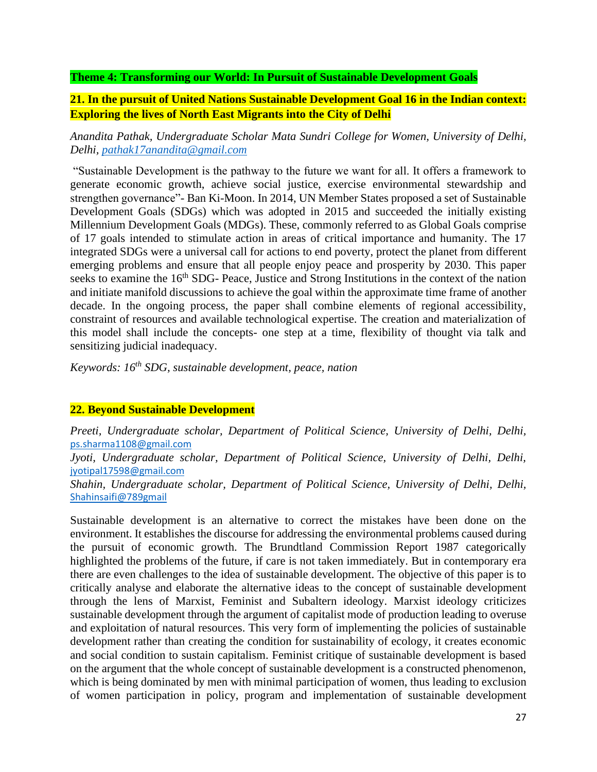### **Theme 4: Transforming our World: In Pursuit of Sustainable Development Goals**

# **21. In the pursuit of United Nations Sustainable Development Goal 16 in the Indian context: Exploring the lives of North East Migrants into the City of Delhi**

*Anandita Pathak, Undergraduate Scholar Mata Sundri College for Women, University of Delhi, Delhi, [pathak17anandita@gmail.com](mailto:pathak17anandita@gmail.com)*

"Sustainable Development is the pathway to the future we want for all. It offers a framework to generate economic growth, achieve social justice, exercise environmental stewardship and strengthen governance"- Ban Ki-Moon. In 2014, UN Member States proposed a set of Sustainable Development Goals (SDGs) which was adopted in 2015 and succeeded the initially existing Millennium Development Goals (MDGs). These, commonly referred to as Global Goals comprise of 17 goals intended to stimulate action in areas of critical importance and humanity. The 17 integrated SDGs were a universal call for actions to end poverty, protect the planet from different emerging problems and ensure that all people enjoy peace and prosperity by 2030. This paper seeks to examine the 16<sup>th</sup> SDG- Peace, Justice and Strong Institutions in the context of the nation and initiate manifold discussions to achieve the goal within the approximate time frame of another decade. In the ongoing process, the paper shall combine elements of regional accessibility, constraint of resources and available technological expertise. The creation and materialization of this model shall include the concepts- one step at a time, flexibility of thought via talk and sensitizing judicial inadequacy.

*Keywords: 16th SDG, sustainable development, peace, nation*

## **22. Beyond Sustainable Development**

*Preeti, Undergraduate scholar, Department of Political Science, University of Delhi, Delhi,*  [ps.sharma1108@gmail.com](mailto:ps.sharma1108@gmail.com) *Jyoti, Undergraduate scholar, Department of Political Science, University of Delhi, Delhi,*  [jyotipal17598@gmail.com](mailto:jyotipal17598@gmail.com) *Shahin, Undergraduate scholar, Department of Political Science, University of Delhi, Delhi,*  [Shahinsaifi@789gmail](mailto:Shahinsaifi@789gmail.com)

Sustainable development is an alternative to correct the mistakes have been done on the environment. It establishes the discourse for addressing the environmental problems caused during the pursuit of economic growth. The Brundtland Commission Report 1987 categorically highlighted the problems of the future, if care is not taken immediately. But in contemporary era there are even challenges to the idea of sustainable development. The objective of this paper is to critically analyse and elaborate the alternative ideas to the concept of sustainable development through the lens of Marxist, Feminist and Subaltern ideology. Marxist ideology criticizes sustainable development through the argument of capitalist mode of production leading to overuse and exploitation of natural resources. This very form of implementing the policies of sustainable development rather than creating the condition for sustainability of ecology, it creates economic and social condition to sustain capitalism. Feminist critique of sustainable development is based on the argument that the whole concept of sustainable development is a constructed phenomenon, which is being dominated by men with minimal participation of women, thus leading to exclusion of women participation in policy, program and implementation of sustainable development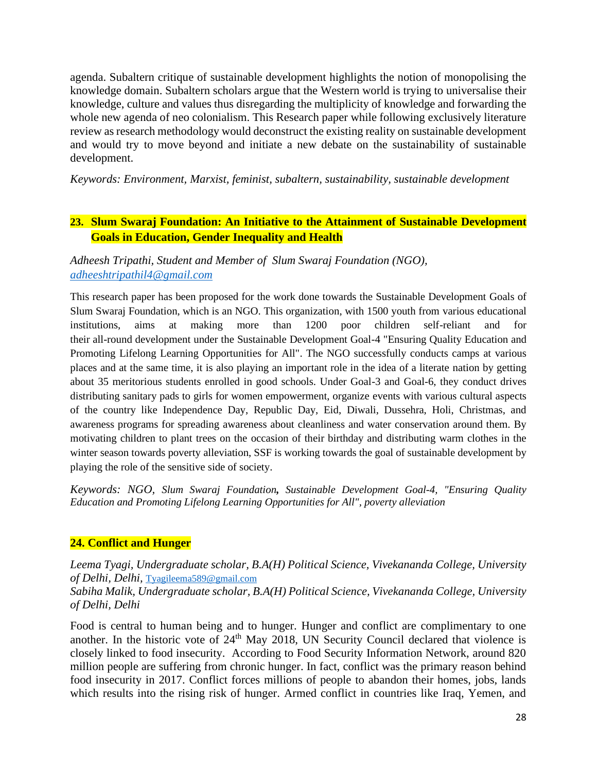agenda. Subaltern critique of sustainable development highlights the notion of monopolising the knowledge domain. Subaltern scholars argue that the Western world is trying to universalise their knowledge, culture and values thus disregarding the multiplicity of knowledge and forwarding the whole new agenda of neo colonialism. This Research paper while following exclusively literature review as research methodology would deconstruct the existing reality on sustainable development and would try to move beyond and initiate a new debate on the sustainability of sustainable development.

*Keywords: Environment, Marxist, feminist, subaltern, sustainability, sustainable development*

# **23. Slum Swaraj Foundation: An Initiative to the Attainment of Sustainable Development Goals in Education, Gender Inequality and Health**

*Adheesh Tripathi, Student and Member of Slum Swaraj Foundation (NGO), [adheeshtripathil4@gmail.com](mailto:adheeshtripathil4@gmail.com)*

This research paper has been proposed for the work done towards the Sustainable Development Goals of Slum Swaraj Foundation, which is an NGO. This organization, with 1500 youth from various educational institutions, aims at making more than 1200 poor children self-reliant and for their all-round development under the Sustainable Development Goal-4 "Ensuring Quality Education and Promoting Lifelong Learning Opportunities for All". The NGO successfully conducts camps at various places and at the same time, it is also playing an important role in the idea of a literate nation by getting about 35 meritorious students enrolled in good schools. Under Goal-3 and Goal-6, they conduct drives distributing sanitary pads to girls for women empowerment, organize events with various cultural aspects of the country like Independence Day, Republic Day, Eid, Diwali, Dussehra, Holi, Christmas, and awareness programs for spreading awareness about cleanliness and water conservation around them. By motivating children to plant trees on the occasion of their birthday and distributing warm clothes in the winter season towards poverty alleviation, SSF is working towards the goal of sustainable development by playing the role of the sensitive side of society.

*Keywords: NGO, Slum Swaraj Foundation, Sustainable Development Goal-4, "Ensuring Quality Education and Promoting Lifelong Learning Opportunities for All", poverty alleviation*

## **24. Conflict and Hunger**

*Leema Tyagi, Undergraduate scholar, B.A(H) Political Science, Vivekananda College, University of Delhi, Delhi,* [Tyagileema589@gmail.com](mailto:Tyagileema589@gmail.com)

*Sabiha Malik, Undergraduate scholar, B.A(H) Political Science, Vivekananda College, University of Delhi, Delhi*

Food is central to human being and to hunger. Hunger and conflict are complimentary to one another. In the historic vote of  $24<sup>th</sup>$  May 2018, UN Security Council declared that violence is closely linked to food insecurity. According to Food Security Information Network, around 820 million people are suffering from chronic hunger. In fact, conflict was the primary reason behind food insecurity in 2017. Conflict forces millions of people to abandon their homes, jobs, lands which results into the rising risk of hunger. Armed conflict in countries like Iraq, Yemen, and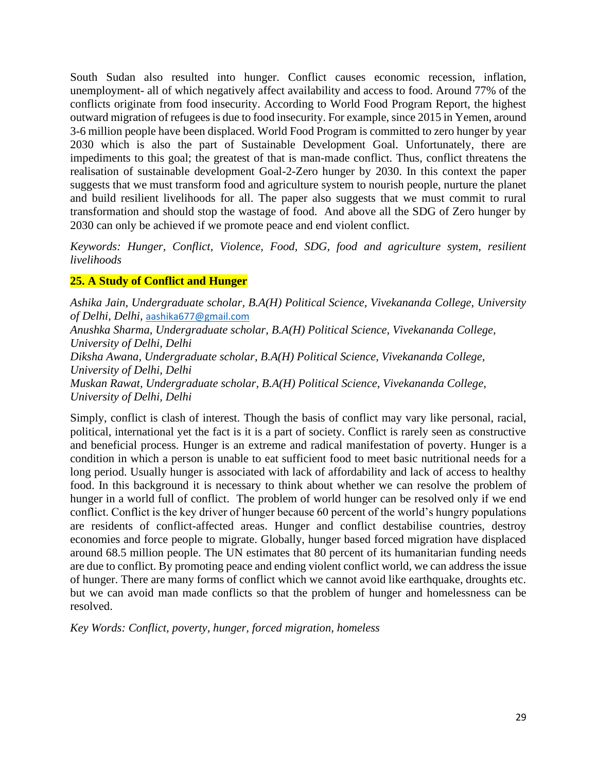South Sudan also resulted into hunger. Conflict causes economic recession, inflation, unemployment- all of which negatively affect availability and access to food. Around 77% of the conflicts originate from food insecurity. According to World Food Program Report, the highest outward migration of refugees is due to food insecurity. For example, since 2015 in Yemen, around 3-6 million people have been displaced. World Food Program is committed to zero hunger by year 2030 which is also the part of Sustainable Development Goal. Unfortunately, there are impediments to this goal; the greatest of that is man-made conflict. Thus, conflict threatens the realisation of sustainable development Goal-2-Zero hunger by 2030. In this context the paper suggests that we must transform food and agriculture system to nourish people, nurture the planet and build resilient livelihoods for all. The paper also suggests that we must commit to rural transformation and should stop the wastage of food. And above all the SDG of Zero hunger by 2030 can only be achieved if we promote peace and end violent conflict.

*Keywords: Hunger, Conflict, Violence, Food, SDG, food and agriculture system, resilient livelihoods*

## **25. A Study of Conflict and Hunger**

*Ashika Jain, Undergraduate scholar, B.A(H) Political Science, Vivekananda College, University of Delhi, Delhi,* [aashika677@gmail.com](mailto:aashika677@gmail.com) *Anushka Sharma, Undergraduate scholar, B.A(H) Political Science, Vivekananda College, University of Delhi, Delhi Diksha Awana, Undergraduate scholar, B.A(H) Political Science, Vivekananda College, University of Delhi, Delhi Muskan Rawat, Undergraduate scholar, B.A(H) Political Science, Vivekananda College, University of Delhi, Delhi*

Simply, conflict is clash of interest. Though the basis of conflict may vary like personal, racial, political, international yet the fact is it is a part of society. Conflict is rarely seen as constructive and beneficial process. Hunger is an extreme and radical manifestation of poverty. Hunger is a condition in which a person is unable to eat sufficient food to meet basic nutritional needs for a long period. Usually hunger is associated with lack of affordability and lack of access to healthy food. In this background it is necessary to think about whether we can resolve the problem of hunger in a world full of conflict. The problem of world hunger can be resolved only if we end conflict. Conflict is the key driver of hunger because 60 percent of the world's hungry populations are residents of conflict-affected areas. Hunger and conflict destabilise countries, destroy economies and force people to migrate. Globally, hunger based forced migration have displaced around 68.5 million people. The UN estimates that 80 percent of its humanitarian funding needs are due to conflict. By promoting peace and ending violent conflict world, we can address the issue of hunger. There are many forms of conflict which we cannot avoid like earthquake, droughts etc. but we can avoid man made conflicts so that the problem of hunger and homelessness can be resolved.

*Key Words: Conflict, poverty, hunger, forced migration, homeless*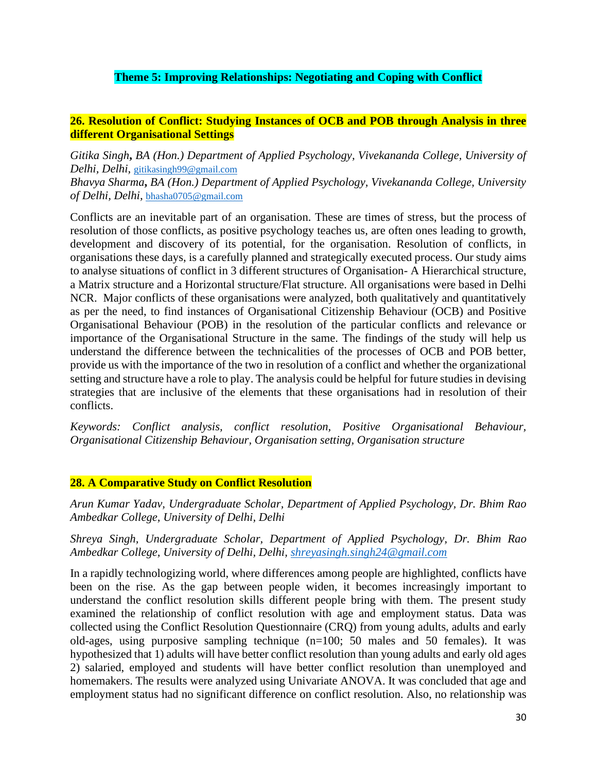# **Theme 5: Improving Relationships: Negotiating and Coping with Conflict**

# **26. Resolution of Conflict: Studying Instances of OCB and POB through Analysis in three different Organisational Settings**

*Gitika Singh***,** *BA (Hon.) Department of Applied Psychology, Vivekananda College, University of Delhi, Delhi,* [gitikasingh99@gmail.com](mailto:gitikasingh99@gmail.com) *Bhavya Sharma***,** *BA (Hon.) Department of Applied Psychology, Vivekananda College, University of Delhi, Delhi,* [bhasha0705@gmail.com](mailto:bhasha0705@gmail.com)

Conflicts are an inevitable part of an organisation. These are times of stress, but the process of resolution of those conflicts, as positive psychology teaches us, are often ones leading to growth, development and discovery of its potential, for the organisation. Resolution of conflicts, in organisations these days, is a carefully planned and strategically executed process. Our study aims to analyse situations of conflict in 3 different structures of Organisation- A Hierarchical structure, a Matrix structure and a Horizontal structure/Flat structure. All organisations were based in Delhi NCR. Major conflicts of these organisations were analyzed, both qualitatively and quantitatively as per the need, to find instances of Organisational Citizenship Behaviour (OCB) and Positive Organisational Behaviour (POB) in the resolution of the particular conflicts and relevance or importance of the Organisational Structure in the same. The findings of the study will help us understand the difference between the technicalities of the processes of OCB and POB better, provide us with the importance of the two in resolution of a conflict and whether the organizational setting and structure have a role to play. The analysis could be helpful for future studies in devising strategies that are inclusive of the elements that these organisations had in resolution of their conflicts.

*Keywords: Conflict analysis, conflict resolution, Positive Organisational Behaviour, Organisational Citizenship Behaviour, Organisation setting, Organisation structure* 

## **28. A Comparative Study on Conflict Resolution**

*Arun Kumar Yadav, Undergraduate Scholar, Department of Applied Psychology, Dr. Bhim Rao Ambedkar College, University of Delhi, Delhi*

## *Shreya Singh, Undergraduate Scholar, Department of Applied Psychology, Dr. Bhim Rao Ambedkar College, University of Delhi, Delhi, [shreyasingh.singh24@gmail.com](mailto:shreyasingh.singh24@gmail.com)*

In a rapidly technologizing world, where differences among people are highlighted, conflicts have been on the rise. As the gap between people widen, it becomes increasingly important to understand the conflict resolution skills different people bring with them. The present study examined the relationship of conflict resolution with age and employment status. Data was collected using the Conflict Resolution Questionnaire (CRQ) from young adults, adults and early old-ages, using purposive sampling technique (n=100; 50 males and 50 females). It was hypothesized that 1) adults will have better conflict resolution than young adults and early old ages 2) salaried, employed and students will have better conflict resolution than unemployed and homemakers. The results were analyzed using Univariate ANOVA. It was concluded that age and employment status had no significant difference on conflict resolution. Also, no relationship was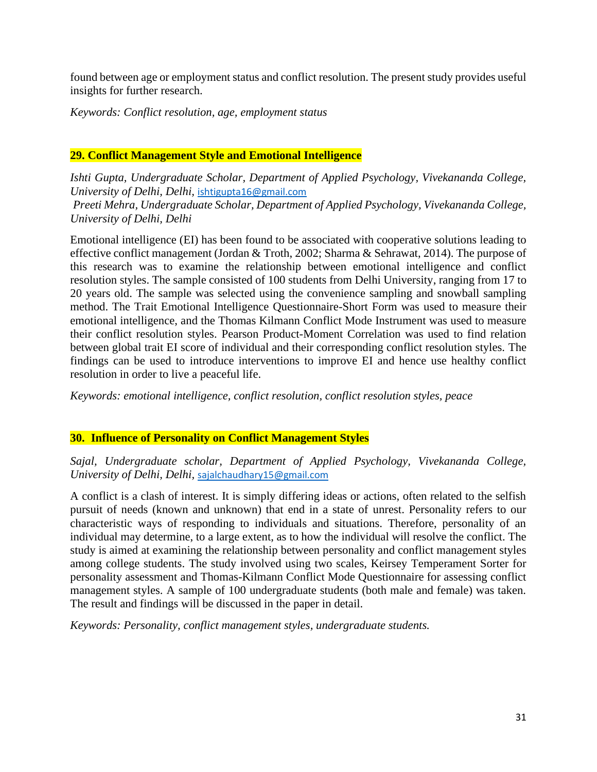found between age or employment status and conflict resolution. The present study provides useful insights for further research.

*Keywords: Conflict resolution, age, employment status*

## **29. Conflict Management Style and Emotional Intelligence**

*Ishti Gupta, Undergraduate Scholar, Department of Applied Psychology, Vivekananda College, University of Delhi, Delhi,* [ishtigupta16@gmail.com](mailto:ishtigupta16@gmail.com)

*Preeti Mehra, Undergraduate Scholar, Department of Applied Psychology, Vivekananda College, University of Delhi, Delhi*

Emotional intelligence (EI) has been found to be associated with cooperative solutions leading to effective conflict management (Jordan & Troth, 2002; Sharma & Sehrawat, 2014). The purpose of this research was to examine the relationship between emotional intelligence and conflict resolution styles. The sample consisted of 100 students from Delhi University, ranging from 17 to 20 years old. The sample was selected using the convenience sampling and snowball sampling method. The Trait Emotional Intelligence Questionnaire-Short Form was used to measure their emotional intelligence, and the Thomas Kilmann Conflict Mode Instrument was used to measure their conflict resolution styles. Pearson Product-Moment Correlation was used to find relation between global trait EI score of individual and their corresponding conflict resolution styles. The findings can be used to introduce interventions to improve EI and hence use healthy conflict resolution in order to live a peaceful life.

*Keywords: emotional intelligence, conflict resolution, conflict resolution styles, peace*

## **30. Influence of Personality on Conflict Management Styles**

*Sajal, Undergraduate scholar, Department of Applied Psychology, Vivekananda College, University of Delhi, Delhi,* [sajalchaudhary15@gmail.com](mailto:sajalchaudhary15@gmail.com)

A conflict is a clash of interest. It is simply differing ideas or actions, often related to the selfish pursuit of needs (known and unknown) that end in a state of unrest. Personality refers to our characteristic ways of responding to individuals and situations. Therefore, personality of an individual may determine, to a large extent, as to how the individual will resolve the conflict. The study is aimed at examining the relationship between personality and conflict management styles among college students. The study involved using two scales, Keirsey Temperament Sorter for personality assessment and Thomas-Kilmann Conflict Mode Questionnaire for assessing conflict management styles. A sample of 100 undergraduate students (both male and female) was taken. The result and findings will be discussed in the paper in detail.

*Keywords: Personality, conflict management styles, undergraduate students.*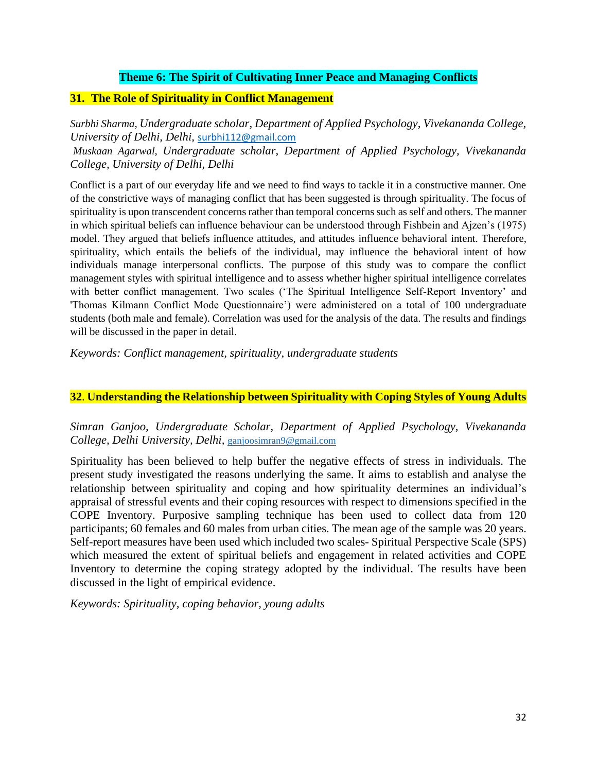## **Theme 6: The Spirit of Cultivating Inner Peace and Managing Conflicts**

### **31. The Role of Spirituality in Conflict Management**

*Surbhi Sharma, Undergraduate scholar, Department of Applied Psychology, Vivekananda College, University of Delhi, Delhi,* [surbhi112@gmail.com](mailto:surbhi112@gmail.com) 

*Muskaan Agarwal, Undergraduate scholar, Department of Applied Psychology, Vivekananda College, University of Delhi, Delhi*

Conflict is a part of our everyday life and we need to find ways to tackle it in a constructive manner. One of the constrictive ways of managing conflict that has been suggested is through spirituality. The focus of spirituality is upon transcendent concerns rather than temporal concerns such as self and others. The manner in which spiritual beliefs can influence behaviour can be understood through Fishbein and Ajzen's (1975) model. They argued that beliefs influence attitudes, and attitudes influence behavioral intent. Therefore, spirituality, which entails the beliefs of the individual, may influence the behavioral intent of how individuals manage interpersonal conflicts. The purpose of this study was to compare the conflict management styles with spiritual intelligence and to assess whether higher spiritual intelligence correlates with better conflict management. Two scales ('The Spiritual Intelligence Self-Report Inventory' and 'Thomas Kilmann Conflict Mode Questionnaire') were administered on a total of 100 undergraduate students (both male and female). Correlation was used for the analysis of the data. The results and findings will be discussed in the paper in detail.

*Keywords: Conflict management, spirituality, undergraduate students*

## **32**. **Understanding the Relationship between Spirituality with Coping Styles of Young Adults**

*Simran Ganjoo, Undergraduate Scholar, Department of Applied Psychology, Vivekananda College, Delhi University, Delhi,* [ganjoosimran9@gmail.com](mailto:ganjoosimran9@gmail.com)

Spirituality has been believed to help buffer the negative effects of stress in individuals. The present study investigated the reasons underlying the same. It aims to establish and analyse the relationship between spirituality and coping and how spirituality determines an individual's appraisal of stressful events and their coping resources with respect to dimensions specified in the COPE Inventory. Purposive sampling technique has been used to collect data from 120 participants; 60 females and 60 males from urban cities. The mean age of the sample was 20 years. Self-report measures have been used which included two scales- Spiritual Perspective Scale (SPS) which measured the extent of spiritual beliefs and engagement in related activities and COPE Inventory to determine the coping strategy adopted by the individual. The results have been discussed in the light of empirical evidence.

*Keywords: Spirituality, coping behavior, young adults*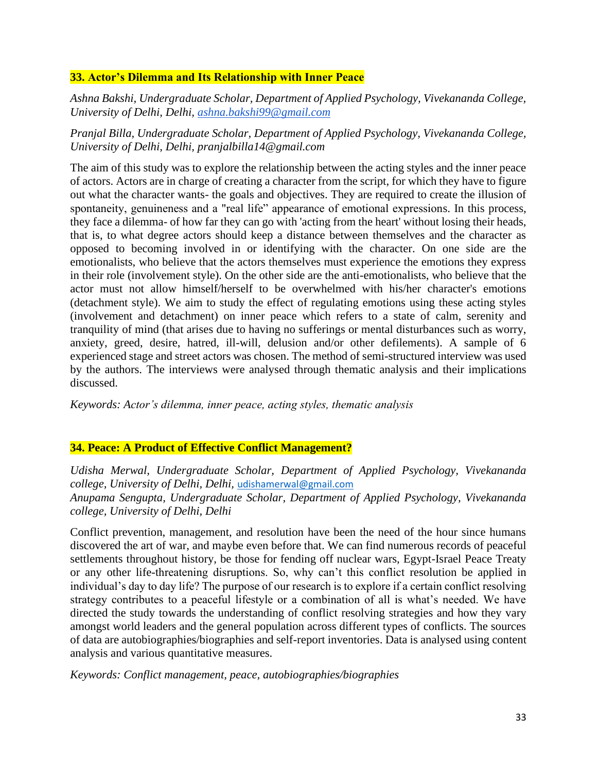## **33. Actor's Dilemma and Its Relationship with Inner Peace**

*Ashna Bakshi, Undergraduate Scholar, Department of Applied Psychology, Vivekananda College, University of Delhi, Delhi, [ashna.bakshi99@gmail.com](mailto:ashna.bakshi99@gmail.com)*

*Pranjal Billa, Undergraduate Scholar, Department of Applied Psychology, Vivekananda College, University of Delhi, Delhi, pranjalbilla14@gmail.com*

The aim of this study was to explore the relationship between the acting styles and the inner peace of actors. Actors are in charge of creating a character from the script, for which they have to figure out what the character wants- the goals and objectives. They are required to create the illusion of spontaneity, genuineness and a "real life" appearance of emotional expressions. In this process, they face a dilemma- of how far they can go with 'acting from the heart' without losing their heads, that is, to what degree actors should keep a distance between themselves and the character as opposed to becoming involved in or identifying with the character. On one side are the emotionalists, who believe that the actors themselves must experience the emotions they express in their role (involvement style). On the other side are the anti-emotionalists, who believe that the actor must not allow himself/herself to be overwhelmed with his/her character's emotions (detachment style). We aim to study the effect of regulating emotions using these acting styles (involvement and detachment) on inner peace which refers to a state of calm, serenity and tranquility of mind (that arises due to having no sufferings or mental disturbances such as worry, anxiety, greed, desire, hatred, ill-will, delusion and/or other defilements). A sample of 6 experienced stage and street actors was chosen. The method of semi-structured interview was used by the authors. The interviews were analysed through thematic analysis and their implications discussed.

*Keywords: Actor's dilemma, inner peace, acting styles, thematic analysis* 

## **34. Peace: A Product of Effective Conflict Management?**

*Udisha Merwal, Undergraduate Scholar, Department of Applied Psychology, Vivekananda college, University of Delhi, Delhi,* [udishamerwal@gmail.com](mailto:udishamerwal@gmail.com) *Anupama Sengupta, Undergraduate Scholar, Department of Applied Psychology, Vivekananda college, University of Delhi, Delhi*

Conflict prevention, management, and resolution have been the need of the hour since humans discovered the art of war, and maybe even before that. We can find numerous records of peaceful settlements throughout history, be those for fending off nuclear wars, Egypt-Israel Peace Treaty or any other life-threatening disruptions. So, why can't this conflict resolution be applied in individual's day to day life? The purpose of our research is to explore if a certain conflict resolving strategy contributes to a peaceful lifestyle or a combination of all is what's needed. We have directed the study towards the understanding of conflict resolving strategies and how they vary amongst world leaders and the general population across different types of conflicts. The sources of data are autobiographies/biographies and self-report inventories. Data is analysed using content analysis and various quantitative measures.

*Keywords: Conflict management, peace, autobiographies/biographies*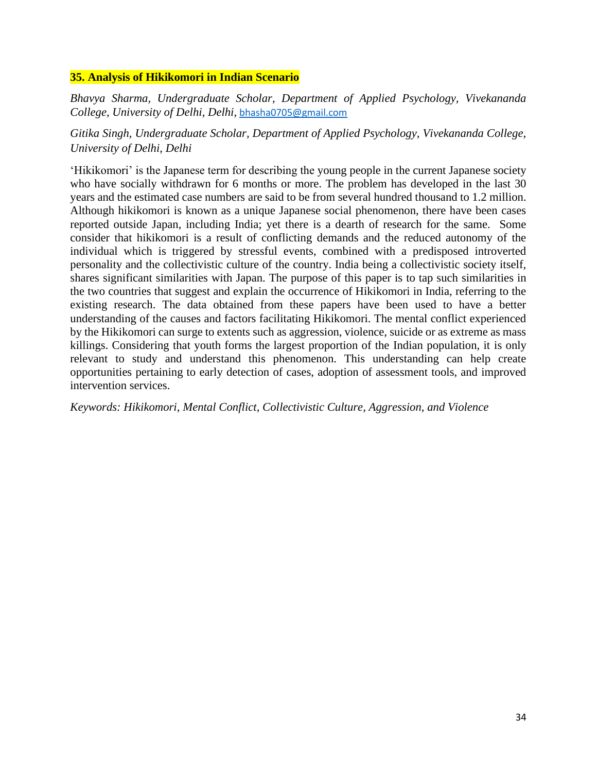## **35. Analysis of Hikikomori in Indian Scenario**

*Bhavya Sharma, Undergraduate Scholar, Department of Applied Psychology, Vivekananda College, University of Delhi, Delhi,* [bhasha0705@gmail.com](mailto:bhasha0705@gmail.com)

*Gitika Singh, Undergraduate Scholar, Department of Applied Psychology, Vivekananda College, University of Delhi, Delhi*

'Hikikomori' is the Japanese term for describing the young people in the current Japanese society who have socially withdrawn for 6 months or more. The problem has developed in the last 30 years and the estimated case numbers are said to be from several hundred thousand to 1.2 million. Although hikikomori is known as a unique Japanese social phenomenon, there have been cases reported outside Japan, including India; yet there is a dearth of research for the same. Some consider that hikikomori is a result of conflicting demands and the reduced autonomy of the individual which is triggered by stressful events, combined with a predisposed introverted personality and the collectivistic culture of the country. India being a collectivistic society itself, shares significant similarities with Japan. The purpose of this paper is to tap such similarities in the two countries that suggest and explain the occurrence of Hikikomori in India, referring to the existing research. The data obtained from these papers have been used to have a better understanding of the causes and factors facilitating Hikikomori. The mental conflict experienced by the Hikikomori can surge to extents such as aggression, violence, suicide or as extreme as mass killings. Considering that youth forms the largest proportion of the Indian population, it is only relevant to study and understand this phenomenon. This understanding can help create opportunities pertaining to early detection of cases, adoption of assessment tools, and improved intervention services.

*Keywords: Hikikomori, Mental Conflict, Collectivistic Culture, Aggression, and Violence*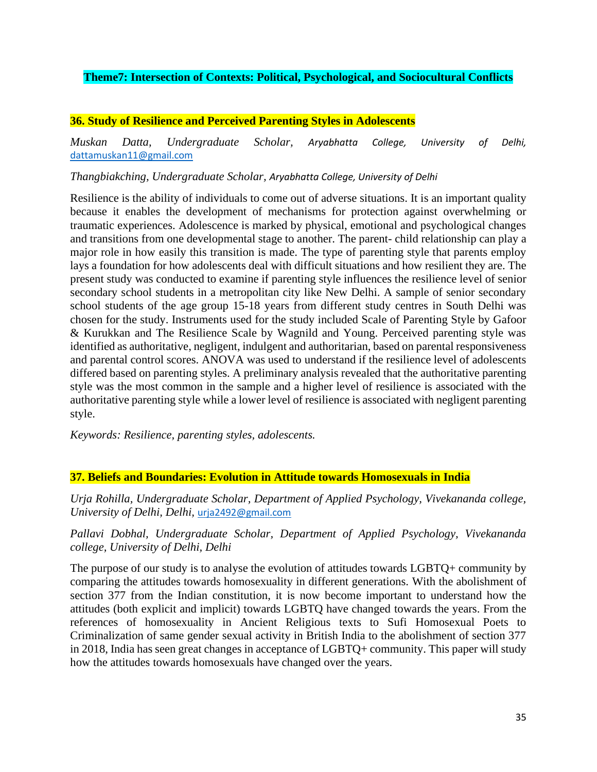# **Theme7: Intersection of Contexts: Political, Psychological, and Sociocultural Conflicts**

## **36. Study of Resilience and Perceived Parenting Styles in Adolescents**

*Muskan Datta, Undergraduate Scholar, Aryabhatta College, University of Delhi,* [dattamuskan11@gmail.com](mailto:dattamuskan11@gmail.com)

*Thangbiakching, Undergraduate Scholar, Aryabhatta College, University of Delhi*

Resilience is the ability of individuals to come out of adverse situations. It is an important quality because it enables the development of mechanisms for protection against overwhelming or traumatic experiences. Adolescence is marked by physical, emotional and psychological changes and transitions from one developmental stage to another. The parent- child relationship can play a major role in how easily this transition is made. The type of parenting style that parents employ lays a foundation for how adolescents deal with difficult situations and how resilient they are. The present study was conducted to examine if parenting style influences the resilience level of senior secondary school students in a metropolitan city like New Delhi. A sample of senior secondary school students of the age group 15-18 years from different study centres in South Delhi was chosen for the study. Instruments used for the study included Scale of Parenting Style by Gafoor & Kurukkan and The Resilience Scale by Wagnild and Young. Perceived parenting style was identified as authoritative, negligent, indulgent and authoritarian, based on parental responsiveness and parental control scores. ANOVA was used to understand if the resilience level of adolescents differed based on parenting styles. A preliminary analysis revealed that the authoritative parenting style was the most common in the sample and a higher level of resilience is associated with the authoritative parenting style while a lower level of resilience is associated with negligent parenting style.

*Keywords: Resilience, parenting styles, adolescents.*

## **37. Beliefs and Boundaries: Evolution in Attitude towards Homosexuals in India**

*Urja Rohilla, Undergraduate Scholar, Department of Applied Psychology, Vivekananda college, University of Delhi, Delhi,* [urja2492@gmail.com](mailto:urja2492@gmail.com)

# *Pallavi Dobhal, Undergraduate Scholar, Department of Applied Psychology, Vivekananda college, University of Delhi, Delhi*

The purpose of our study is to analyse the evolution of attitudes towards LGBTQ+ community by comparing the attitudes towards homosexuality in different generations. With the abolishment of section 377 from the Indian constitution, it is now become important to understand how the attitudes (both explicit and implicit) towards LGBTQ have changed towards the years. From the references of homosexuality in Ancient Religious texts to Sufi Homosexual Poets to Criminalization of same gender sexual activity in British India to the abolishment of section 377 in 2018, India has seen great changes in acceptance of LGBTQ+ community. This paper will study how the attitudes towards homosexuals have changed over the years.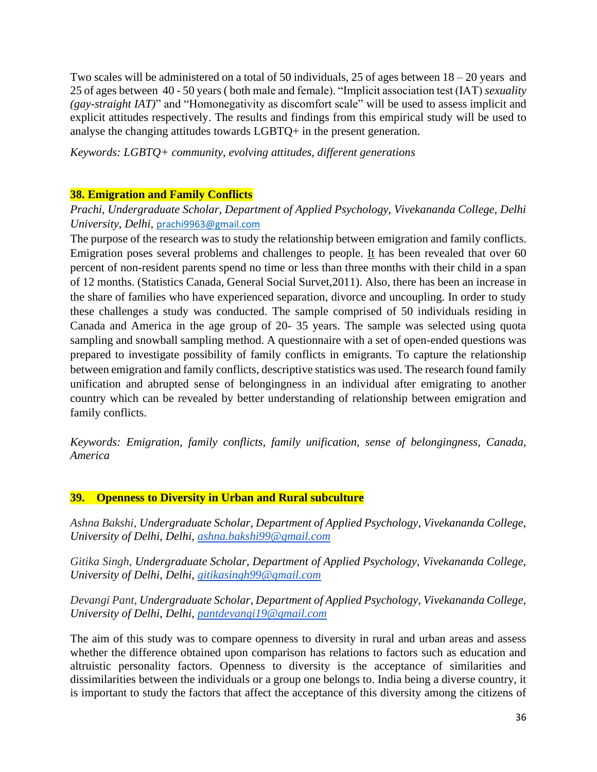Two scales will be administered on a total of 50 individuals, 25 of ages between  $18 - 20$  years and 25 of ages between 40 - 50 years ( both male and female). "Implicit association test (IAT) *sexuality (gay-straight IAT)*" and "Homonegativity as discomfort scale" will be used to assess implicit and explicit attitudes respectively. The results and findings from this empirical study will be used to analyse the changing attitudes towards LGBTQ+ in the present generation.

*Keywords: LGBTQ+ community, evolving attitudes, different generations*

# **38. Emigration and Family Conflicts**

# *Prachi, Undergraduate Scholar, Department of Applied Psychology, Vivekananda College, Delhi University, Delhi,* [prachi9963@gmail.com](mailto:prachi9963@gmail.com)

The purpose of the research was to study the relationship between emigration and family conflicts. Emigration poses several problems and challenges to people. It has been revealed that over 60 percent of non-resident parents spend no time or less than three months with their child in a span of 12 months. (Statistics Canada, General Social Survet,2011). Also, there has been an increase in the share of families who have experienced separation, divorce and uncoupling. In order to study these challenges a study was conducted. The sample comprised of 50 individuals residing in Canada and America in the age group of 20- 35 years. The sample was selected using quota sampling and snowball sampling method. A questionnaire with a set of open-ended questions was prepared to investigate possibility of family conflicts in emigrants. To capture the relationship between emigration and family conflicts, descriptive statistics was used. The research found family unification and abrupted sense of belongingness in an individual after emigrating to another country which can be revealed by better understanding of relationship between emigration and family conflicts.

*Keywords: Emigration, family conflicts, family unification, sense of belongingness, Canada, America* 

# **39. Openness to Diversity in Urban and Rural subculture**

*Ashna Bakshi, Undergraduate Scholar, Department of Applied Psychology, Vivekananda College, University of Delhi, Delhi, [ashna.bakshi99@gmail.com](mailto:ashna.bakshi99@gmail.com)*

*Gitika Singh, Undergraduate Scholar, Department of Applied Psychology, Vivekananda College, University of Delhi, Delhi, [gitikasingh99@gmail.com](mailto:gitikasingh99@gmail.com)*

*Devangi Pant, Undergraduate Scholar, Department of Applied Psychology, Vivekananda College, University of Delhi, Delhi, [pantdevangi19@gmail.com](mailto:pantdevangi19@gmail.com)*

The aim of this study was to compare openness to diversity in rural and urban areas and assess whether the difference obtained upon comparison has relations to factors such as education and altruistic personality factors. Openness to diversity is the acceptance of similarities and dissimilarities between the individuals or a group one belongs to. India being a diverse country, it is important to study the factors that affect the acceptance of this diversity among the citizens of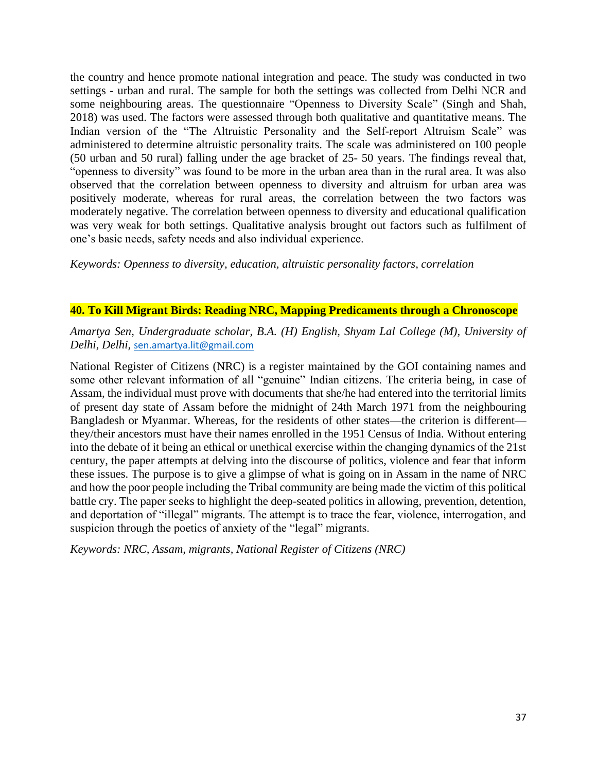the country and hence promote national integration and peace. The study was conducted in two settings - urban and rural. The sample for both the settings was collected from Delhi NCR and some neighbouring areas. The questionnaire "Openness to Diversity Scale" (Singh and Shah, 2018) was used. The factors were assessed through both qualitative and quantitative means. The Indian version of the "The Altruistic Personality and the Self-report Altruism Scale" was administered to determine altruistic personality traits. The scale was administered on 100 people (50 urban and 50 rural) falling under the age bracket of 25- 50 years. The findings reveal that, "openness to diversity" was found to be more in the urban area than in the rural area. It was also observed that the correlation between openness to diversity and altruism for urban area was positively moderate, whereas for rural areas, the correlation between the two factors was moderately negative. The correlation between openness to diversity and educational qualification was very weak for both settings. Qualitative analysis brought out factors such as fulfilment of one's basic needs, safety needs and also individual experience.

*Keywords: Openness to diversity, education, altruistic personality factors, correlation* 

### **40. To Kill Migrant Birds: Reading NRC, Mapping Predicaments through a Chronoscope**

*Amartya Sen, Undergraduate scholar, B.A. (H) English, Shyam Lal College (M), University of Delhi, Delhi,* [sen.amartya.lit@gmail.com](mailto:sen.amartya.lit@gmail.com)

National Register of Citizens (NRC) is a register maintained by the GOI containing names and some other relevant information of all "genuine" Indian citizens. The criteria being, in case of Assam, the individual must prove with documents that she/he had entered into the territorial limits of present day state of Assam before the midnight of 24th March 1971 from the neighbouring Bangladesh or Myanmar. Whereas, for the residents of other states—the criterion is different they/their ancestors must have their names enrolled in the 1951 Census of India. Without entering into the debate of it being an ethical or unethical exercise within the changing dynamics of the 21st century, the paper attempts at delving into the discourse of politics, violence and fear that inform these issues. The purpose is to give a glimpse of what is going on in Assam in the name of NRC and how the poor people including the Tribal community are being made the victim of this political battle cry. The paper seeks to highlight the deep-seated politics in allowing, prevention, detention, and deportation of "illegal" migrants. The attempt is to trace the fear, violence, interrogation, and suspicion through the poetics of anxiety of the "legal" migrants.

*Keywords: NRC, Assam, migrants, National Register of Citizens (NRC)*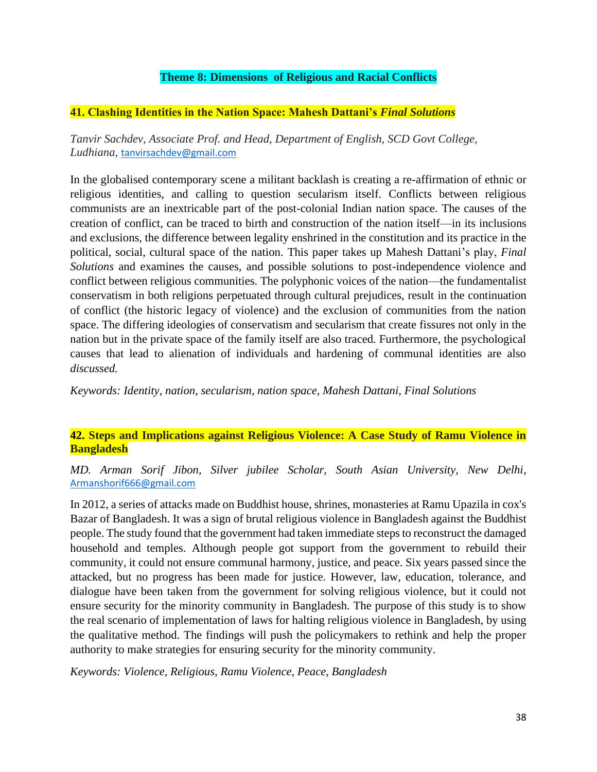# **Theme 8: Dimensions of Religious and Racial Conflicts**

## **41. Clashing Identities in the Nation Space: Mahesh Dattani's** *Final Solutions*

*Tanvir Sachdev, Associate Prof. and Head, Department of English, SCD Govt College, Ludhiana,* [tanvirsachdev@gmail.com](mailto:tanvirsachdev@gmail.com)

In the globalised contemporary scene a militant backlash is creating a re-affirmation of ethnic or religious identities, and calling to question secularism itself. Conflicts between religious communists are an inextricable part of the post-colonial Indian nation space. The causes of the creation of conflict, can be traced to birth and construction of the nation itself—in its inclusions and exclusions, the difference between legality enshrined in the constitution and its practice in the political, social, cultural space of the nation. This paper takes up Mahesh Dattani's play, *Final Solutions* and examines the causes, and possible solutions to post-independence violence and conflict between religious communities. The polyphonic voices of the nation—the fundamentalist conservatism in both religions perpetuated through cultural prejudices, result in the continuation of conflict (the historic legacy of violence) and the exclusion of communities from the nation space. The differing ideologies of conservatism and secularism that create fissures not only in the nation but in the private space of the family itself are also traced. Furthermore, the psychological causes that lead to alienation of individuals and hardening of communal identities are also *discussed.* 

*Keywords: Identity, nation, secularism, nation space, Mahesh Dattani, Final Solutions*

## **42. Steps and Implications against Religious Violence: A Case Study of Ramu Violence in Bangladesh**

*MD. Arman Sorif Jibon, Silver jubilee Scholar, South Asian University, New Delhi,*  [Armanshorif666@gmail.com](mailto:Armanshorif666@gmail.com)

In 2012, a series of attacks made on Buddhist house, shrines, monasteries at Ramu Upazila in cox's Bazar of Bangladesh. It was a sign of brutal religious violence in Bangladesh against the Buddhist people. The study found that the government had taken immediate steps to reconstruct the damaged household and temples. Although people got support from the government to rebuild their community, it could not ensure communal harmony, justice, and peace. Six years passed since the attacked, but no progress has been made for justice. However, law, education, tolerance, and dialogue have been taken from the government for solving religious violence, but it could not ensure security for the minority community in Bangladesh. The purpose of this study is to show the real scenario of implementation of laws for halting religious violence in Bangladesh, by using the qualitative method. The findings will push the policymakers to rethink and help the proper authority to make strategies for ensuring security for the minority community.

*Keywords: Violence, Religious, Ramu Violence, Peace, Bangladesh*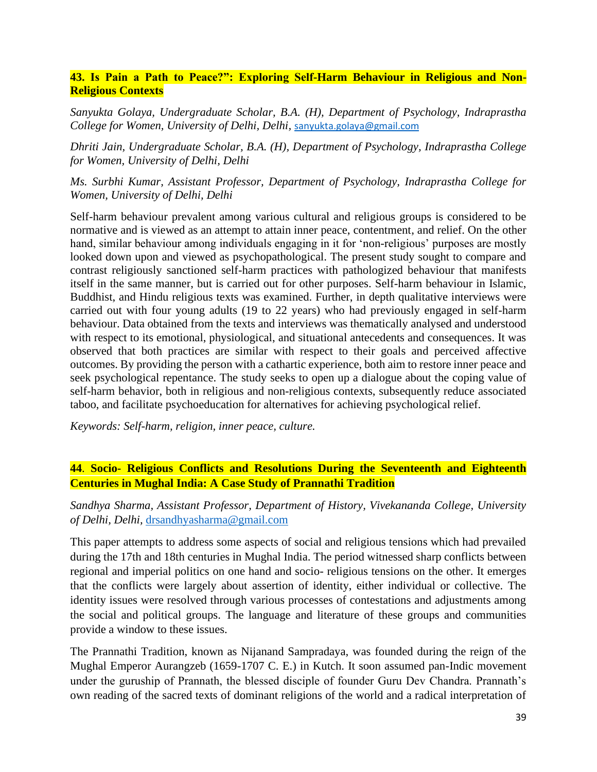# **43. Is Pain a Path to Peace?": Exploring Self-Harm Behaviour in Religious and Non-Religious Contexts**

*Sanyukta Golaya, Undergraduate Scholar, B.A. (H), Department of Psychology, Indraprastha College for Women, University of Delhi, Delhi,* [sanyukta.golaya@gmail.com](mailto:sanyukta.golaya@gmail.com)

*Dhriti Jain, Undergraduate Scholar, B.A. (H), Department of Psychology, Indraprastha College for Women, University of Delhi, Delhi*

*Ms. Surbhi Kumar, Assistant Professor, Department of Psychology, Indraprastha College for Women, University of Delhi, Delhi*

Self-harm behaviour prevalent among various cultural and religious groups is considered to be normative and is viewed as an attempt to attain inner peace, contentment, and relief. On the other hand, similar behaviour among individuals engaging in it for 'non-religious' purposes are mostly looked down upon and viewed as psychopathological. The present study sought to compare and contrast religiously sanctioned self-harm practices with pathologized behaviour that manifests itself in the same manner, but is carried out for other purposes. Self-harm behaviour in Islamic, Buddhist, and Hindu religious texts was examined. Further, in depth qualitative interviews were carried out with four young adults (19 to 22 years) who had previously engaged in self-harm behaviour. Data obtained from the texts and interviews was thematically analysed and understood with respect to its emotional, physiological, and situational antecedents and consequences. It was observed that both practices are similar with respect to their goals and perceived affective outcomes. By providing the person with a cathartic experience, both aim to restore inner peace and seek psychological repentance. The study seeks to open up a dialogue about the coping value of self-harm behavior, both in religious and non-religious contexts, subsequently reduce associated taboo, and facilitate psychoeducation for alternatives for achieving psychological relief.

*Keywords: Self-harm, religion, inner peace, culture.*

# **44**. **Socio- Religious Conflicts and Resolutions During the Seventeenth and Eighteenth Centuries in Mughal India: A Case Study of Prannathi Tradition**

*Sandhya Sharma, Assistant Professor, Department of History, Vivekananda College, University of Delhi, Delhi,* [drsandhyasharma@gmail.com](mailto:drsandhyasharma@gmail.com)

This paper attempts to address some aspects of social and religious tensions which had prevailed during the 17th and 18th centuries in Mughal India. The period witnessed sharp conflicts between regional and imperial politics on one hand and socio- religious tensions on the other. It emerges that the conflicts were largely about assertion of identity, either individual or collective. The identity issues were resolved through various processes of contestations and adjustments among the social and political groups. The language and literature of these groups and communities provide a window to these issues.

The Prannathi Tradition, known as Nijanand Sampradaya, was founded during the reign of the Mughal Emperor Aurangzeb (1659-1707 C. E.) in Kutch. It soon assumed pan-Indic movement under the guruship of Prannath, the blessed disciple of founder Guru Dev Chandra. Prannath's own reading of the sacred texts of dominant religions of the world and a radical interpretation of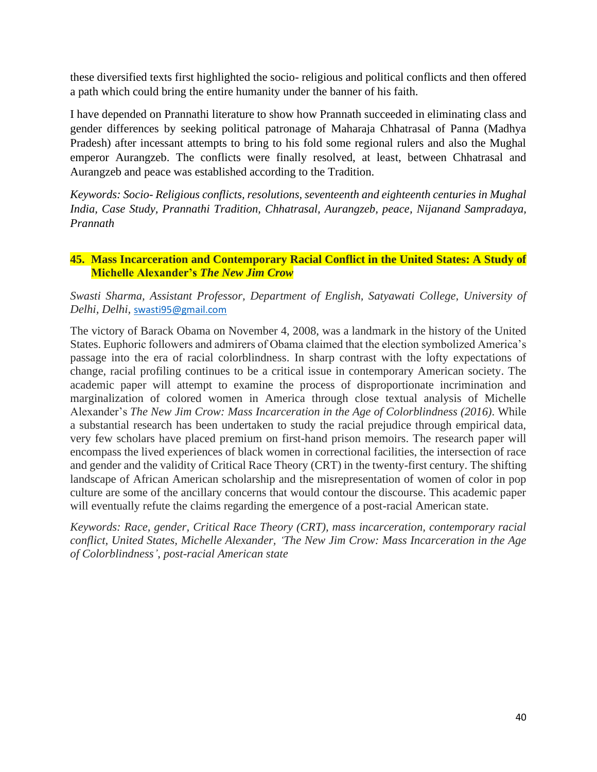these diversified texts first highlighted the socio- religious and political conflicts and then offered a path which could bring the entire humanity under the banner of his faith.

I have depended on Prannathi literature to show how Prannath succeeded in eliminating class and gender differences by seeking political patronage of Maharaja Chhatrasal of Panna (Madhya Pradesh) after incessant attempts to bring to his fold some regional rulers and also the Mughal emperor Aurangzeb. The conflicts were finally resolved, at least, between Chhatrasal and Aurangzeb and peace was established according to the Tradition.

*Keywords: Socio- Religious conflicts, resolutions, seventeenth and eighteenth centuries in Mughal India, Case Study, Prannathi Tradition, Chhatrasal, Aurangzeb, peace, Nijanand Sampradaya, Prannath*

## **45. Mass Incarceration and Contemporary Racial Conflict in the United States: A Study of Michelle Alexander's** *The New Jim Crow*

*Swasti Sharma, Assistant Professor, Department of English, Satyawati College, University of Delhi, Delhi,* [swasti95@gmail.com](mailto:swasti95@gmail.com)

The victory of Barack Obama on November 4, 2008, was a landmark in the history of the United States. Euphoric followers and admirers of Obama claimed that the election symbolized America's passage into the era of racial colorblindness. In sharp contrast with the lofty expectations of change, racial profiling continues to be a critical issue in contemporary American society. The academic paper will attempt to examine the process of disproportionate incrimination and marginalization of colored women in America through close textual analysis of Michelle Alexander's *The New Jim Crow: Mass Incarceration in the Age of Colorblindness (2016)*. While a substantial research has been undertaken to study the racial prejudice through empirical data, very few scholars have placed premium on first-hand prison memoirs. The research paper will encompass the lived experiences of black women in correctional facilities, the intersection of race and gender and the validity of Critical Race Theory (CRT) in the twenty-first century. The shifting landscape of African American scholarship and the misrepresentation of women of color in pop culture are some of the ancillary concerns that would contour the discourse. This academic paper will eventually refute the claims regarding the emergence of a post-racial American state.

*Keywords: Race, gender, Critical Race Theory (CRT), mass incarceration, contemporary racial conflict, United States, Michelle Alexander, 'The New Jim Crow: Mass Incarceration in the Age of Colorblindness'*, *post-racial American state*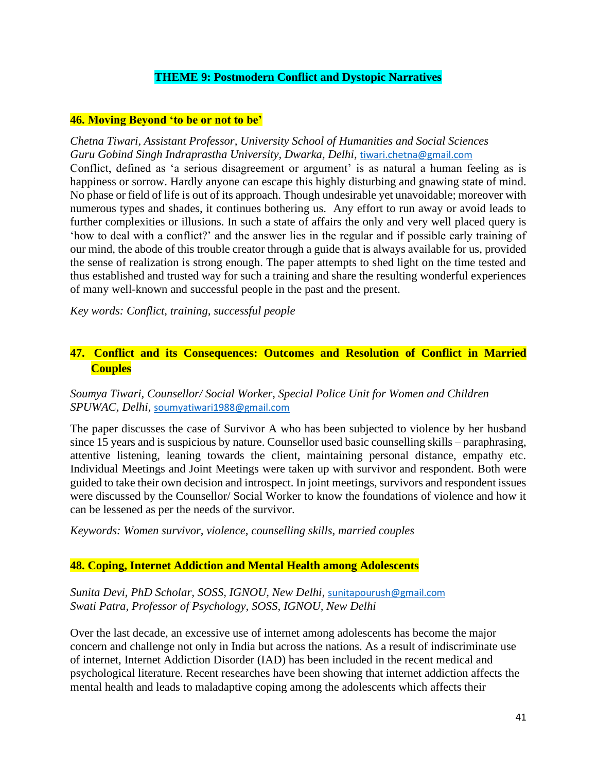## **THEME 9: Postmodern Conflict and Dystopic Narratives**

## **46. Moving Beyond 'to be or not to be'**

*Chetna Tiwari, Assistant Professor, University School of Humanities and Social Sciences Guru Gobind Singh Indraprastha University, Dwarka, Delhi,* [tiwari.chetna@gmail.com](mailto:tiwari.chetna@gmail.com) Conflict, defined as 'a serious disagreement or argument' is as natural a human feeling as is happiness or sorrow. Hardly anyone can escape this highly disturbing and gnawing state of mind. No phase or field of life is out of its approach. Though undesirable yet unavoidable; moreover with numerous types and shades, it continues bothering us. Any effort to run away or avoid leads to further complexities or illusions. In such a state of affairs the only and very well placed query is 'how to deal with a conflict?' and the answer lies in the regular and if possible early training of our mind, the abode of this trouble creator through a guide that is always available for us, provided the sense of realization is strong enough. The paper attempts to shed light on the time tested and thus established and trusted way for such a training and share the resulting wonderful experiences of many well-known and successful people in the past and the present.

*Key words: Conflict, training, successful people*

# **47. Conflict and its Consequences: Outcomes and Resolution of Conflict in Married Couples**

## *Soumya Tiwari, Counsellor/ Social Worker, Special Police Unit for Women and Children SPUWAC, Delhi,* [soumyatiwari1988@gmail.com](mailto:soumyatiwari1988@gmail.com)

The paper discusses the case of Survivor A who has been subjected to violence by her husband since 15 years and is suspicious by nature. Counsellor used basic counselling skills – paraphrasing, attentive listening, leaning towards the client, maintaining personal distance, empathy etc. Individual Meetings and Joint Meetings were taken up with survivor and respondent. Both were guided to take their own decision and introspect. In joint meetings, survivors and respondent issues were discussed by the Counsellor/ Social Worker to know the foundations of violence and how it can be lessened as per the needs of the survivor.

*Keywords: Women survivor, violence, counselling skills, married couples*

## **48. Coping, Internet Addiction and Mental Health among Adolescents**

*Sunita Devi, PhD Scholar, SOSS, IGNOU, New Delhi,* [sunitapourush@gmail.com](mailto:sunitapourush@gmail.com) *Swati Patra, Professor of Psychology, SOSS, IGNOU, New Delhi*

Over the last decade, an excessive use of internet among adolescents has become the major concern and challenge not only in India but across the nations. As a result of indiscriminate use of internet, Internet Addiction Disorder (IAD) has been included in the recent medical and psychological literature. Recent researches have been showing that internet addiction affects the mental health and leads to maladaptive coping among the adolescents which affects their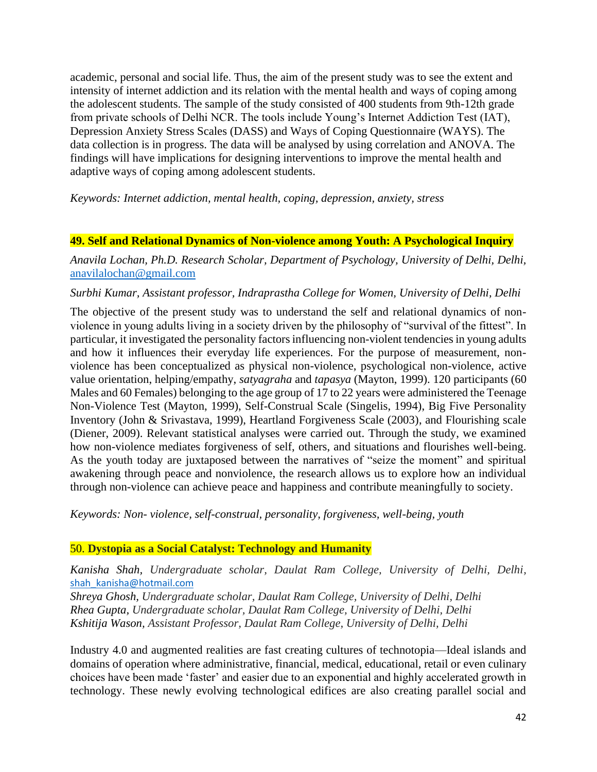academic, personal and social life. Thus, the aim of the present study was to see the extent and intensity of internet addiction and its relation with the mental health and ways of coping among the adolescent students. The sample of the study consisted of 400 students from 9th-12th grade from private schools of Delhi NCR. The tools include Young's Internet Addiction Test (IAT), Depression Anxiety Stress Scales (DASS) and Ways of Coping Questionnaire (WAYS). The data collection is in progress. The data will be analysed by using correlation and ANOVA. The findings will have implications for designing interventions to improve the mental health and adaptive ways of coping among adolescent students.

*Keywords: Internet addiction, mental health, coping, depression, anxiety, stress*

## **49. Self and Relational Dynamics of Non-violence among Youth: A Psychological Inquiry**

*Anavila Lochan, Ph.D. Research Scholar, Department of Psychology, University of Delhi, Delhi,*  [anavilalochan@gmail.com](mailto:anavilalochan@gmail.com)

### *Surbhi Kumar, Assistant professor, Indraprastha College for Women, University of Delhi, Delhi*

The objective of the present study was to understand the self and relational dynamics of nonviolence in young adults living in a society driven by the philosophy of "survival of the fittest". In particular, it investigated the personality factors influencing non-violent tendencies in young adults and how it influences their everyday life experiences. For the purpose of measurement, nonviolence has been conceptualized as physical non-violence, psychological non-violence, active value orientation, helping/empathy, *satyagraha* and *tapasya* (Mayton, 1999). 120 participants (60 Males and 60 Females) belonging to the age group of 17 to 22 years were administered the Teenage Non-Violence Test (Mayton, 1999), Self-Construal Scale (Singelis, 1994), Big Five Personality Inventory (John & Srivastava, 1999), Heartland Forgiveness Scale (2003), and Flourishing scale (Diener, 2009). Relevant statistical analyses were carried out. Through the study, we examined how non-violence mediates forgiveness of self, others, and situations and flourishes well-being. As the youth today are juxtaposed between the narratives of "seize the moment" and spiritual awakening through peace and nonviolence, the research allows us to explore how an individual through non-violence can achieve peace and happiness and contribute meaningfully to society.

*Keywords: Non- violence, self-construal, personality, forgiveness, well-being, youth*

## 50. **Dystopia as a Social Catalyst: Technology and Humanity**

*Kanisha Shah, Undergraduate scholar, Daulat Ram College, University of Delhi, Delhi,*  [shah\\_kanisha@hotmail.com](mailto:shah_kanisha@hotmail.com)

*Shreya Ghosh, Undergraduate scholar, Daulat Ram College, University of Delhi, Delhi Rhea Gupta, Undergraduate scholar, Daulat Ram College, University of Delhi, Delhi Kshitija Wason, Assistant Professor, Daulat Ram College, University of Delhi, Delhi*

Industry 4.0 and augmented realities are fast creating cultures of technotopia—Ideal islands and domains of operation where administrative, financial, medical, educational, retail or even culinary choices have been made 'faster' and easier due to an exponential and highly accelerated growth in technology. These newly evolving technological edifices are also creating parallel social and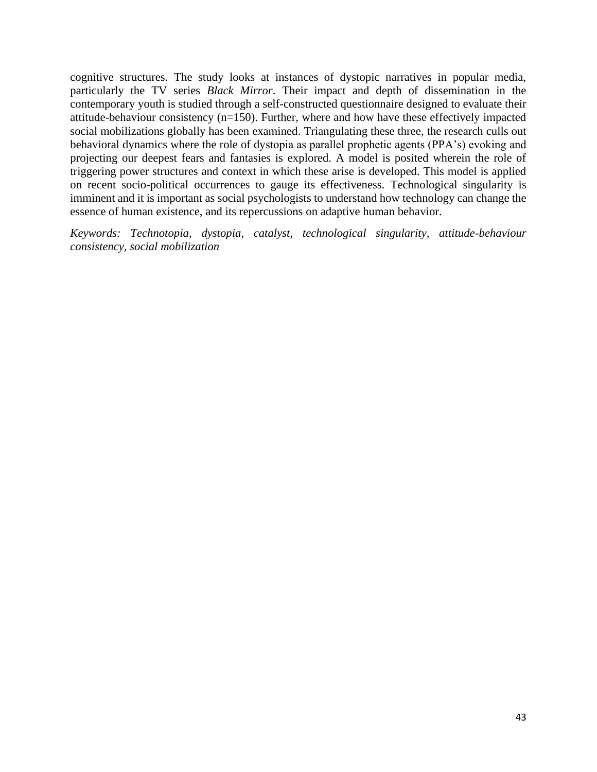cognitive structures. The study looks at instances of dystopic narratives in popular media, particularly the TV series *Black Mirror*. Their impact and depth of dissemination in the contemporary youth is studied through a self-constructed questionnaire designed to evaluate their attitude-behaviour consistency (n=150). Further, where and how have these effectively impacted social mobilizations globally has been examined. Triangulating these three, the research culls out behavioral dynamics where the role of dystopia as parallel prophetic agents (PPA's) evoking and projecting our deepest fears and fantasies is explored. A model is posited wherein the role of triggering power structures and context in which these arise is developed. This model is applied on recent socio-political occurrences to gauge its effectiveness. Technological singularity is imminent and it is important as social psychologists to understand how technology can change the essence of human existence, and its repercussions on adaptive human behavior.

*Keywords: Technotopia, dystopia, catalyst, technological singularity, attitude-behaviour consistency, social mobilization*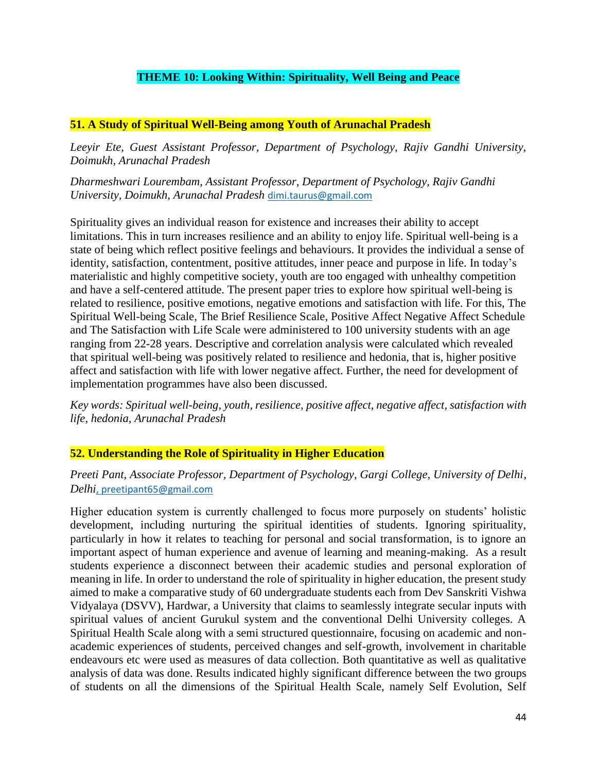# **THEME 10: Looking Within: Spirituality, Well Being and Peace**

## **51. A Study of Spiritual Well-Being among Youth of Arunachal Pradesh**

*Leeyir Ete, Guest Assistant Professor, Department of Psychology, Rajiv Gandhi University, Doimukh, Arunachal Pradesh*

*Dharmeshwari Lourembam, Assistant Professor, Department of Psychology, Rajiv Gandhi University, Doimukh, Arunachal Pradesh* [dimi.taurus@gmail.com](mailto:dimi.taurus@gmail.com)

Spirituality gives an individual reason for existence and increases their ability to accept limitations. This in turn increases resilience and an ability to enjoy life. Spiritual well-being is a state of being which reflect positive feelings and behaviours. It provides the individual a sense of identity, satisfaction, contentment, positive attitudes, inner peace and purpose in life. In today's materialistic and highly competitive society, youth are too engaged with unhealthy competition and have a self-centered attitude. The present paper tries to explore how spiritual well-being is related to resilience, positive emotions, negative emotions and satisfaction with life. For this, The Spiritual Well-being Scale, The Brief Resilience Scale, Positive Affect Negative Affect Schedule and The Satisfaction with Life Scale were administered to 100 university students with an age ranging from 22-28 years. Descriptive and correlation analysis were calculated which revealed that spiritual well-being was positively related to resilience and hedonia, that is, higher positive affect and satisfaction with life with lower negative affect. Further, the need for development of implementation programmes have also been discussed.

*Key words: Spiritual well-being, youth, resilience, positive affect, negative affect, satisfaction with life, hedonia, Arunachal Pradesh*

## **52. Understanding the Role of Spirituality in Higher Education**

## *Preeti Pant, Associate Professor, Department of Psychology, Gargi College, University of Delhi, Delhi*, [preetipant65@gmail.com](mailto:preetipant65@gmail.com)

Higher education system is currently challenged to focus more purposely on students' holistic development, including nurturing the spiritual identities of students. Ignoring spirituality, particularly in how it relates to teaching for personal and social transformation, is to ignore an important aspect of human experience and avenue of learning and meaning-making. As a result students experience a disconnect between their academic studies and personal exploration of meaning in life. In order to understand the role of spirituality in higher education, the present study aimed to make a comparative study of 60 undergraduate students each from Dev Sanskriti Vishwa Vidyalaya (DSVV), Hardwar, a University that claims to seamlessly integrate secular inputs with spiritual values of ancient Gurukul system and the conventional Delhi University colleges. A Spiritual Health Scale along with a semi structured questionnaire, focusing on academic and nonacademic experiences of students, perceived changes and self-growth, involvement in charitable endeavours etc were used as measures of data collection. Both quantitative as well as qualitative analysis of data was done. Results indicated highly significant difference between the two groups of students on all the dimensions of the Spiritual Health Scale, namely Self Evolution, Self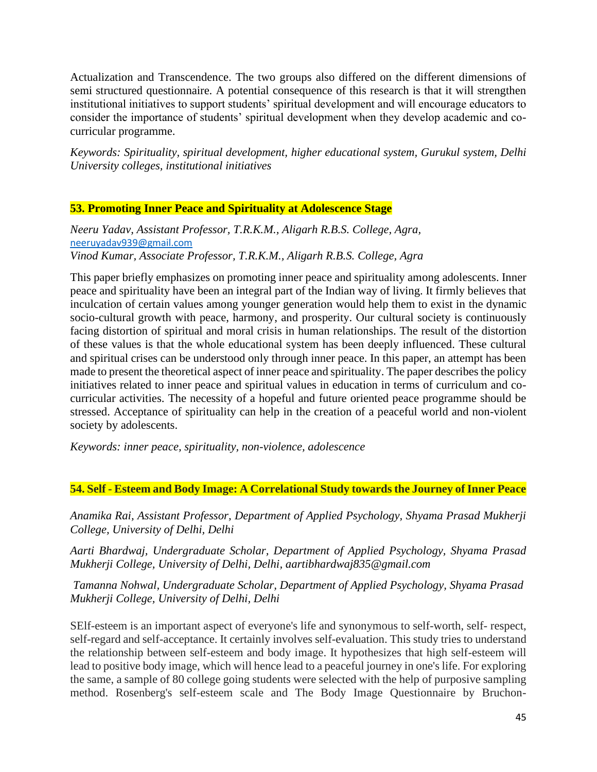Actualization and Transcendence. The two groups also differed on the different dimensions of semi structured questionnaire. A potential consequence of this research is that it will strengthen institutional initiatives to support students' spiritual development and will encourage educators to consider the importance of students' spiritual development when they develop academic and cocurricular programme.

*Keywords: Spirituality, spiritual development, higher educational system, Gurukul system, Delhi University colleges, institutional initiatives*

## **53. Promoting Inner Peace and Spirituality at Adolescence Stage**

*Neeru Yadav, Assistant Professor, T.R.K.M., Aligarh R.B.S. College, Agra,* [neeruyadav939@gmail.com](mailto:neeruyadav939@gmail.com) *Vinod Kumar, Associate Professor, T.R.K.M., Aligarh R.B.S. College, Agra*

This paper briefly emphasizes on promoting inner peace and spirituality among adolescents. Inner peace and spirituality have been an integral part of the Indian way of living. It firmly believes that inculcation of certain values among younger generation would help them to exist in the dynamic socio-cultural growth with peace, harmony, and prosperity. Our cultural society is continuously facing distortion of spiritual and moral crisis in human relationships. The result of the distortion of these values is that the whole educational system has been deeply influenced. These cultural and spiritual crises can be understood only through inner peace. In this paper, an attempt has been made to present the theoretical aspect of inner peace and spirituality. The paper describes the policy initiatives related to inner peace and spiritual values in education in terms of curriculum and cocurricular activities. The necessity of a hopeful and future oriented peace programme should be stressed. Acceptance of spirituality can help in the creation of a peaceful world and non-violent society by adolescents.

*Keywords: inner peace, spirituality, non-violence, adolescence*

# **54. Self - Esteem and Body Image: A Correlational Study towards the Journey of Inner Peace**

*Anamika Rai, Assistant Professor, Department of Applied Psychology, Shyama Prasad Mukherji College, University of Delhi, Delhi* 

*Aarti Bhardwaj, Undergraduate Scholar, Department of Applied Psychology, Shyama Prasad Mukherji College, University of Delhi, Delhi, aartibhardwaj835@gmail.com*

*Tamanna Nohwal, Undergraduate Scholar, Department of Applied Psychology, Shyama Prasad Mukherji College, University of Delhi, Delhi*

Elf-esteem is an important aspect of everyone's life and synonymous to self-worth, self- respect, Sself-regard and self-acceptance. It certainly involves self-evaluation. This study tries to understand the relationship between self-esteem and body image. It hypothesizes that high self-esteem will lead to positive body image, which will hence lead to a peaceful journey in one's life. For exploring the same, a sample of 80 college going students were selected with the help of purposive sampling method. Rosenberg's self-esteem scale and The Body Image Questionnaire by Bruchon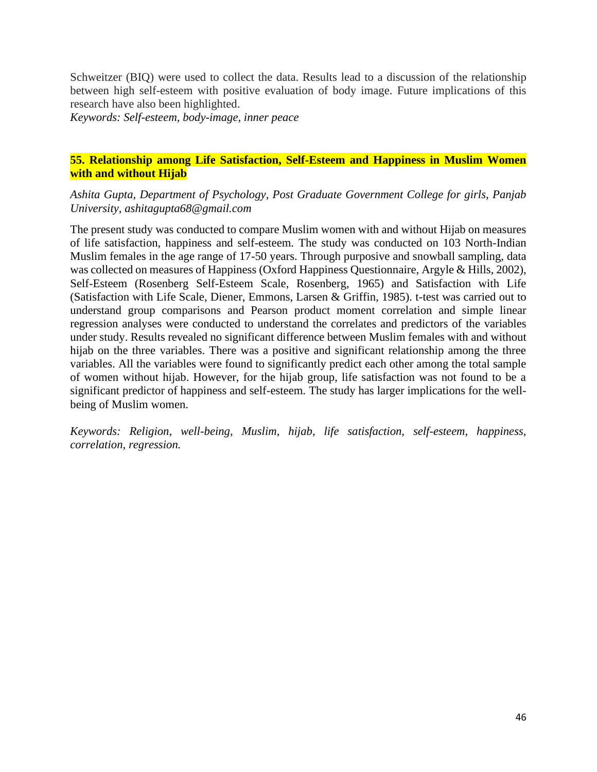Schweitzer (BIQ) were used to collect the data. Results lead to a discussion of the relationship between high self-esteem with positive evaluation of body image. Future implications of this research have also been highlighted.

*Keywords: Self-esteem, body-image, inner peace* 

## **55. Relationship among Life Satisfaction, Self-Esteem and Happiness in Muslim Women with and without Hijab**

*Ashita Gupta, Department of Psychology, Post Graduate Government College for girls, Panjab University, ashitagupta68@gmail.com*

The present study was conducted to compare Muslim women with and without Hijab on measures of life satisfaction, happiness and self-esteem. The study was conducted on 103 North-Indian Muslim females in the age range of 17-50 years. Through purposive and snowball sampling, data was collected on measures of Happiness (Oxford Happiness Questionnaire, Argyle & Hills, 2002), Self-Esteem (Rosenberg Self-Esteem Scale, Rosenberg, 1965) and Satisfaction with Life (Satisfaction with Life Scale, Diener, Emmons, Larsen & Griffin, 1985). t-test was carried out to understand group comparisons and Pearson product moment correlation and simple linear regression analyses were conducted to understand the correlates and predictors of the variables under study. Results revealed no significant difference between Muslim females with and without hijab on the three variables. There was a positive and significant relationship among the three variables. All the variables were found to significantly predict each other among the total sample of women without hijab. However, for the hijab group, life satisfaction was not found to be a significant predictor of happiness and self-esteem. The study has larger implications for the wellbeing of Muslim women.

*Keywords: Religion, well-being, Muslim, hijab, life satisfaction, self-esteem, happiness, correlation, regression.*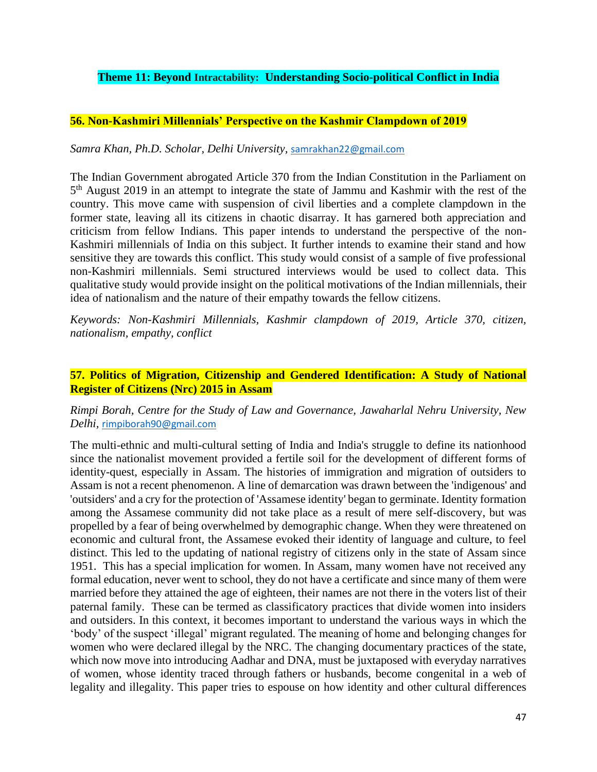## **Theme 11: Beyond Intractability: Understanding Socio-political Conflict in India**

## **56. Non-Kashmiri Millennials' Perspective on the Kashmir Clampdown of 2019**

### *Samra Khan, Ph.D. Scholar, Delhi University,* [samrakhan22@gmail.com](mailto:samrakhan22@gmail.com)

The Indian Government abrogated Article 370 from the Indian Constitution in the Parliament on 5<sup>th</sup> August 2019 in an attempt to integrate the state of Jammu and Kashmir with the rest of the country. This move came with suspension of civil liberties and a complete clampdown in the former state, leaving all its citizens in chaotic disarray. It has garnered both appreciation and criticism from fellow Indians. This paper intends to understand the perspective of the non-Kashmiri millennials of India on this subject. It further intends to examine their stand and how sensitive they are towards this conflict. This study would consist of a sample of five professional non-Kashmiri millennials. Semi structured interviews would be used to collect data. This qualitative study would provide insight on the political motivations of the Indian millennials, their idea of nationalism and the nature of their empathy towards the fellow citizens.

*Keywords: Non-Kashmiri Millennials, Kashmir clampdown of 2019, Article 370, citizen, nationalism, empathy, conflict*

## **57. Politics of Migration, Citizenship and Gendered Identification: A Study of National Register of Citizens (Nrc) 2015 in Assam**

## *Rimpi Borah, Centre for the Study of Law and Governance, Jawaharlal Nehru University, New Delhi,* [rimpiborah90@gmail.com](mailto:rimpiborah90@gmail.com)

The multi-ethnic and multi-cultural setting of India and India's struggle to define its nationhood since the nationalist movement provided a fertile soil for the development of different forms of identity-quest, especially in Assam. The histories of immigration and migration of outsiders to Assam is not a recent phenomenon. A line of demarcation was drawn between the 'indigenous' and 'outsiders' and a cry for the protection of 'Assamese identity' began to germinate. Identity formation among the Assamese community did not take place as a result of mere self-discovery, but was propelled by a fear of being overwhelmed by demographic change. When they were threatened on economic and cultural front, the Assamese evoked their identity of language and culture, to feel distinct. This led to the updating of national registry of citizens only in the state of Assam since 1951. This has a special implication for women. In Assam, many women have not received any formal education, never went to school, they do not have a certificate and since many of them were married before they attained the age of eighteen, their names are not there in the voters list of their paternal family. These can be termed as classificatory practices that divide women into insiders and outsiders. In this context, it becomes important to understand the various ways in which the 'body' of the suspect 'illegal' migrant regulated. The meaning of home and belonging changes for women who were declared illegal by the NRC. The changing documentary practices of the state, which now move into introducing Aadhar and DNA, must be juxtaposed with everyday narratives of women, whose identity traced through fathers or husbands, become congenital in a web of legality and illegality. This paper tries to espouse on how identity and other cultural differences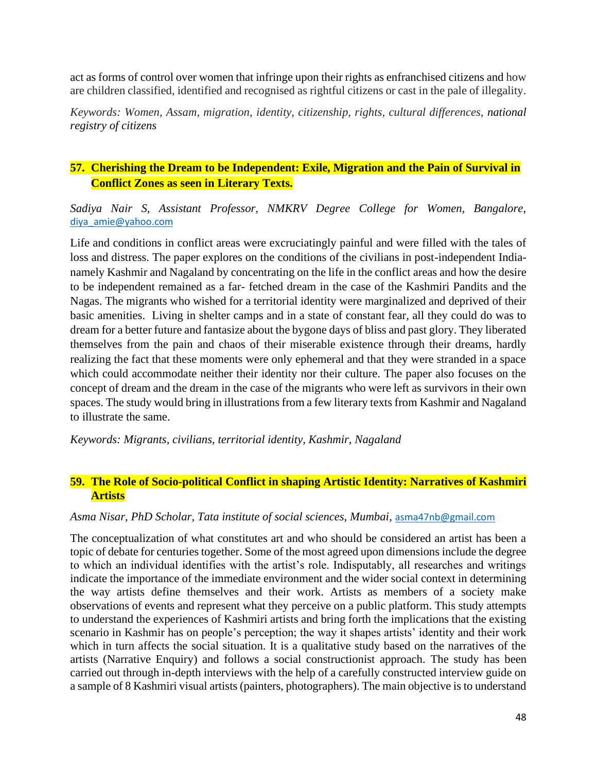act as forms of control over women that infringe upon their rights as enfranchised citizens and how are children classified, identified and recognised as rightful citizens or cast in the pale of illegality.

*Keywords: Women, Assam, migration, identity, citizenship, rights, cultural differences, national registry of citizens*

# **57. Cherishing the Dream to be Independent: Exile, Migration and the Pain of Survival in Conflict Zones as seen in Literary Texts.**

*Sadiya Nair S, Assistant Professor, NMKRV Degree College for Women, Bangalore,*  [diya\\_amie@yahoo.com](mailto:diya_amie@yahoo.com)

Life and conditions in conflict areas were excruciatingly painful and were filled with the tales of loss and distress. The paper explores on the conditions of the civilians in post-independent Indianamely Kashmir and Nagaland by concentrating on the life in the conflict areas and how the desire to be independent remained as a far- fetched dream in the case of the Kashmiri Pandits and the Nagas. The migrants who wished for a territorial identity were marginalized and deprived of their basic amenities. Living in shelter camps and in a state of constant fear, all they could do was to dream for a better future and fantasize about the bygone days of bliss and past glory. They liberated themselves from the pain and chaos of their miserable existence through their dreams, hardly realizing the fact that these moments were only ephemeral and that they were stranded in a space which could accommodate neither their identity nor their culture. The paper also focuses on the concept of dream and the dream in the case of the migrants who were left as survivors in their own spaces. The study would bring in illustrations from a few literary texts from Kashmir and Nagaland to illustrate the same.

*Keywords: Migrants, civilians, territorial identity, Kashmir, Nagaland*

## **59. The Role of Socio-political Conflict in shaping Artistic Identity: Narratives of Kashmiri Artists**

## *Asma Nisar, PhD Scholar, Tata institute of social sciences, Mumbai,* [asma47nb@gmail.com](mailto:asma47nb@gmail.com)

The conceptualization of what constitutes art and who should be considered an artist has been a topic of debate for centuries together. Some of the most agreed upon dimensions include the degree to which an individual identifies with the artist's role. Indisputably, all researches and writings indicate the importance of the immediate environment and the wider social context in determining the way artists define themselves and their work. Artists as members of a society make observations of events and represent what they perceive on a public platform. This study attempts to understand the experiences of Kashmiri artists and bring forth the implications that the existing scenario in Kashmir has on people's perception; the way it shapes artists' identity and their work which in turn affects the social situation. It is a qualitative study based on the narratives of the artists (Narrative Enquiry) and follows a social constructionist approach. The study has been carried out through in-depth interviews with the help of a carefully constructed interview guide on a sample of 8 Kashmiri visual artists (painters, photographers). The main objective is to understand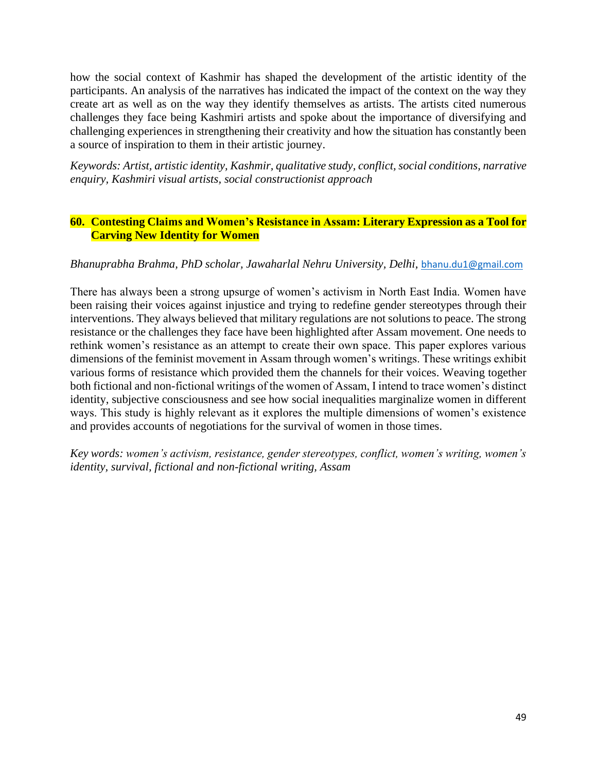how the social context of Kashmir has shaped the development of the artistic identity of the participants. An analysis of the narratives has indicated the impact of the context on the way they create art as well as on the way they identify themselves as artists. The artists cited numerous challenges they face being Kashmiri artists and spoke about the importance of diversifying and challenging experiences in strengthening their creativity and how the situation has constantly been a source of inspiration to them in their artistic journey.

*Keywords: Artist, artistic identity, Kashmir, qualitative study, conflict, social conditions, narrative enquiry, Kashmiri visual artists, social constructionist approach*

## **60. Contesting Claims and Women's Resistance in Assam: Literary Expression as a Tool for Carving New Identity for Women**

## *Bhanuprabha Brahma, PhD scholar, Jawaharlal Nehru University, Delhi,* [bhanu.du1@gmail.com](mailto:bhanu.du1@gmail.com)

There has always been a strong upsurge of women's activism in North East India. Women have been raising their voices against injustice and trying to redefine gender stereotypes through their interventions. They always believed that military regulations are not solutions to peace. The strong resistance or the challenges they face have been highlighted after Assam movement. One needs to rethink women's resistance as an attempt to create their own space. This paper explores various dimensions of the feminist movement in Assam through women's writings. These writings exhibit various forms of resistance which provided them the channels for their voices. Weaving together both fictional and non-fictional writings of the women of Assam, I intend to trace women's distinct identity, subjective consciousness and see how social inequalities marginalize women in different ways. This study is highly relevant as it explores the multiple dimensions of women's existence and provides accounts of negotiations for the survival of women in those times.

*Key words: women's activism, resistance, gender stereotypes, conflict, women's writing, women's identity, survival, fictional and non-fictional writing, Assam*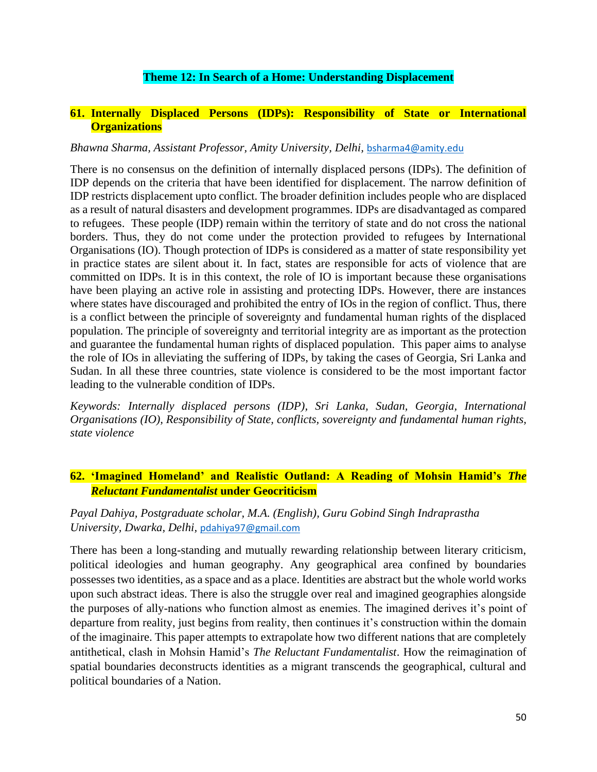## **Theme 12: In Search of a Home: Understanding Displacement**

## **61. Internally Displaced Persons (IDPs): Responsibility of State or International Organizations**

### *Bhawna Sharma, Assistant Professor, Amity University, Delhi,* [bsharma4@amity.edu](mailto:bsharma4@amity.edu)

There is no consensus on the definition of internally displaced persons (IDPs). The definition of IDP depends on the criteria that have been identified for displacement. The narrow definition of IDP restricts displacement upto conflict. The broader definition includes people who are displaced as a result of natural disasters and development programmes. IDPs are disadvantaged as compared to refugees. These people (IDP) remain within the territory of state and do not cross the national borders. Thus, they do not come under the protection provided to refugees by International Organisations (IO). Though protection of IDPs is considered as a matter of state responsibility yet in practice states are silent about it. In fact, states are responsible for acts of violence that are committed on IDPs. It is in this context, the role of IO is important because these organisations have been playing an active role in assisting and protecting IDPs. However, there are instances where states have discouraged and prohibited the entry of IOs in the region of conflict. Thus, there is a conflict between the principle of sovereignty and fundamental human rights of the displaced population. The principle of sovereignty and territorial integrity are as important as the protection and guarantee the fundamental human rights of displaced population. This paper aims to analyse the role of IOs in alleviating the suffering of IDPs, by taking the cases of Georgia, Sri Lanka and Sudan. In all these three countries, state violence is considered to be the most important factor leading to the vulnerable condition of IDPs.

*Keywords: Internally displaced persons (IDP), Sri Lanka, Sudan, Georgia, International Organisations (IO), Responsibility of State, conflicts, sovereignty and fundamental human rights, state violence*

# **62. 'Imagined Homeland' and Realistic Outland: A Reading of Mohsin Hamid's** *The Reluctant Fundamentalist* **under Geocriticism**

## *Payal Dahiya, Postgraduate scholar, M.A. (English), Guru Gobind Singh Indraprastha University, Dwarka, Delhi,* [pdahiya97@gmail.com](mailto:pdahiya97@gmail.com)

There has been a long-standing and mutually rewarding relationship between literary criticism, political ideologies and human geography. Any geographical area confined by boundaries possesses two identities, as a space and as a place. Identities are abstract but the whole world works upon such abstract ideas. There is also the struggle over real and imagined geographies alongside the purposes of ally-nations who function almost as enemies. The imagined derives it's point of departure from reality, just begins from reality, then continues it's construction within the domain of the imaginaire. This paper attempts to extrapolate how two different nations that are completely antithetical, clash in Mohsin Hamid's *The Reluctant Fundamentalist*. How the reimagination of spatial boundaries deconstructs identities as a migrant transcends the geographical, cultural and political boundaries of a Nation.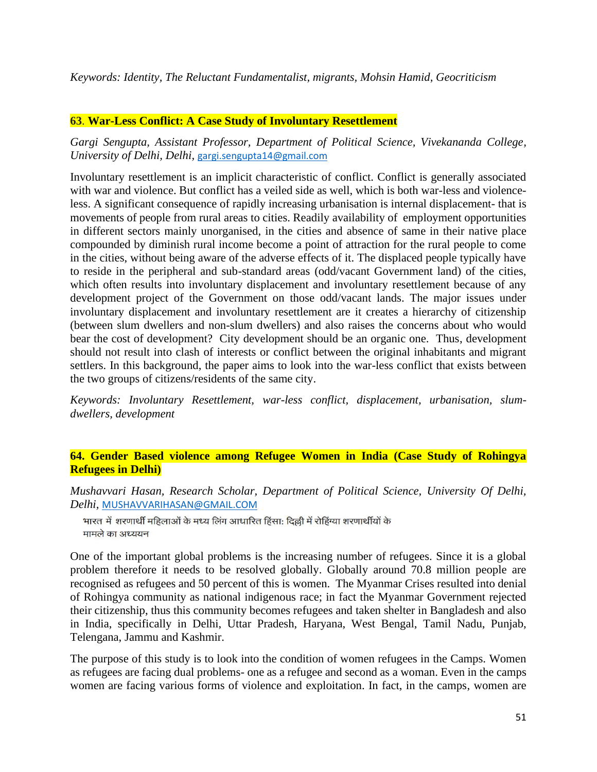*Keywords: Identity, The Reluctant Fundamentalist, migrants, Mohsin Hamid, Geocriticism* 

## **63**. **War-Less Conflict: A Case Study of Involuntary Resettlement**

*Gargi Sengupta, Assistant Professor, Department of Political Science, Vivekananda College, University of Delhi, Delhi,* [gargi.sengupta14@gmail.com](mailto:gargi.sengupta14@gmail.com)

Involuntary resettlement is an implicit characteristic of conflict. Conflict is generally associated with war and violence. But conflict has a veiled side as well, which is both war-less and violenceless. A significant consequence of rapidly increasing urbanisation is internal displacement- that is movements of people from rural areas to cities. Readily availability of employment opportunities in different sectors mainly unorganised, in the cities and absence of same in their native place compounded by diminish rural income become a point of attraction for the rural people to come in the cities, without being aware of the adverse effects of it. The displaced people typically have to reside in the peripheral and sub-standard areas (odd/vacant Government land) of the cities, which often results into involuntary displacement and involuntary resettlement because of any development project of the Government on those odd/vacant lands. The major issues under involuntary displacement and involuntary resettlement are it creates a hierarchy of citizenship (between slum dwellers and non-slum dwellers) and also raises the concerns about who would bear the cost of development? City development should be an organic one. Thus, development should not result into clash of interests or conflict between the original inhabitants and migrant settlers. In this background, the paper aims to look into the war-less conflict that exists between the two groups of citizens/residents of the same city.

*Keywords: Involuntary Resettlement, war-less conflict, displacement, urbanisation, slumdwellers, development*

## **64. Gender Based violence among Refugee Women in India (Case Study of Rohingya Refugees in Delhi)**

*Mushavvari Hasan, Research Scholar, Department of Political Science, University Of Delhi, Delhi,* [MUSHAVVARIHASAN@GMAIL.COM](mailto:MUSHAVVARIHASAN@GMAIL.COM)

भारत में शरणार्थी महिलाओं के मध्य लिंग आधारित हिंसा: दिल्ली में रोहिंग्या शरणार्थीयों के मामले का अध्ययन

One of the important global problems is the increasing number of refugees. Since it is a global problem therefore it needs to be resolved globally. Globally around 70.8 million people are recognised as refugees and 50 percent of this is women. The Myanmar Crises resulted into denial of Rohingya community as national indigenous race; in fact the Myanmar Government rejected their citizenship, thus this community becomes refugees and taken shelter in Bangladesh and also in India, specifically in Delhi, Uttar Pradesh, Haryana, West Bengal, Tamil Nadu, Punjab, Telengana, Jammu and Kashmir.

The purpose of this study is to look into the condition of women refugees in the Camps. Women as refugees are facing dual problems- one as a refugee and second as a woman. Even in the camps women are facing various forms of violence and exploitation. In fact, in the camps, women are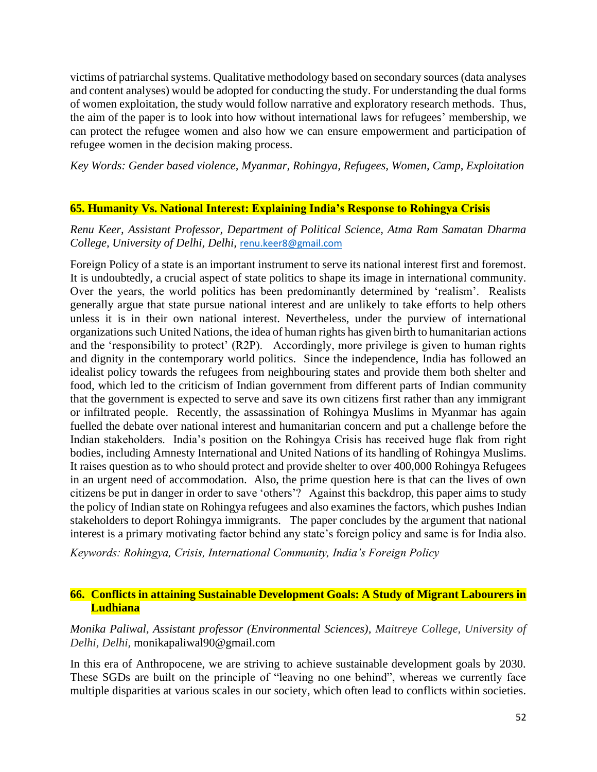victims of patriarchal systems. Qualitative methodology based on secondary sources (data analyses and content analyses) would be adopted for conducting the study. For understanding the dual forms of women exploitation, the study would follow narrative and exploratory research methods. Thus, the aim of the paper is to look into how without international laws for refugees' membership, we can protect the refugee women and also how we can ensure empowerment and participation of refugee women in the decision making process.

*Key Words: Gender based violence, Myanmar, Rohingya, Refugees, Women, Camp, Exploitation*

## **65. Humanity Vs. National Interest: Explaining India's Response to Rohingya Crisis**

# *Renu Keer, Assistant Professor, Department of Political Science, Atma Ram Samatan Dharma College, University of Delhi, Delhi,* [renu.keer8@gmail.com](mailto:renu.keer8@gmail.com)

Foreign Policy of a state is an important instrument to serve its national interest first and foremost. It is undoubtedly, a crucial aspect of state politics to shape its image in international community. Over the years, the world politics has been predominantly determined by 'realism'. Realists generally argue that state pursue national interest and are unlikely to take efforts to help others unless it is in their own national interest. Nevertheless, under the purview of international organizations such United Nations, the idea of human rights has given birth to humanitarian actions and the 'responsibility to protect' (R2P). Accordingly, more privilege is given to human rights and dignity in the contemporary world politics. Since the independence, India has followed an idealist policy towards the refugees from neighbouring states and provide them both shelter and food, which led to the criticism of Indian government from different parts of Indian community that the government is expected to serve and save its own citizens first rather than any immigrant or infiltrated people. Recently, the assassination of Rohingya Muslims in Myanmar has again fuelled the debate over national interest and humanitarian concern and put a challenge before the Indian stakeholders. India's position on the Rohingya Crisis has received huge flak from right bodies, including Amnesty International and United Nations of its handling of Rohingya Muslims. It raises question as to who should protect and provide shelter to over 400,000 Rohingya Refugees in an urgent need of accommodation. Also, the prime question here is that can the lives of own citizens be put in danger in order to save 'others'? Against this backdrop, this paper aims to study the policy of Indian state on Rohingya refugees and also examines the factors, which pushes Indian stakeholders to deport Rohingya immigrants. The paper concludes by the argument that national interest is a primary motivating factor behind any state's foreign policy and same is for India also.

*Keywords: Rohingya, Crisis, International Community, India's Foreign Policy*

## **66. Conflicts in attaining Sustainable Development Goals: A Study of Migrant Labourers in Ludhiana**

*Monika Paliwal, Assistant professor (Environmental Sciences), Maitreye College, University of Delhi, Delhi,* monikapaliwal90@gmail.com

In this era of Anthropocene, we are striving to achieve sustainable development goals by 2030. These SGDs are built on the principle of "leaving no one behind", whereas we currently face multiple disparities at various scales in our society, which often lead to conflicts within societies.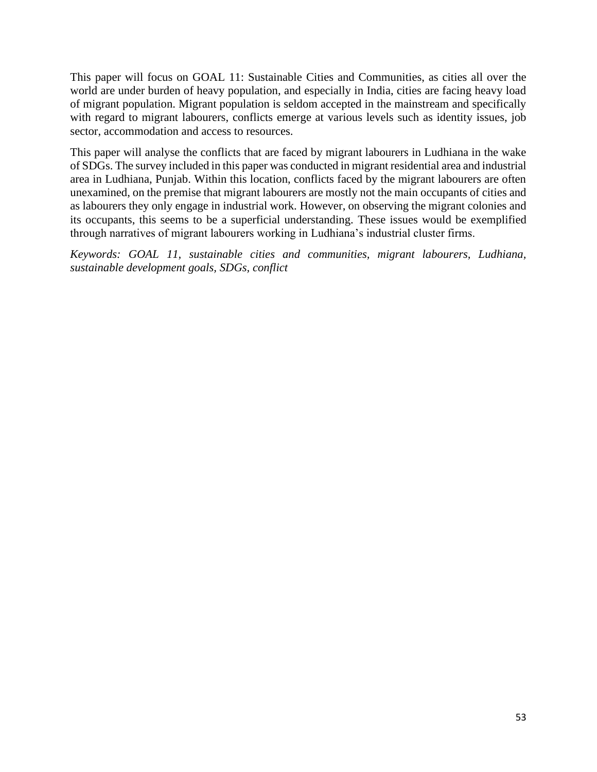This paper will focus on GOAL 11: Sustainable Cities and Communities, as cities all over the world are under burden of heavy population, and especially in India, cities are facing heavy load of migrant population. Migrant population is seldom accepted in the mainstream and specifically with regard to migrant labourers, conflicts emerge at various levels such as identity issues, job sector, accommodation and access to resources.

This paper will analyse the conflicts that are faced by migrant labourers in Ludhiana in the wake of SDGs. The survey included in this paper was conducted in migrant residential area and industrial area in Ludhiana, Punjab. Within this location, conflicts faced by the migrant labourers are often unexamined, on the premise that migrant labourers are mostly not the main occupants of cities and as labourers they only engage in industrial work. However, on observing the migrant colonies and its occupants, this seems to be a superficial understanding. These issues would be exemplified through narratives of migrant labourers working in Ludhiana's industrial cluster firms.

*Keywords: GOAL 11, sustainable cities and communities, migrant labourers, Ludhiana, sustainable development goals, SDGs, conflict*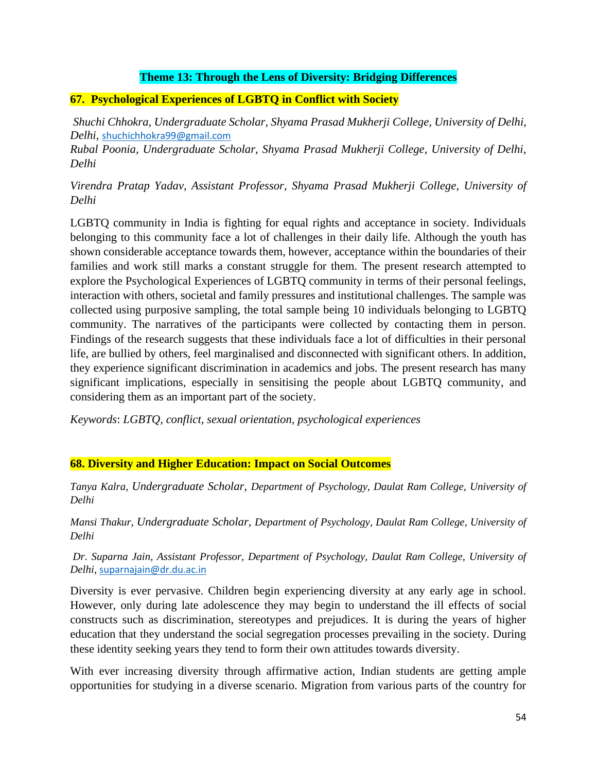# **Theme 13: Through the Lens of Diversity: Bridging Differences**

# **67. Psychological Experiences of LGBTQ in Conflict with Society**

*Shuchi Chhokra, Undergraduate Scholar, Shyama Prasad Mukherji College, University of Delhi, Delhi,* [shuchichhokra99@gmail.com](mailto:shuchichhokra99@gmail.com)

*Rubal Poonia, Undergraduate Scholar, Shyama Prasad Mukherji College, University of Delhi, Delhi*

*Virendra Pratap Yadav, Assistant Professor, Shyama Prasad Mukherji College, University of Delhi*

LGBTQ community in India is fighting for equal rights and acceptance in society. Individuals belonging to this community face a lot of challenges in their daily life. Although the youth has shown considerable acceptance towards them, however, acceptance within the boundaries of their families and work still marks a constant struggle for them. The present research attempted to explore the Psychological Experiences of LGBTQ community in terms of their personal feelings, interaction with others, societal and family pressures and institutional challenges. The sample was collected using purposive sampling, the total sample being 10 individuals belonging to LGBTQ community. The narratives of the participants were collected by contacting them in person. Findings of the research suggests that these individuals face a lot of difficulties in their personal life, are bullied by others, feel marginalised and disconnected with significant others. In addition, they experience significant discrimination in academics and jobs. The present research has many significant implications, especially in sensitising the people about LGBTQ community, and considering them as an important part of the society.

*Keywords*: *LGBTQ, conflict, sexual orientation, psychological experiences*

# **68. Diversity and Higher Education: Impact on Social Outcomes**

*Tanya Kalra, Undergraduate Scholar, Department of Psychology, Daulat Ram College, University of Delhi*

*Mansi Thakur, Undergraduate Scholar, Department of Psychology, Daulat Ram College, University of Delhi*

*Dr. Suparna Jain, Assistant Professor, Department of Psychology, Daulat Ram College, University of Delhi,* [suparnajain@dr.du.ac.in](mailto:suparnajain@dr.du.ac.in)

Diversity is ever pervasive. Children begin experiencing diversity at any early age in school. However, only during late adolescence they may begin to understand the ill effects of social constructs such as discrimination, stereotypes and prejudices. It is during the years of higher education that they understand the social segregation processes prevailing in the society. During these identity seeking years they tend to form their own attitudes towards diversity.

With ever increasing diversity through affirmative action, Indian students are getting ample opportunities for studying in a diverse scenario. Migration from various parts of the country for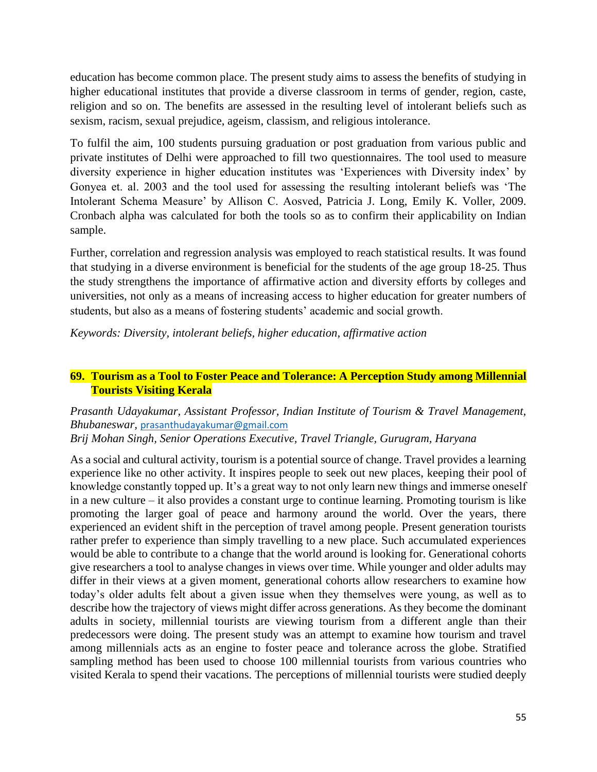education has become common place. The present study aims to assess the benefits of studying in higher educational institutes that provide a diverse classroom in terms of gender, region, caste, religion and so on. The benefits are assessed in the resulting level of intolerant beliefs such as sexism, racism, sexual prejudice, ageism, classism, and religious intolerance.

To fulfil the aim, 100 students pursuing graduation or post graduation from various public and private institutes of Delhi were approached to fill two questionnaires. The tool used to measure diversity experience in higher education institutes was 'Experiences with Diversity index' by Gonyea et. al. 2003 and the tool used for assessing the resulting intolerant beliefs was 'The Intolerant Schema Measure' by Allison C. Aosved, Patricia J. Long, Emily K. Voller, 2009. Cronbach alpha was calculated for both the tools so as to confirm their applicability on Indian sample.

Further, correlation and regression analysis was employed to reach statistical results. It was found that studying in a diverse environment is beneficial for the students of the age group 18-25. Thus the study strengthens the importance of affirmative action and diversity efforts by colleges and universities, not only as a means of increasing access to higher education for greater numbers of students, but also as a means of fostering students' academic and social growth.

*Keywords: Diversity, intolerant beliefs, higher education, affirmative action*

# **69. Tourism as a Tool to Foster Peace and Tolerance: A Perception Study among Millennial Tourists Visiting Kerala**

## *Prasanth Udayakumar, Assistant Professor, Indian Institute of Tourism & Travel Management, Bhubaneswar,* [prasanthudayakumar@gmail.com](mailto:prasanthudayakumar@gmail.com) *Brij Mohan Singh, Senior Operations Executive, Travel Triangle, Gurugram, Haryana*

As a social and cultural activity, tourism is a potential source of change. Travel provides a learning experience like no other activity. It inspires people to seek out new places, keeping their pool of knowledge constantly topped up. It's a great way to not only learn new things and immerse oneself in a new culture – it also provides a constant urge to continue learning. Promoting tourism is like promoting the larger goal of peace and harmony around the world. Over the years, there experienced an evident shift in the perception of travel among people. Present generation tourists rather prefer to experience than simply travelling to a new place. Such accumulated experiences would be able to contribute to a change that the world around is looking for. Generational cohorts give researchers a tool to analyse changes in views over time. While younger and older adults may differ in their views at a given moment, generational cohorts allow researchers to examine how today's older adults felt about a given issue when they themselves were young, as well as to describe how the trajectory of views might differ across generations. As they become the dominant adults in society, millennial tourists are viewing tourism from a different angle than their predecessors were doing. The present study was an attempt to examine how tourism and travel among millennials acts as an engine to foster peace and tolerance across the globe. Stratified sampling method has been used to choose 100 millennial tourists from various countries who visited Kerala to spend their vacations. The perceptions of millennial tourists were studied deeply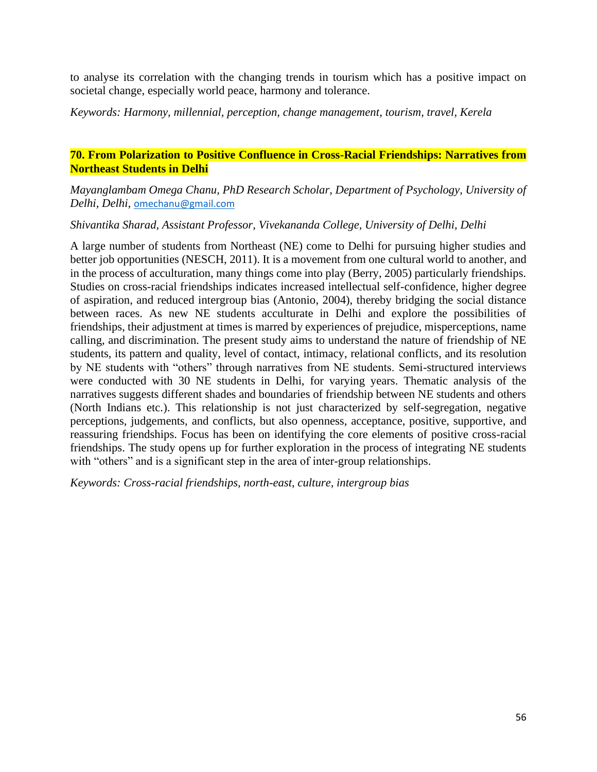to analyse its correlation with the changing trends in tourism which has a positive impact on societal change, especially world peace, harmony and tolerance.

*Keywords: Harmony, millennial, perception, change management, tourism, travel, Kerela*

## **70. From Polarization to Positive Confluence in Cross-Racial Friendships: Narratives from Northeast Students in Delhi**

*Mayanglambam Omega Chanu, PhD Research Scholar, Department of Psychology, University of Delhi, Delhi,* [omechanu@gmail.com](mailto:omechanu@gmail.com)

## *Shivantika Sharad, Assistant Professor, Vivekananda College, University of Delhi, Delhi*

A large number of students from Northeast (NE) come to Delhi for pursuing higher studies and better job opportunities (NESCH, 2011). It is a movement from one cultural world to another, and in the process of acculturation, many things come into play (Berry, 2005) particularly friendships. Studies on cross-racial friendships indicates increased intellectual self-confidence, higher degree of aspiration, and reduced intergroup bias (Antonio, 2004), thereby bridging the social distance between races. As new NE students acculturate in Delhi and explore the possibilities of friendships, their adjustment at times is marred by experiences of prejudice, misperceptions, name calling, and discrimination. The present study aims to understand the nature of friendship of NE students, its pattern and quality, level of contact, intimacy, relational conflicts, and its resolution by NE students with "others" through narratives from NE students. Semi-structured interviews were conducted with 30 NE students in Delhi, for varying years. Thematic analysis of the narratives suggests different shades and boundaries of friendship between NE students and others (North Indians etc.). This relationship is not just characterized by self-segregation, negative perceptions, judgements, and conflicts, but also openness, acceptance, positive, supportive, and reassuring friendships. Focus has been on identifying the core elements of positive cross-racial friendships. The study opens up for further exploration in the process of integrating NE students with "others" and is a significant step in the area of inter-group relationships.

*Keywords: Cross-racial friendships, north-east, culture, intergroup bias*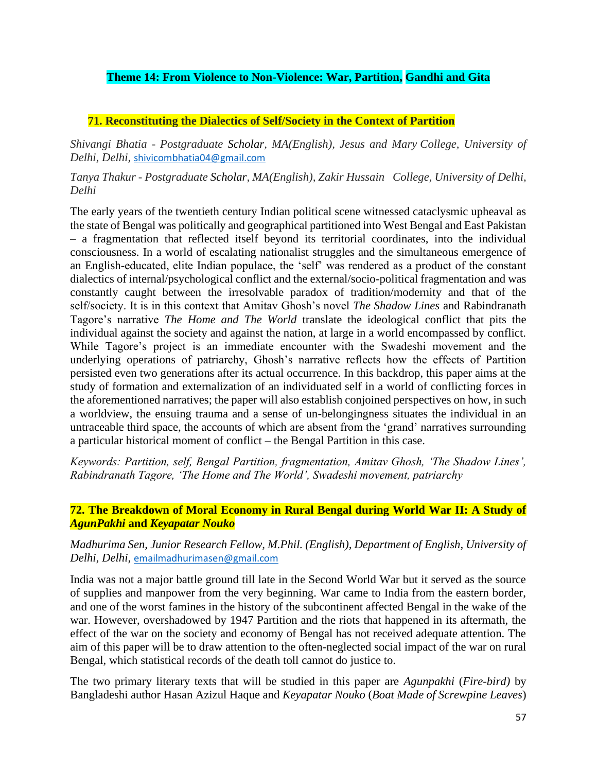# **Theme 14: From Violence to Non-Violence: War, Partition, Gandhi and Gita**

## **71. Reconstituting the Dialectics of Self/Society in the Context of Partition**

*Shivangi Bhatia - Postgraduate Scholar, MA(English), Jesus and Mary College, University of Delhi, Delhi,* [shivicombhatia04@gmail.com](mailto:shivicombhatia04@gmail.com)

## *Tanya Thakur - Postgraduate Scholar, MA(English), Zakir Hussain College, University of Delhi, Delhi*

The early years of the twentieth century Indian political scene witnessed cataclysmic upheaval as the state of Bengal was politically and geographical partitioned into West Bengal and East Pakistan – a fragmentation that reflected itself beyond its territorial coordinates, into the individual consciousness. In a world of escalating nationalist struggles and the simultaneous emergence of an English-educated, elite Indian populace, the 'self' was rendered as a product of the constant dialectics of internal/psychological conflict and the external/socio-political fragmentation and was constantly caught between the irresolvable paradox of tradition/modernity and that of the self/society. It is in this context that Amitav Ghosh's novel *The Shadow Lines* and Rabindranath Tagore's narrative *The Home and The World* translate the ideological conflict that pits the individual against the society and against the nation, at large in a world encompassed by conflict. While Tagore's project is an immediate encounter with the Swadeshi movement and the underlying operations of patriarchy, Ghosh's narrative reflects how the effects of Partition persisted even two generations after its actual occurrence. In this backdrop, this paper aims at the study of formation and externalization of an individuated self in a world of conflicting forces in the aforementioned narratives; the paper will also establish conjoined perspectives on how, in such a worldview, the ensuing trauma and a sense of un-belongingness situates the individual in an untraceable third space, the accounts of which are absent from the 'grand' narratives surrounding a particular historical moment of conflict – the Bengal Partition in this case.

*Keywords: Partition, self, Bengal Partition, fragmentation, Amitav Ghosh, 'The Shadow Lines', Rabindranath Tagore, 'The Home and The World', Swadeshi movement, patriarchy*

## **72. The Breakdown of Moral Economy in Rural Bengal during World War II: A Study of**  *AgunPakhi* **and** *Keyapatar Nouko*

## *Madhurima Sen, Junior Research Fellow, M.Phil. (English), Department of English, University of Delhi, Delhi,* [emailmadhurimasen@gmail.com](mailto:emailmadhurimasen@gmail.com)

India was not a major battle ground till late in the Second World War but it served as the source of supplies and manpower from the very beginning. War came to India from the eastern border, and one of the worst famines in the history of the subcontinent affected Bengal in the wake of the war. However, overshadowed by 1947 Partition and the riots that happened in its aftermath, the effect of the war on the society and economy of Bengal has not received adequate attention. The aim of this paper will be to draw attention to the often-neglected social impact of the war on rural Bengal, which statistical records of the death toll cannot do justice to.

The two primary literary texts that will be studied in this paper are *Agunpakhi* (*Fire-bird)* by Bangladeshi author Hasan Azizul Haque and *Keyapatar Nouko* (*Boat Made of Screwpine Leaves*)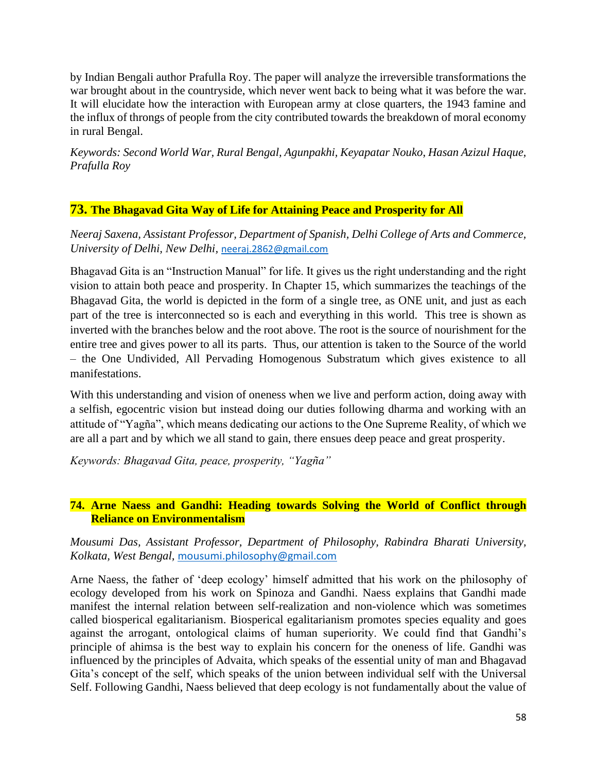by Indian Bengali author Prafulla Roy. The paper will analyze the irreversible transformations the war brought about in the countryside, which never went back to being what it was before the war. It will elucidate how the interaction with European army at close quarters, the 1943 famine and the influx of throngs of people from the city contributed towards the breakdown of moral economy in rural Bengal.

*Keywords: Second World War, Rural Bengal, Agunpakhi, Keyapatar Nouko*, *Hasan Azizul Haque, Prafulla Roy*

# **73. The Bhagavad Gita Way of Life for Attaining Peace and Prosperity for All**

*Neeraj Saxena, Assistant Professor, Department of Spanish, Delhi College of Arts and Commerce, University of Delhi, New Delhi,* [neeraj.2862@gmail.com](mailto:neeraj.2862@gmail.com)

Bhagavad Gita is an "Instruction Manual" for life. It gives us the right understanding and the right vision to attain both peace and prosperity. In Chapter 15, which summarizes the teachings of the Bhagavad Gita, the world is depicted in the form of a single tree, as ONE unit, and just as each part of the tree is interconnected so is each and everything in this world. This tree is shown as inverted with the branches below and the root above. The root is the source of nourishment for the entire tree and gives power to all its parts. Thus, our attention is taken to the Source of the world – the One Undivided, All Pervading Homogenous Substratum which gives existence to all manifestations.

With this understanding and vision of oneness when we live and perform action, doing away with a selfish, egocentric vision but instead doing our duties following dharma and working with an attitude of "Yagña", which means dedicating our actions to the One Supreme Reality, of which we are all a part and by which we all stand to gain, there ensues deep peace and great prosperity.

*Keywords: Bhagavad Gita, peace, prosperity, "Yagña"*

# **74. Arne Naess and Gandhi: Heading towards Solving the World of Conflict through Reliance on Environmentalism**

*Mousumi Das, Assistant Professor, Department of Philosophy, Rabindra Bharati University, Kolkata, West Bengal,* [mousumi.philosophy@gmail.com](mailto:mousumi.philosophy@gmail.com)

Arne Naess, the father of 'deep ecology' himself admitted that his work on the philosophy of ecology developed from his work on Spinoza and Gandhi. Naess explains that Gandhi made manifest the internal relation between self-realization and non-violence which was sometimes called biosperical egalitarianism. Biosperical egalitarianism promotes species equality and goes against the arrogant, ontological claims of human superiority. We could find that Gandhi's principle of ahimsa is the best way to explain his concern for the oneness of life. Gandhi was influenced by the principles of Advaita, which speaks of the essential unity of man and Bhagavad Gita's concept of the self, which speaks of the union between individual self with the Universal Self. Following Gandhi, Naess believed that deep ecology is not fundamentally about the value of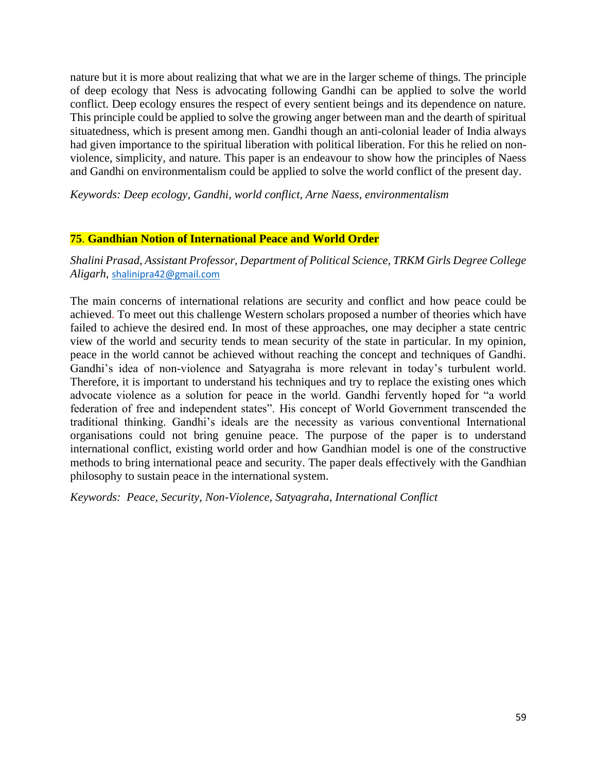nature but it is more about realizing that what we are in the larger scheme of things. The principle of deep ecology that Ness is advocating following Gandhi can be applied to solve the world conflict. Deep ecology ensures the respect of every sentient beings and its dependence on nature. This principle could be applied to solve the growing anger between man and the dearth of spiritual situatedness, which is present among men. Gandhi though an anti-colonial leader of India always had given importance to the spiritual liberation with political liberation. For this he relied on nonviolence, simplicity, and nature. This paper is an endeavour to show how the principles of Naess and Gandhi on environmentalism could be applied to solve the world conflict of the present day.

### *Keywords: Deep ecology, Gandhi, world conflict, Arne Naess, environmentalism*

### **75**. **Gandhian Notion of International Peace and World Order**

*Shalini Prasad, Assistant Professor, Department of Political Science, TRKM Girls Degree College Aligarh,* [shalinipra42@gmail.com](mailto:shalinipra42@gmail.com)

The main concerns of international relations are security and conflict and how peace could be achieved. To meet out this challenge Western scholars proposed a number of theories which have failed to achieve the desired end. In most of these approaches, one may decipher a state centric view of the world and security tends to mean security of the state in particular. In my opinion, peace in the world cannot be achieved without reaching the concept and techniques of Gandhi. Gandhi's idea of non-violence and Satyagraha is more relevant in today's turbulent world. Therefore, it is important to understand his techniques and try to replace the existing ones which advocate violence as a solution for peace in the world. Gandhi fervently hoped for "a world federation of free and independent states". His concept of World Government transcended the traditional thinking. Gandhi's ideals are the necessity as various conventional International organisations could not bring genuine peace. The purpose of the paper is to understand international conflict, existing world order and how Gandhian model is one of the constructive methods to bring international peace and security. The paper deals effectively with the Gandhian philosophy to sustain peace in the international system.

*Keywords: Peace, Security, Non-Violence, Satyagraha, International Conflict*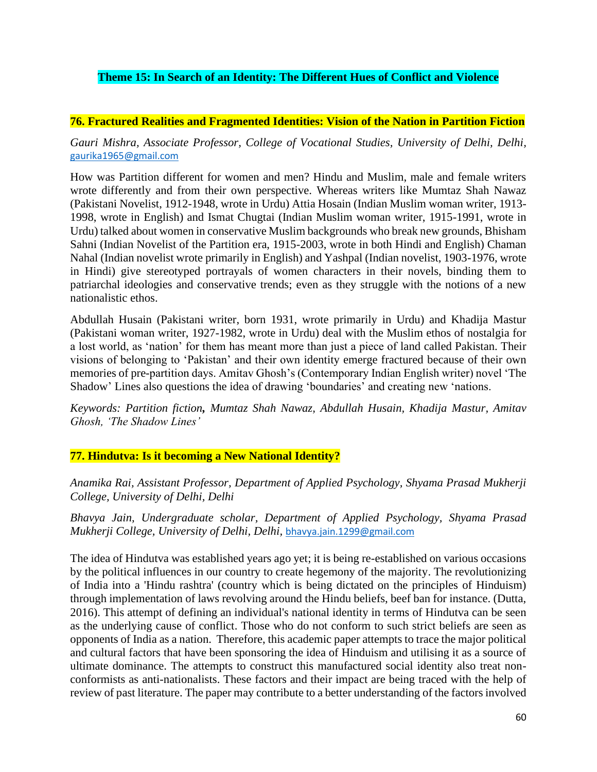# **Theme 15: In Search of an Identity: The Different Hues of Conflict and Violence**

## **76. Fractured Realities and Fragmented Identities: Vision of the Nation in Partition Fiction**

## *Gauri Mishra, Associate Professor, College of Vocational Studies, University of Delhi, Delhi,*  [gaurika1965@gmail.com](mailto:gaurika1965@gmail.com)

How was Partition different for women and men? Hindu and Muslim, male and female writers wrote differently and from their own perspective. Whereas writers like Mumtaz Shah Nawaz (Pakistani Novelist, 1912-1948, wrote in Urdu) Attia Hosain (Indian Muslim woman writer, 1913- 1998, wrote in English) and Ismat Chugtai (Indian Muslim woman writer, 1915-1991, wrote in Urdu) talked about women in conservative Muslim backgrounds who break new grounds, Bhisham Sahni (Indian Novelist of the Partition era, 1915-2003, wrote in both Hindi and English) Chaman Nahal (Indian novelist wrote primarily in English) and Yashpal (Indian novelist, 1903-1976, wrote in Hindi) give stereotyped portrayals of women characters in their novels, binding them to patriarchal ideologies and conservative trends; even as they struggle with the notions of a new nationalistic ethos.

Abdullah Husain (Pakistani writer, born 1931, wrote primarily in Urdu) and Khadija Mastur (Pakistani woman writer, 1927-1982, wrote in Urdu) deal with the Muslim ethos of nostalgia for a lost world, as 'nation' for them has meant more than just a piece of land called Pakistan. Their visions of belonging to 'Pakistan' and their own identity emerge fractured because of their own memories of pre-partition days. Amitav Ghosh's (Contemporary Indian English writer) novel 'The Shadow' Lines also questions the idea of drawing 'boundaries' and creating new 'nations.

*Keywords: Partition fiction, Mumtaz Shah Nawaz, Abdullah Husain, Khadija Mastur, Amitav Ghosh, 'The Shadow Lines'*

## **77. Hindutva: Is it becoming a New National Identity?**

*Anamika Rai, Assistant Professor, Department of Applied Psychology, Shyama Prasad Mukherji College, University of Delhi, Delhi*

*Bhavya Jain, Undergraduate scholar, Department of Applied Psychology, Shyama Prasad Mukherji College, University of Delhi, Delhi,* [bhavya.jain.1299@gmail.com](mailto:bhavya.jain.1299@gmail.com)

The idea of Hindutva was established years ago yet; it is being re-established on various occasions by the political influences in our country to create hegemony of the majority. The revolutionizing of India into a 'Hindu rashtra' (country which is being dictated on the principles of Hinduism) through implementation of laws revolving around the Hindu beliefs, beef ban for instance. (Dutta, 2016). This attempt of defining an individual's national identity in terms of Hindutva can be seen as the underlying cause of conflict. Those who do not conform to such strict beliefs are seen as opponents of India as a nation. Therefore, this academic paper attempts to trace the major political and cultural factors that have been sponsoring the idea of Hinduism and utilising it as a source of ultimate dominance. The attempts to construct this manufactured social identity also treat nonconformists as anti-nationalists. These factors and their impact are being traced with the help of review of past literature. The paper may contribute to a better understanding of the factors involved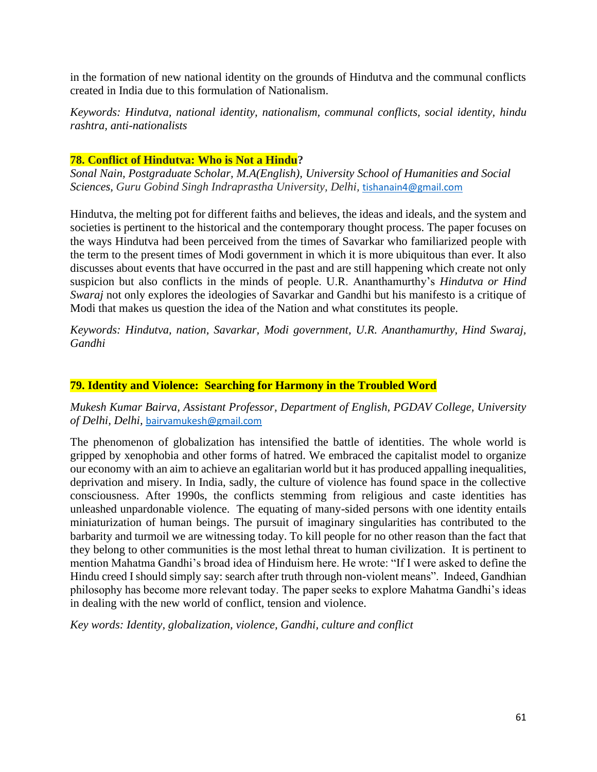in the formation of new national identity on the grounds of Hindutva and the communal conflicts created in India due to this formulation of Nationalism.

*Keywords: Hindutva, national identity, nationalism, communal conflicts, social identity, hindu rashtra, anti-nationalists*

## **78. Conflict of Hindutva: Who is Not a Hindu?**

*Sonal Nain, Postgraduate Scholar, M.A(English), University School of Humanities and Social Sciences, Guru Gobind Singh Indraprastha University, Delhi,* [tishanain4@gmail.com](mailto:tishanain4@gmail.com)

Hindutva, the melting pot for different faiths and believes, the ideas and ideals, and the system and societies is pertinent to the historical and the contemporary thought process. The paper focuses on the ways Hindutva had been perceived from the times of Savarkar who familiarized people with the term to the present times of Modi government in which it is more ubiquitous than ever. It also discusses about events that have occurred in the past and are still happening which create not only suspicion but also conflicts in the minds of people. U.R. Ananthamurthy's *Hindutva or Hind Swaraj* not only explores the ideologies of Savarkar and Gandhi but his manifesto is a critique of Modi that makes us question the idea of the Nation and what constitutes its people.

*Keywords: Hindutva, nation, Savarkar, Modi government, U.R. Ananthamurthy, Hind Swaraj, Gandhi*

### **79. Identity and Violence: Searching for Harmony in the Troubled Word**

*Mukesh Kumar Bairva, Assistant Professor, Department of English, PGDAV College, University of Delhi, Delhi,* [bairvamukesh@gmail.com](mailto:bairvamukesh@gmail.com)

The phenomenon of globalization has intensified the battle of identities. The whole world is gripped by xenophobia and other forms of hatred. We embraced the capitalist model to organize our economy with an aim to achieve an egalitarian world but it has produced appalling inequalities, deprivation and misery. In India, sadly, the culture of violence has found space in the collective consciousness. After 1990s, the conflicts stemming from religious and caste identities has unleashed unpardonable violence. The equating of many-sided persons with one identity entails miniaturization of human beings. The pursuit of imaginary singularities has contributed to the barbarity and turmoil we are witnessing today. To kill people for no other reason than the fact that they belong to other communities is the most lethal threat to human civilization. It is pertinent to mention Mahatma Gandhi's broad idea of Hinduism here. He wrote: "If I were asked to define the Hindu creed I should simply say: search after truth through non-violent means". Indeed, Gandhian philosophy has become more relevant today. The paper seeks to explore Mahatma Gandhi's ideas in dealing with the new world of conflict, tension and violence.

*Key words: Identity, globalization, violence, Gandhi, culture and conflict*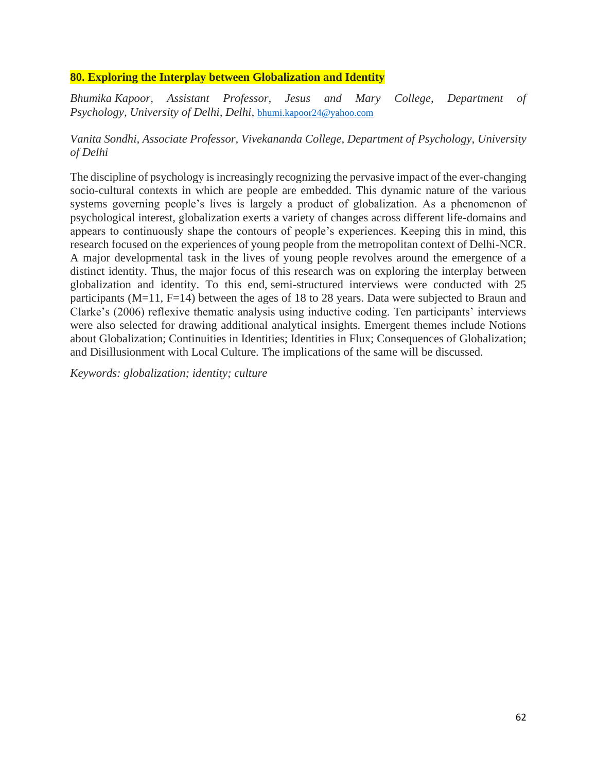## **80. Exploring the Interplay between Globalization and Identity**

*Bhumika Kapoor, Assistant Professor, Jesus and Mary College, Department of Psychology, University of Delhi, Delhi,* [bhumi.kapoor24@yahoo.com](mailto:bhumi.kapoor24@yahoo.com)

## *Vanita Sondhi, Associate Professor, Vivekananda College, Department of Psychology, University of Delhi*

The discipline of psychology is increasingly recognizing the pervasive impact of the ever-changing socio-cultural contexts in which are people are embedded. This dynamic nature of the various systems governing people's lives is largely a product of globalization. As a phenomenon of psychological interest, globalization exerts a variety of changes across different life-domains and appears to continuously shape the contours of people's experiences. Keeping this in mind, this research focused on the experiences of young people from the metropolitan context of Delhi-NCR. A major developmental task in the lives of young people revolves around the emergence of a distinct identity. Thus, the major focus of this research was on exploring the interplay between globalization and identity. To this end, semi-structured interviews were conducted with 25 participants (M=11, F=14) between the ages of 18 to 28 years. Data were subjected to Braun and Clarke's (2006) reflexive thematic analysis using inductive coding. Ten participants' interviews were also selected for drawing additional analytical insights. Emergent themes include Notions about Globalization; Continuities in Identities; Identities in Flux; Consequences of Globalization; and Disillusionment with Local Culture. The implications of the same will be discussed.

*Keywords: globalization; identity; culture*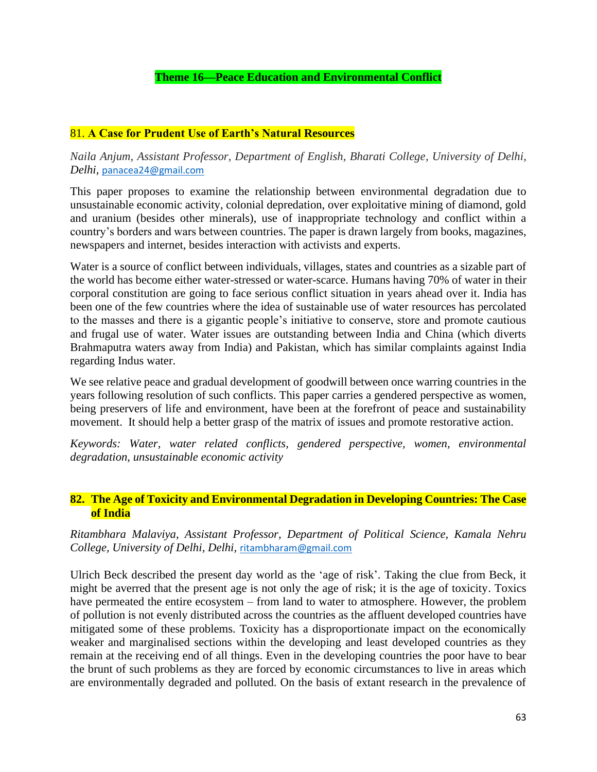## 81. **A Case for Prudent Use of Earth's Natural Resources**

*Naila Anjum, Assistant Professor, Department of English, Bharati College, University of Delhi, Delhi,* [panacea24@gmail.com](mailto:panacea24@gmail.com)

This paper proposes to examine the relationship between environmental degradation due to unsustainable economic activity, colonial depredation, over exploitative mining of diamond, gold and uranium (besides other minerals), use of inappropriate technology and conflict within a country's borders and wars between countries. The paper is drawn largely from books, magazines, newspapers and internet, besides interaction with activists and experts.

Water is a source of conflict between individuals, villages, states and countries as a sizable part of the world has become either water-stressed or water-scarce. Humans having 70% of water in their corporal constitution are going to face serious conflict situation in years ahead over it. India has been one of the few countries where the idea of sustainable use of water resources has percolated to the masses and there is a gigantic people's initiative to conserve, store and promote cautious and frugal use of water. Water issues are outstanding between India and China (which diverts Brahmaputra waters away from India) and Pakistan, which has similar complaints against India regarding Indus water.

We see relative peace and gradual development of goodwill between once warring countries in the years following resolution of such conflicts. This paper carries a gendered perspective as women, being preservers of life and environment, have been at the forefront of peace and sustainability movement. It should help a better grasp of the matrix of issues and promote restorative action.

*Keywords: Water, water related conflicts, gendered perspective, women, environmental degradation, unsustainable economic activity*

## **82. The Age of Toxicity and Environmental Degradation in Developing Countries: The Case of India**

*Ritambhara Malaviya, Assistant Professor, Department of Political Science, Kamala Nehru College, University of Delhi, Delhi,* [ritambharam@gmail.com](mailto:ritambharam@gmail.com)

Ulrich Beck described the present day world as the 'age of risk'. Taking the clue from Beck, it might be averred that the present age is not only the age of risk; it is the age of toxicity. Toxics have permeated the entire ecosystem – from land to water to atmosphere. However, the problem of pollution is not evenly distributed across the countries as the affluent developed countries have mitigated some of these problems. Toxicity has a disproportionate impact on the economically weaker and marginalised sections within the developing and least developed countries as they remain at the receiving end of all things. Even in the developing countries the poor have to bear the brunt of such problems as they are forced by economic circumstances to live in areas which are environmentally degraded and polluted. On the basis of extant research in the prevalence of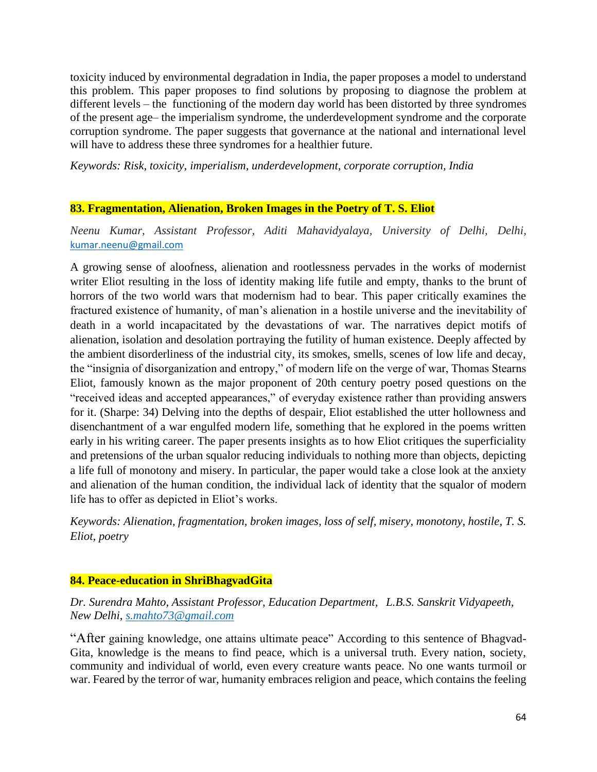toxicity induced by environmental degradation in India, the paper proposes a model to understand this problem. This paper proposes to find solutions by proposing to diagnose the problem at different levels – the functioning of the modern day world has been distorted by three syndromes of the present age– the imperialism syndrome, the underdevelopment syndrome and the corporate corruption syndrome. The paper suggests that governance at the national and international level will have to address these three syndromes for a healthier future.

*Keywords: Risk, toxicity, imperialism, underdevelopment, corporate corruption, India* 

## **83. Fragmentation, Alienation, Broken Images in the Poetry of T. S. Eliot**

*Neenu Kumar, Assistant Professor, Aditi Mahavidyalaya, University of Delhi, Delhi,*  [kumar.neenu@gmail.com](mailto:kumar.neenu@gmail.com)

A growing sense of aloofness, alienation and rootlessness pervades in the works of modernist writer Eliot resulting in the loss of identity making life futile and empty, thanks to the brunt of horrors of the two world wars that modernism had to bear. This paper critically examines the fractured existence of humanity, of man's alienation in a hostile universe and the inevitability of death in a world incapacitated by the devastations of war. The narratives depict motifs of alienation, isolation and desolation portraying the futility of human existence. Deeply affected by the ambient disorderliness of the industrial city, its smokes, smells, scenes of low life and decay, the "insignia of disorganization and entropy," of modern life on the verge of war, Thomas Stearns Eliot, famously known as the major proponent of 20th century poetry posed questions on the "received ideas and accepted appearances," of everyday existence rather than providing answers for it. (Sharpe: 34) Delving into the depths of despair, Eliot established the utter hollowness and disenchantment of a war engulfed modern life, something that he explored in the poems written early in his writing career. The paper presents insights as to how Eliot critiques the superficiality and pretensions of the urban squalor reducing individuals to nothing more than objects, depicting a life full of monotony and misery. In particular, the paper would take a close look at the anxiety and alienation of the human condition, the individual lack of identity that the squalor of modern life has to offer as depicted in Eliot's works.

*Keywords: Alienation, fragmentation, broken images, loss of self, misery, monotony, hostile, T. S. Eliot, poetry*

## **84. Peace-education in ShriBhagvadGita**

*Dr. Surendra Mahto, Assistant Professor, Education Department, L.B.S. Sanskrit Vidyapeeth, New Delhi, [s.mahto73@gmail.com](mailto:s.mahto73@gmail.com)*

"After gaining knowledge, one attains ultimate peace" According to this sentence of Bhagvad-Gita, knowledge is the means to find peace, which is a universal truth. Every nation, society, community and individual of world, even every creature wants peace. No one wants turmoil or war. Feared by the terror of war, humanity embraces religion and peace, which contains the feeling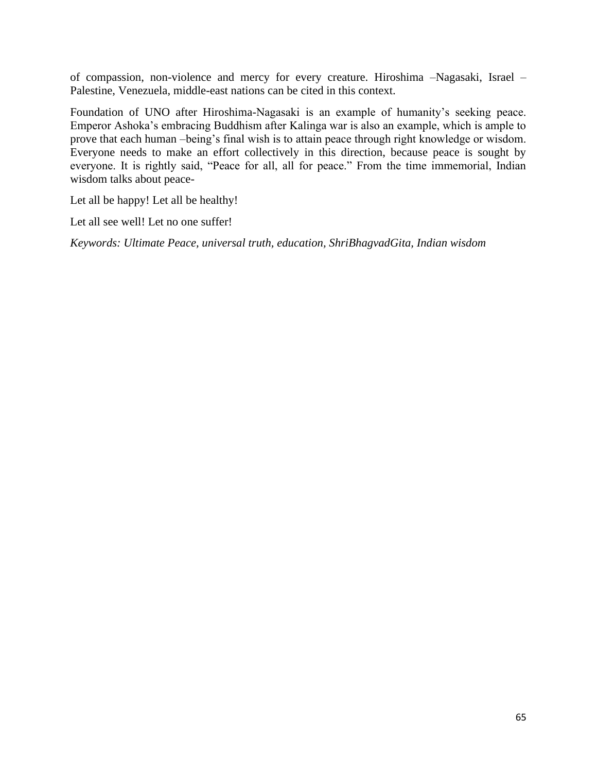of compassion, non-violence and mercy for every creature. Hiroshima –Nagasaki, Israel – Palestine, Venezuela, middle-east nations can be cited in this context.

Foundation of UNO after Hiroshima-Nagasaki is an example of humanity's seeking peace. Emperor Ashoka's embracing Buddhism after Kalinga war is also an example, which is ample to prove that each human –being's final wish is to attain peace through right knowledge or wisdom. Everyone needs to make an effort collectively in this direction, because peace is sought by everyone. It is rightly said, "Peace for all, all for peace." From the time immemorial, Indian wisdom talks about peace-

Let all be happy! Let all be healthy!

Let all see well! Let no one suffer!

*Keywords: Ultimate Peace, universal truth, education, ShriBhagvadGita, Indian wisdom*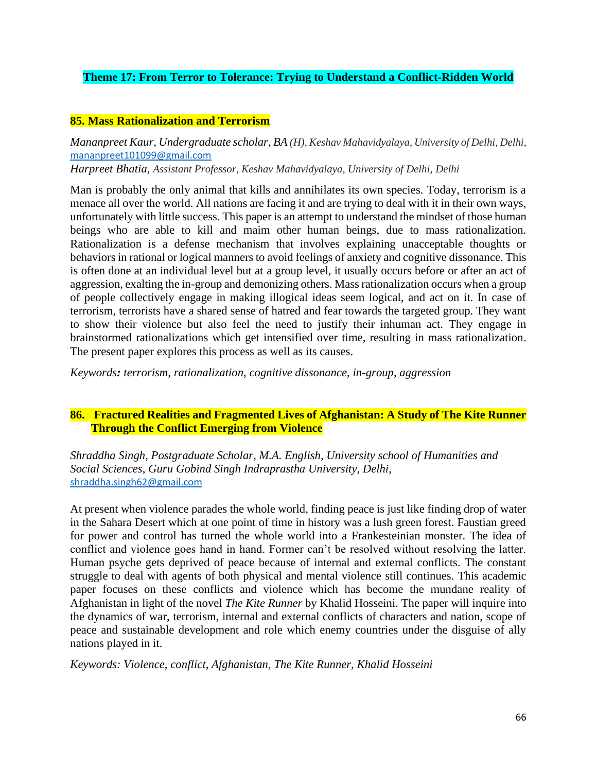# **Theme 17: From Terror to Tolerance: Trying to Understand a Conflict-Ridden World**

## **85. Mass Rationalization and Terrorism**

*Mananpreet Kaur, Undergraduate scholar, BA (H), Keshav Mahavidyalaya, University of Delhi, Delhi,*  [mananpreet101099@gmail.com](mailto:mananpreet101099@gmail.com)

*Harpreet Bhatia, Assistant Professor, Keshav Mahavidyalaya, University of Delhi, Delhi*

Man is probably the only animal that kills and annihilates its own species. Today, terrorism is a menace all over the world. All nations are facing it and are trying to deal with it in their own ways, unfortunately with little success. This paper is an attempt to understand the mindset of those human beings who are able to kill and maim other human beings, due to mass rationalization. Rationalization is a defense mechanism that involves explaining unacceptable thoughts or behaviors in rational or logical manners to avoid feelings of anxiety and cognitive dissonance. This is often done at an individual level but at a group level, it usually occurs before or after an act of aggression, exalting the in-group and demonizing others. Mass rationalization occurs when a group of people collectively engage in making illogical ideas seem logical, and act on it. In case of terrorism, terrorists have a shared sense of hatred and fear towards the targeted group. They want to show their violence but also feel the need to justify their inhuman act. They engage in brainstormed rationalizations which get intensified over time, resulting in mass rationalization. The present paper explores this process as well as its causes.

*Keywords: terrorism, rationalization, cognitive dissonance, in-group, aggression*

## **86. Fractured Realities and Fragmented Lives of Afghanistan: A Study of The Kite Runner Through the Conflict Emerging from Violence**

*Shraddha Singh, Postgraduate Scholar, M.A. English, University school of Humanities and Social Sciences, Guru Gobind Singh Indraprastha University, Delhi,*  [shraddha.singh62@gmail.com](mailto:shraddha.singh62@gmail.com)

At present when violence parades the whole world, finding peace is just like finding drop of water in the Sahara Desert which at one point of time in history was a lush green forest. Faustian greed for power and control has turned the whole world into a Frankesteinian monster. The idea of conflict and violence goes hand in hand. Former can't be resolved without resolving the latter. Human psyche gets deprived of peace because of internal and external conflicts. The constant struggle to deal with agents of both physical and mental violence still continues. This academic paper focuses on these conflicts and violence which has become the mundane reality of Afghanistan in light of the novel *The Kite Runner* by Khalid Hosseini. The paper will inquire into the dynamics of war, terrorism, internal and external conflicts of characters and nation, scope of peace and sustainable development and role which enemy countries under the disguise of ally nations played in it.

*Keywords: Violence, conflict, Afghanistan, The Kite Runner, Khalid Hosseini*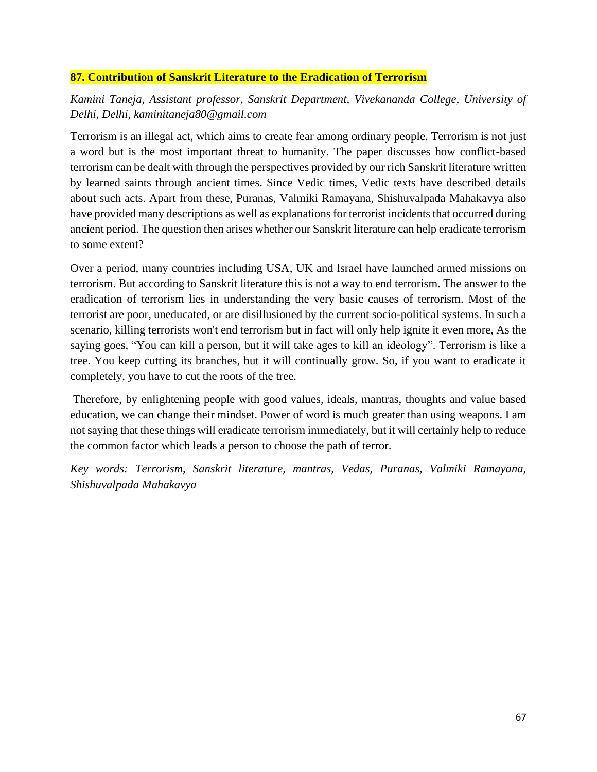# **87. Contribution of Sanskrit Literature to the Eradication of Terrorism**

*Kamini Taneja, Assistant professor, Sanskrit Department, Vivekananda College, University of Delhi, Delhi, kaminitaneja80@gmail.com*

Terrorism is an illegal act, which aims to create fear among ordinary people. Terrorism is not just a word but is the most important threat to humanity. The paper discusses how conflict-based terrorism can be dealt with through the perspectives provided by our rich Sanskrit literature written by learned saints through ancient times. Since Vedic times, Vedic texts have described details about such acts. Apart from these, Puranas, Valmiki Ramayana, Shishuvalpada Mahakavya also have provided many descriptions as well as explanations for terrorist incidents that occurred during ancient period. The question then arises whether our Sanskrit literature can help eradicate terrorism to some extent?

Over a period, many countries including USA, UK and lsrael have launched armed missions on terrorism. But according to Sanskrit literature this is not a way to end terrorism. The answer to the eradication of terrorism lies in understanding the very basic causes of terrorism. Most of the terrorist are poor, uneducated, or are disillusioned by the current socio-political systems. In such a scenario, killing terrorists won't end terrorism but in fact will only help ignite it even more, As the saying goes, "You can kill a person, but it will take ages to kill an ideology". Terrorism is like a tree. You keep cutting its branches, but it will continually grow. So, if you want to eradicate it completely, you have to cut the roots of the tree.

Therefore, by enlightening people with good values, ideals, mantras, thoughts and value based education, we can change their mindset. Power of word is much greater than using weapons. I am not saying that these things will eradicate terrorism immediately, but it will certainly help to reduce the common factor which leads a person to choose the path of terror.

*Key words: Terrorism, Sanskrit literature, mantras, Vedas, Puranas, Valmiki Ramayana, Shishuvalpada Mahakavya*